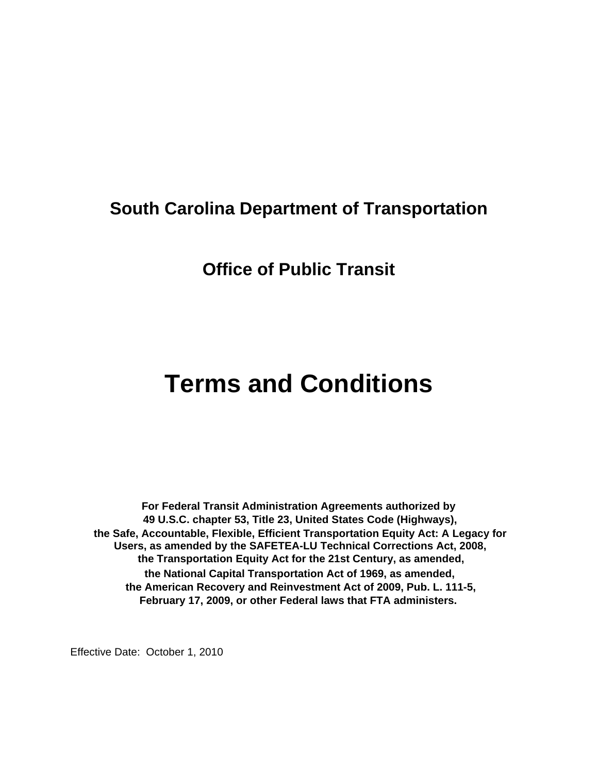# **South Carolina Department of Transportation**

# **Office of Public Transit**

# **Terms and Conditions**

**For Federal Transit Administration Agreements authorized by 49 U.S.C. chapter 53, Title 23, United States Code (Highways), the Safe, Accountable, Flexible, Efficient Transportation Equity Act: A Legacy for Users, as amended by the SAFETEA-LU Technical Corrections Act, 2008, the Transportation Equity Act for the 21st Century, as amended, the National Capital Transportation Act of 1969, as amended, the American Recovery and Reinvestment Act of 2009, Pub. L. 111-5, February 17, 2009, or other Federal laws that FTA administers.**

Effective Date: October 1, 2010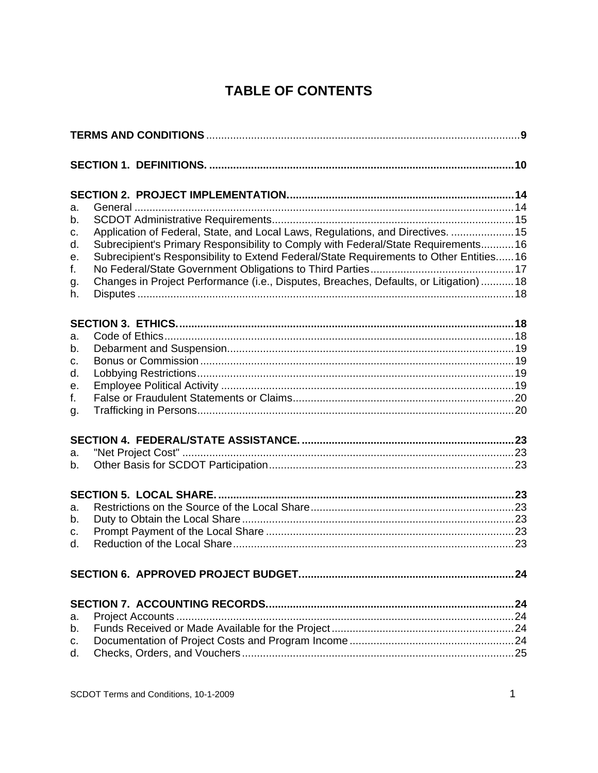# **TABLE OF CONTENTS**

| а.             |                                                                                                                                                                             |  |
|----------------|-----------------------------------------------------------------------------------------------------------------------------------------------------------------------------|--|
| b.<br>C.       | Application of Federal, State, and Local Laws, Regulations, and Directives.  15                                                                                             |  |
| d.<br>е.       | Subrecipient's Primary Responsibility to Comply with Federal/State Requirements16<br>Subrecipient's Responsibility to Extend Federal/State Requirements to Other Entities16 |  |
| f.<br>g.<br>h. | Changes in Project Performance (i.e., Disputes, Breaches, Defaults, or Litigation)  18                                                                                      |  |
|                |                                                                                                                                                                             |  |
| а.<br>b.       |                                                                                                                                                                             |  |
| c.<br>d.       |                                                                                                                                                                             |  |
| е.<br>f.       |                                                                                                                                                                             |  |
| g.             |                                                                                                                                                                             |  |
|                |                                                                                                                                                                             |  |
| a.<br>b.       |                                                                                                                                                                             |  |
|                |                                                                                                                                                                             |  |
| a.<br>b.       |                                                                                                                                                                             |  |
| c.<br>d.       |                                                                                                                                                                             |  |
|                |                                                                                                                                                                             |  |
|                |                                                                                                                                                                             |  |
| a.<br>b.       |                                                                                                                                                                             |  |
| c.<br>d.       |                                                                                                                                                                             |  |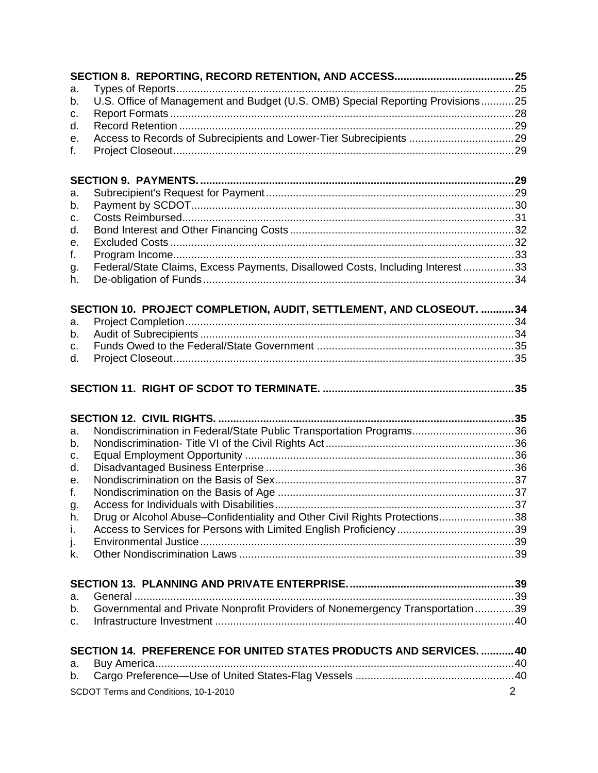| a. |                                                                                |                |
|----|--------------------------------------------------------------------------------|----------------|
| b. | U.S. Office of Management and Budget (U.S. OMB) Special Reporting Provisions25 |                |
| c. |                                                                                |                |
| d. |                                                                                |                |
| е. |                                                                                |                |
| f. |                                                                                |                |
|    |                                                                                |                |
| a. |                                                                                |                |
| b. |                                                                                |                |
| c. |                                                                                |                |
| d. |                                                                                |                |
| е. |                                                                                |                |
| f. |                                                                                |                |
| g. | Federal/State Claims, Excess Payments, Disallowed Costs, Including Interest 33 |                |
| h. |                                                                                |                |
|    | SECTION 10. PROJECT COMPLETION, AUDIT, SETTLEMENT, AND CLOSEOUT. 34            |                |
| a. |                                                                                |                |
| b. |                                                                                |                |
| c. |                                                                                |                |
| d. |                                                                                |                |
|    |                                                                                |                |
|    |                                                                                |                |
| а. | Nondiscrimination in Federal/State Public Transportation Programs36            |                |
| b. |                                                                                |                |
| c. |                                                                                |                |
| d. |                                                                                |                |
| е. |                                                                                |                |
| f. |                                                                                |                |
| g. |                                                                                |                |
| h. | Drug or Alcohol Abuse-Confidentiality and Other Civil Rights Protections38     |                |
| i. |                                                                                |                |
| j. |                                                                                |                |
| k. |                                                                                |                |
|    |                                                                                |                |
| a. |                                                                                |                |
| b. | Governmental and Private Nonprofit Providers of Nonemergency Transportation 39 |                |
| C. |                                                                                |                |
|    | SECTION 14. PREFERENCE FOR UNITED STATES PRODUCTS AND SERVICES. 40             |                |
| a. |                                                                                |                |
| b. |                                                                                |                |
|    | SCDOT Terms and Conditions, 10-1-2010                                          | $\overline{2}$ |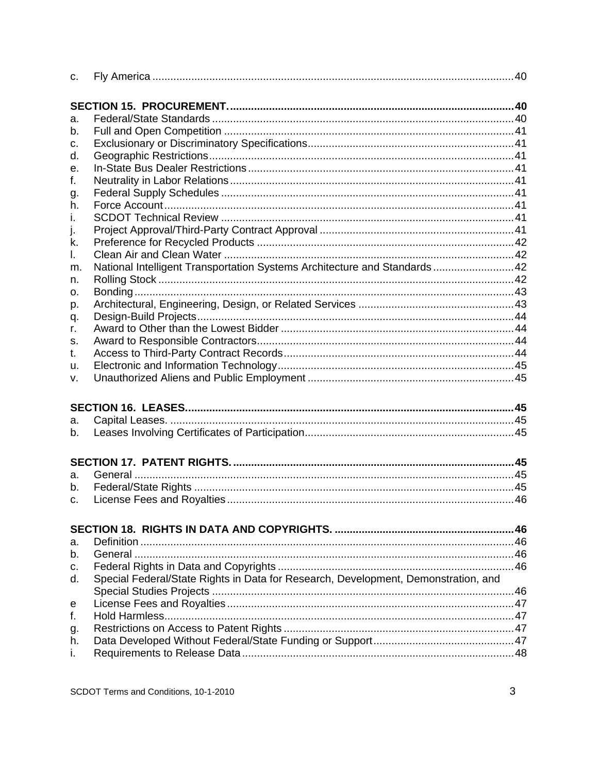| C.      |                                                                                    |  |
|---------|------------------------------------------------------------------------------------|--|
|         |                                                                                    |  |
| а.      |                                                                                    |  |
| b.      |                                                                                    |  |
| c.      |                                                                                    |  |
| d.      |                                                                                    |  |
| е.      |                                                                                    |  |
| f.      |                                                                                    |  |
| g.      |                                                                                    |  |
| h.      |                                                                                    |  |
| Τ.      |                                                                                    |  |
| J.      |                                                                                    |  |
| k.      |                                                                                    |  |
| I.      |                                                                                    |  |
| m.      | National Intelligent Transportation Systems Architecture and Standards 42          |  |
| n.      |                                                                                    |  |
| о.      |                                                                                    |  |
| p.      |                                                                                    |  |
| q.      |                                                                                    |  |
| r.      |                                                                                    |  |
| S.      |                                                                                    |  |
| t.      |                                                                                    |  |
| u.      |                                                                                    |  |
| v.      |                                                                                    |  |
|         |                                                                                    |  |
| a.      |                                                                                    |  |
| b.      |                                                                                    |  |
|         |                                                                                    |  |
|         |                                                                                    |  |
| a.      |                                                                                    |  |
| b.      |                                                                                    |  |
| $C_{1}$ |                                                                                    |  |
|         |                                                                                    |  |
| a.      |                                                                                    |  |
| b.      |                                                                                    |  |
| c.      |                                                                                    |  |
| d.      | Special Federal/State Rights in Data for Research, Development, Demonstration, and |  |
|         |                                                                                    |  |
| e       |                                                                                    |  |
| f.      |                                                                                    |  |
| g.      |                                                                                    |  |
| h.      |                                                                                    |  |
| i.      |                                                                                    |  |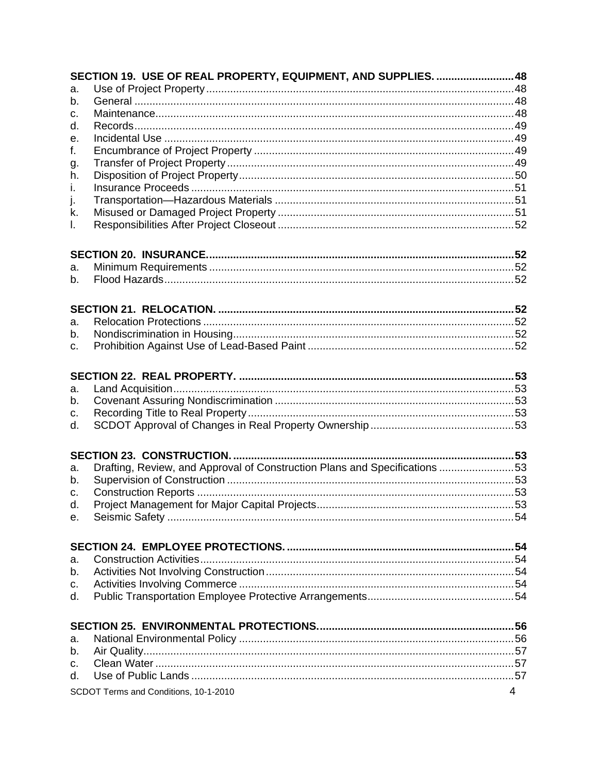|              | SECTION 19. USE OF REAL PROPERTY, EQUIPMENT, AND SUPPLIES.  48             |    |
|--------------|----------------------------------------------------------------------------|----|
| a.           |                                                                            |    |
| b.           |                                                                            |    |
| c.           |                                                                            |    |
| d.           |                                                                            |    |
| е.           |                                                                            |    |
| f.           |                                                                            |    |
| g.           |                                                                            |    |
| h.           |                                                                            |    |
| $\mathbf{L}$ |                                                                            |    |
| j.           |                                                                            |    |
| k.           |                                                                            |    |
| I.           |                                                                            |    |
|              |                                                                            |    |
| а.           |                                                                            |    |
| b.           |                                                                            |    |
|              |                                                                            |    |
|              |                                                                            |    |
| a.           |                                                                            |    |
| b.           |                                                                            |    |
| C.           |                                                                            |    |
|              |                                                                            |    |
|              |                                                                            |    |
| a.           |                                                                            |    |
| b.           |                                                                            |    |
| c.           |                                                                            |    |
| d.           |                                                                            |    |
|              |                                                                            |    |
|              |                                                                            |    |
| a.           | Drafting, Review, and Approval of Construction Plans and Specifications 53 |    |
| b.           |                                                                            |    |
| C.           |                                                                            |    |
| d.           |                                                                            | 53 |
| e.           |                                                                            |    |
|              |                                                                            |    |
|              |                                                                            |    |
| a.           |                                                                            |    |
| b.           |                                                                            |    |
| C.           |                                                                            |    |
| d.           |                                                                            |    |
|              |                                                                            |    |
|              |                                                                            |    |
| a.           |                                                                            |    |
| b.           |                                                                            |    |
| $C_{1}$      |                                                                            |    |
| d.           |                                                                            |    |
|              | $\overline{4}$<br>SCDOT Terms and Conditions, 10-1-2010                    |    |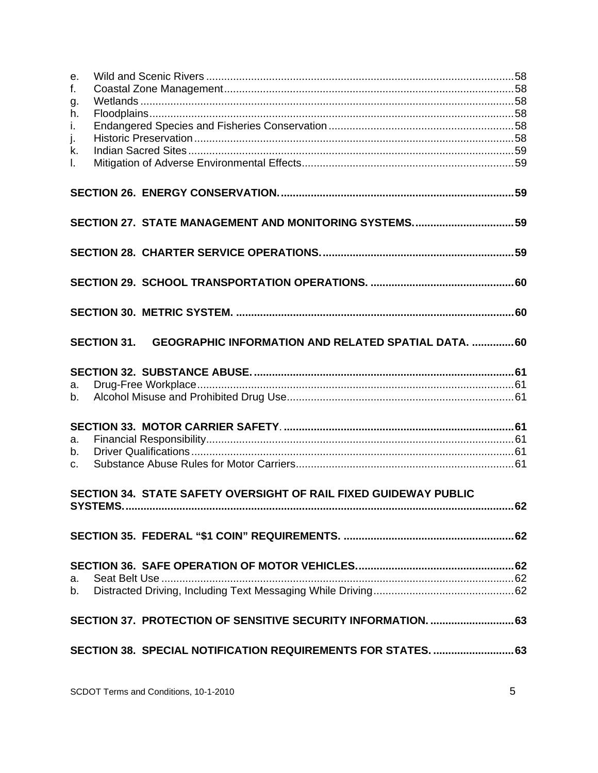| e.             |                                                                  |    |
|----------------|------------------------------------------------------------------|----|
| f.             |                                                                  |    |
| g.             |                                                                  |    |
| h.             |                                                                  |    |
| i.             |                                                                  |    |
| j.<br>k.       |                                                                  |    |
| L.             |                                                                  |    |
|                |                                                                  |    |
|                |                                                                  |    |
|                |                                                                  |    |
|                |                                                                  |    |
|                |                                                                  |    |
|                |                                                                  |    |
|                |                                                                  |    |
|                |                                                                  |    |
|                |                                                                  |    |
|                |                                                                  |    |
|                | SECTION 31. GEOGRAPHIC INFORMATION AND RELATED SPATIAL DATA. 60  |    |
|                |                                                                  |    |
|                |                                                                  |    |
| a.             |                                                                  |    |
| b.             |                                                                  |    |
|                |                                                                  |    |
| a.             |                                                                  |    |
| b.             |                                                                  |    |
| $C_{1}$        |                                                                  |    |
|                |                                                                  |    |
|                | SECTION 34. STATE SAFETY OVERSIGHT OF RAIL FIXED GUIDEWAY PUBLIC |    |
| <b>SYSTEMS</b> |                                                                  | 62 |
|                |                                                                  |    |
|                |                                                                  |    |
|                |                                                                  |    |
|                |                                                                  |    |
| a.             |                                                                  |    |
| b.             |                                                                  |    |
|                |                                                                  |    |
|                | SECTION 37. PROTECTION OF SENSITIVE SECURITY INFORMATION.  63    |    |
|                |                                                                  |    |
|                | SECTION 38. SPECIAL NOTIFICATION REQUIREMENTS FOR STATES 63      |    |
|                |                                                                  |    |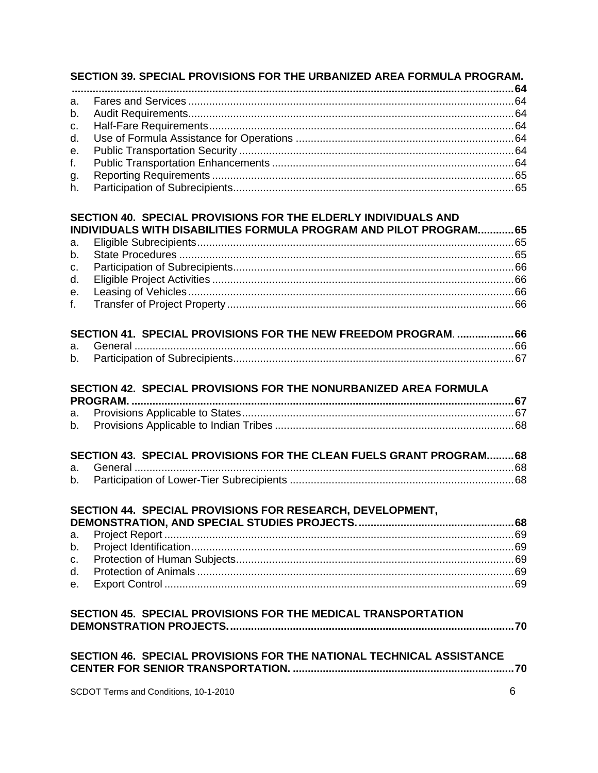# SECTION 39. SPECIAL PROVISIONS FOR THE URBANIZED AREA FORMULA PROGRAM.

# SECTION 40. SPECIAL PROVISIONS FOR THE ELDERLY INDIVIDUALS AND INDIVIDUALS WITH DISABILITIES FORMULA PROGRAM AND PILOT PROGRAM............. 65

| SECTION 41. SPECIAL PROVISIONS FOR THE NEW FREEDOM PROGRAM. 66 |  |
|----------------------------------------------------------------|--|
|                                                                |  |
|                                                                |  |

# SECTION 42. SPECIAL PROVISIONS FOR THE NONURBANIZED AREA FORMULA

| SECTION 43. SPECIAL PROVISIONS FOR THE CLEAN FUELS GRANT PROGRAM 68 |  |
|---------------------------------------------------------------------|--|
|                                                                     |  |
|                                                                     |  |

| SECTION 44. SPECIAL PROVISIONS FOR RESEARCH, DEVELOPMENT, |  |
|-----------------------------------------------------------|--|
|                                                           |  |
|                                                           |  |
|                                                           |  |
|                                                           |  |
|                                                           |  |
|                                                           |  |

# SECTION 45. SPECIAL PROVISIONS FOR THE MEDICAL TRANSPORTATION

|  |  |  | SECTION 46. SPECIAL PROVISIONS FOR THE NATIONAL TECHNICAL ASSISTANCE |  |
|--|--|--|----------------------------------------------------------------------|--|
|  |  |  |                                                                      |  |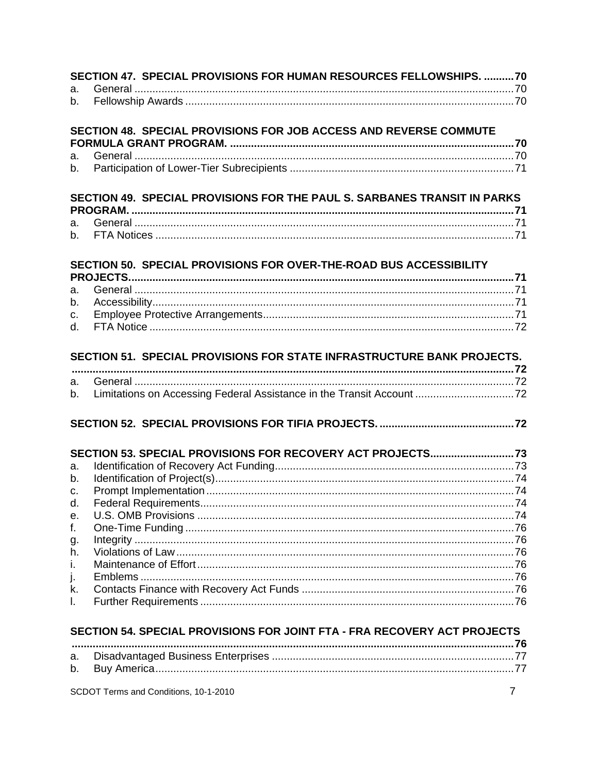|          | SECTION 47. SPECIAL PROVISIONS FOR HUMAN RESOURCES FELLOWSHIPS. 70       |  |
|----------|--------------------------------------------------------------------------|--|
| a.       |                                                                          |  |
| b.       |                                                                          |  |
|          | SECTION 48. SPECIAL PROVISIONS FOR JOB ACCESS AND REVERSE COMMUTE        |  |
|          |                                                                          |  |
| a.       |                                                                          |  |
| b.       |                                                                          |  |
|          | SECTION 49. SPECIAL PROVISIONS FOR THE PAUL S. SARBANES TRANSIT IN PARKS |  |
| a.       |                                                                          |  |
| b.       |                                                                          |  |
|          |                                                                          |  |
|          | SECTION 50. SPECIAL PROVISIONS FOR OVER-THE-ROAD BUS ACCESSIBILITY       |  |
|          |                                                                          |  |
| a.       |                                                                          |  |
| b.       |                                                                          |  |
| C.<br>d. |                                                                          |  |
|          |                                                                          |  |
|          | SECTION 51. SPECIAL PROVISIONS FOR STATE INFRASTRUCTURE BANK PROJECTS.   |  |
|          |                                                                          |  |
| a.<br>b. | Limitations on Accessing Federal Assistance in the Transit Account 72    |  |
|          |                                                                          |  |
|          |                                                                          |  |
|          |                                                                          |  |
|          |                                                                          |  |
| a.       |                                                                          |  |
| b.       |                                                                          |  |
| c.       |                                                                          |  |
|          |                                                                          |  |
| e.       |                                                                          |  |
| f.       |                                                                          |  |
| g.       |                                                                          |  |
| h.       |                                                                          |  |
| i.       |                                                                          |  |
| j.       |                                                                          |  |
| k.       |                                                                          |  |
| I.       |                                                                          |  |
|          | SECTION 54. SPECIAL PROVISIONS FOR JOINT FTA - FRA RECOVERY ACT PROJECTS |  |
|          |                                                                          |  |
| a.       |                                                                          |  |
| b.       |                                                                          |  |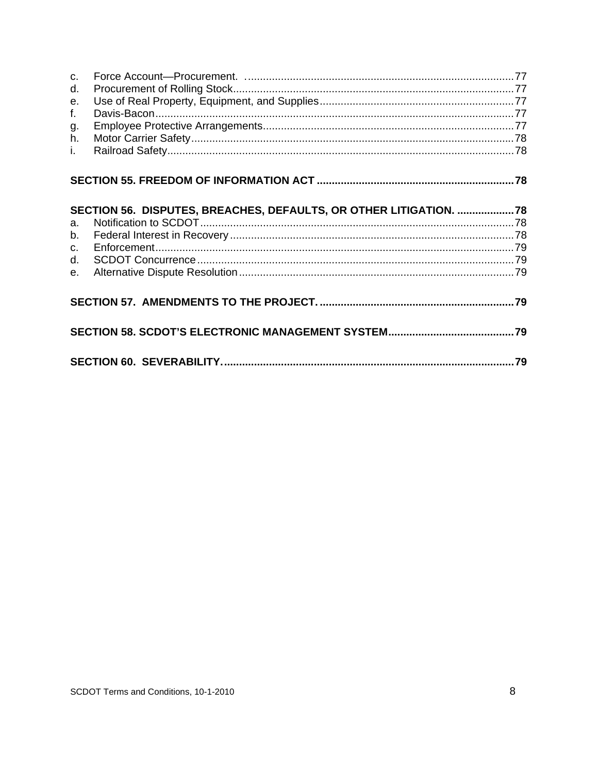| $C_{\cdot}$<br>d.<br>$e_{1}$<br>f.<br>g.<br>h.<br>Ĺ. |                                                                    |  |
|------------------------------------------------------|--------------------------------------------------------------------|--|
|                                                      |                                                                    |  |
|                                                      | SECTION 56. DISPUTES, BREACHES, DEFAULTS, OR OTHER LITIGATION.  78 |  |
| $a_{-}$                                              |                                                                    |  |
| $b_{-}$                                              |                                                                    |  |
| $C_{\cdot}$                                          |                                                                    |  |
| d.                                                   |                                                                    |  |
| $e_{1}$                                              |                                                                    |  |
|                                                      |                                                                    |  |
|                                                      |                                                                    |  |
|                                                      |                                                                    |  |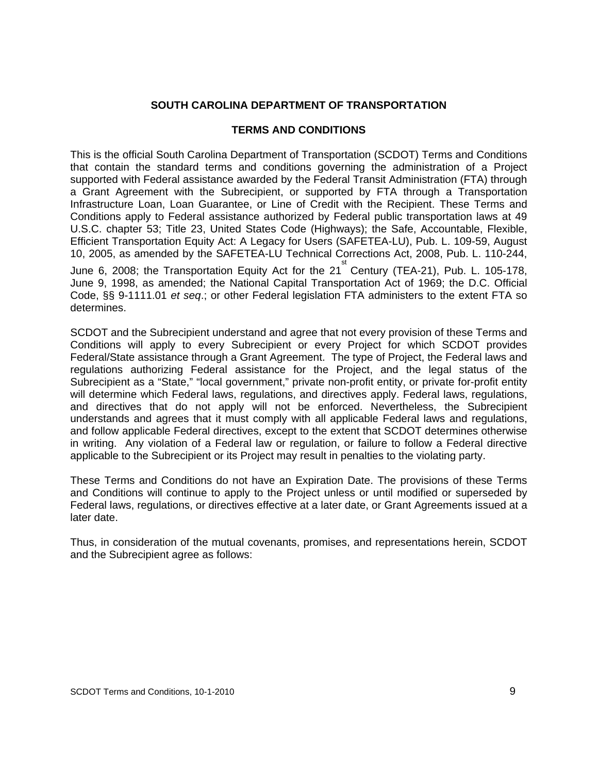#### **SOUTH CAROLINA DEPARTMENT OF TRANSPORTATION**

#### **TERMS AND CONDITIONS**

This is the official South Carolina Department of Transportation (SCDOT) Terms and Conditions that contain the standard terms and conditions governing the administration of a Project supported with Federal assistance awarded by the Federal Transit Administration (FTA) through a Grant Agreement with the Subrecipient, or supported by FTA through a Transportation Infrastructure Loan, Loan Guarantee, or Line of Credit with the Recipient. These Terms and Conditions apply to Federal assistance authorized by Federal public transportation laws at 49 U.S.C. chapter 53; Title 23, United States Code (Highways); the Safe, Accountable, Flexible, Efficient Transportation Equity Act: A Legacy for Users (SAFETEA-LU), Pub. L. 109-59, August 10, 2005, as amended by the SAFETEA-LU Technical Corrections Act, 2008, Pub. L. 110-244,

June 6, 2008; the Transportation Equity Act for the 21<sup>st</sup> Century (TEA-21), Pub. L. 105-178, June 9, 1998, as amended; the National Capital Transportation Act of 1969; the D.C. Official Code, §§ 9-1111.01 *et seq*.; or other Federal legislation FTA administers to the extent FTA so determines.

SCDOT and the Subrecipient understand and agree that not every provision of these Terms and Conditions will apply to every Subrecipient or every Project for which SCDOT provides Federal/State assistance through a Grant Agreement. The type of Project, the Federal laws and regulations authorizing Federal assistance for the Project, and the legal status of the Subrecipient as a "State," "local government," private non-profit entity, or private for-profit entity will determine which Federal laws, regulations, and directives apply. Federal laws, regulations, and directives that do not apply will not be enforced. Nevertheless, the Subrecipient understands and agrees that it must comply with all applicable Federal laws and regulations, and follow applicable Federal directives, except to the extent that SCDOT determines otherwise in writing. Any violation of a Federal law or regulation, or failure to follow a Federal directive applicable to the Subrecipient or its Project may result in penalties to the violating party.

These Terms and Conditions do not have an Expiration Date. The provisions of these Terms and Conditions will continue to apply to the Project unless or until modified or superseded by Federal laws, regulations, or directives effective at a later date, or Grant Agreements issued at a later date.

Thus, in consideration of the mutual covenants, promises, and representations herein, SCDOT and the Subrecipient agree as follows: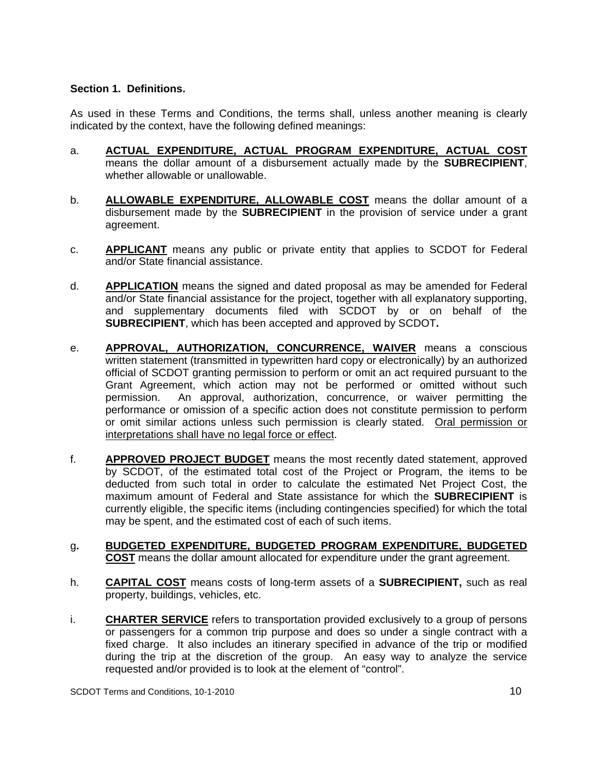#### **Section 1. Definitions.**

As used in these Terms and Conditions, the terms shall, unless another meaning is clearly indicated by the context, have the following defined meanings:

- a. **ACTUAL EXPENDITURE, ACTUAL PROGRAM EXPENDITURE, ACTUAL COST** means the dollar amount of a disbursement actually made by the **SUBRECIPIENT**, whether allowable or unallowable.
- b. **ALLOWABLE EXPENDITURE, ALLOWABLE COST** means the dollar amount of a disbursement made by the **SUBRECIPIENT** in the provision of service under a grant agreement.
- c. **APPLICANT** means any public or private entity that applies to SCDOT for Federal and/or State financial assistance.
- d. **APPLICATION** means the signed and dated proposal as may be amended for Federal and/or State financial assistance for the project, together with all explanatory supporting, and supplementary documents filed with SCDOT by or on behalf of the **SUBRECIPIENT**, which has been accepted and approved by SCDOT**.**
- e. **APPROVAL, AUTHORIZATION, CONCURRENCE, WAIVER** means a conscious written statement (transmitted in typewritten hard copy or electronically) by an authorized official of SCDOT granting permission to perform or omit an act required pursuant to the Grant Agreement, which action may not be performed or omitted without such permission. An approval, authorization, concurrence, or waiver permitting the performance or omission of a specific action does not constitute permission to perform or omit similar actions unless such permission is clearly stated. Oral permission or interpretations shall have no legal force or effect.
- f. **APPROVED PROJECT BUDGET** means the most recently dated statement, approved by SCDOT, of the estimated total cost of the Project or Program, the items to be deducted from such total in order to calculate the estimated Net Project Cost, the maximum amount of Federal and State assistance for which the **SUBRECIPIENT** is currently eligible, the specific items (including contingencies specified) for which the total may be spent, and the estimated cost of each of such items.
- g**. BUDGETED EXPENDITURE, BUDGETED PROGRAM EXPENDITURE, BUDGETED COST** means the dollar amount allocated for expenditure under the grant agreement.
- h. **CAPITAL COST** means costs of long-term assets of a **SUBRECIPIENT,** such as real property, buildings, vehicles, etc.
- i. **CHARTER SERVICE** refers to transportation provided exclusively to a group of persons or passengers for a common trip purpose and does so under a single contract with a fixed charge. It also includes an itinerary specified in advance of the trip or modified during the trip at the discretion of the group. An easy way to analyze the service requested and/or provided is to look at the element of "control".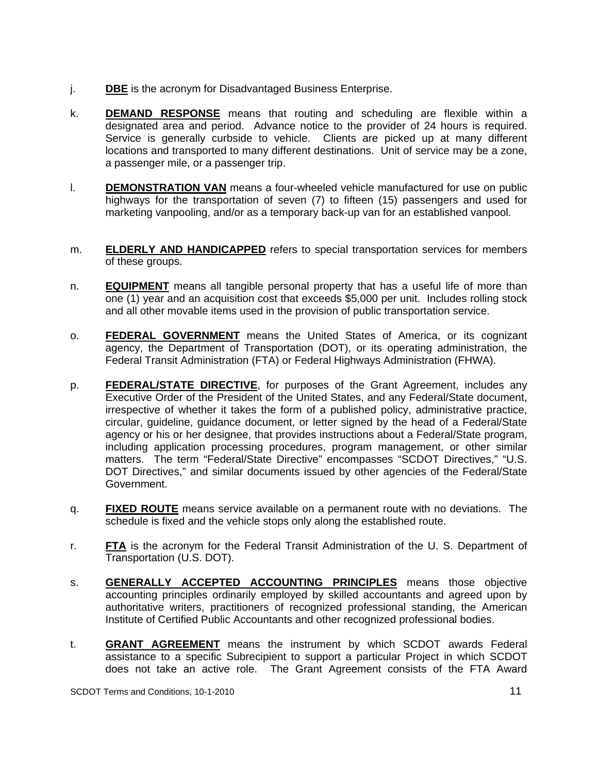- j. **DBE** is the acronym for Disadvantaged Business Enterprise.
- k. **DEMAND RESPONSE** means that routing and scheduling are flexible within a designated area and period. Advance notice to the provider of 24 hours is required. Service is generally curbside to vehicle. Clients are picked up at many different locations and transported to many different destinations. Unit of service may be a zone, a passenger mile, or a passenger trip.
- l. **DEMONSTRATION VAN** means a four-wheeled vehicle manufactured for use on public highways for the transportation of seven (7) to fifteen (15) passengers and used for marketing vanpooling, and/or as a temporary back-up van for an established vanpool.
- m. **ELDERLY AND HANDICAPPED** refers to special transportation services for members of these groups.
- n. **EQUIPMENT** means all tangible personal property that has a useful life of more than one (1) year and an acquisition cost that exceeds \$5,000 per unit. Includes rolling stock and all other movable items used in the provision of public transportation service.
- o. **FEDERAL GOVERNMENT** means the United States of America, or its cognizant agency, the Department of Transportation (DOT), or its operating administration, the Federal Transit Administration (FTA) or Federal Highways Administration (FHWA).
- p. **FEDERAL/STATE DIRECTIVE**, for purposes of the Grant Agreement, includes any Executive Order of the President of the United States, and any Federal/State document, irrespective of whether it takes the form of a published policy, administrative practice, circular, guideline, guidance document, or letter signed by the head of a Federal/State agency or his or her designee, that provides instructions about a Federal/State program, including application processing procedures, program management, or other similar matters. The term "Federal/State Directive" encompasses "SCDOT Directives," "U.S. DOT Directives," and similar documents issued by other agencies of the Federal/State Government.
- q. **FIXED ROUTE** means service available on a permanent route with no deviations. The schedule is fixed and the vehicle stops only along the established route.
- r. **FTA** is the acronym for the Federal Transit Administration of the U. S. Department of Transportation (U.S. DOT).
- s. **GENERALLY ACCEPTED ACCOUNTING PRINCIPLES** means those objective accounting principles ordinarily employed by skilled accountants and agreed upon by authoritative writers, practitioners of recognized professional standing, the American Institute of Certified Public Accountants and other recognized professional bodies.
- t. **GRANT AGREEMENT** means the instrument by which SCDOT awards Federal assistance to a specific Subrecipient to support a particular Project in which SCDOT does not take an active role. The Grant Agreement consists of the FTA Award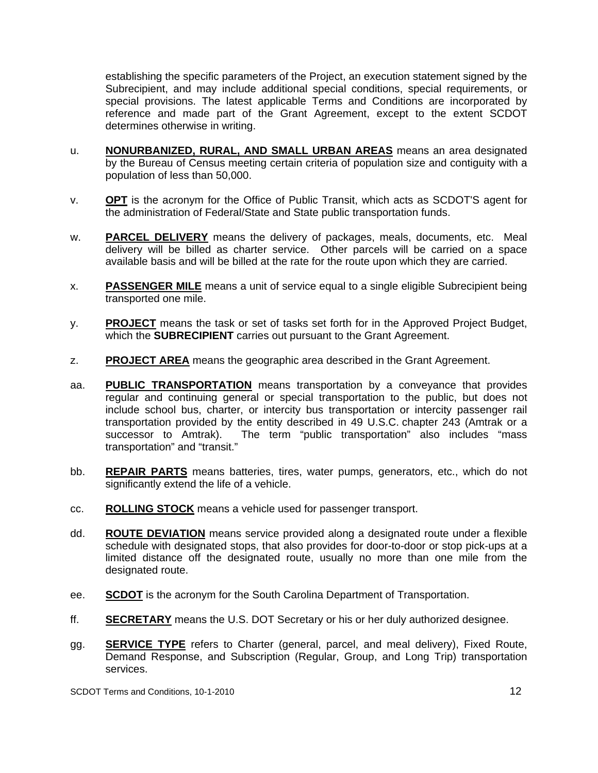establishing the specific parameters of the Project, an execution statement signed by the Subrecipient, and may include additional special conditions, special requirements, or special provisions. The latest applicable Terms and Conditions are incorporated by reference and made part of the Grant Agreement, except to the extent SCDOT determines otherwise in writing.

- u. **NONURBANIZED, RURAL, AND SMALL URBAN AREAS** means an area designated by the Bureau of Census meeting certain criteria of population size and contiguity with a population of less than 50,000.
- v. **OPT** is the acronym for the Office of Public Transit, which acts as SCDOT'S agent for the administration of Federal/State and State public transportation funds.
- w. **PARCEL DELIVERY** means the delivery of packages, meals, documents, etc. Meal delivery will be billed as charter service. Other parcels will be carried on a space available basis and will be billed at the rate for the route upon which they are carried.
- x. **PASSENGER MILE** means a unit of service equal to a single eligible Subrecipient being transported one mile.
- y. **PROJECT** means the task or set of tasks set forth for in the Approved Project Budget, which the **SUBRECIPIENT** carries out pursuant to the Grant Agreement.
- z. **PROJECT AREA** means the geographic area described in the Grant Agreement.
- aa. **PUBLIC TRANSPORTATION** means transportation by a conveyance that provides regular and continuing general or special transportation to the public, but does not include school bus, charter, or intercity bus transportation or intercity passenger rail transportation provided by the entity described in 49 U.S.C. chapter 243 (Amtrak or a successor to Amtrak). The term "public transportation" also includes "mass transportation" and "transit."
- bb. **REPAIR PARTS** means batteries, tires, water pumps, generators, etc., which do not significantly extend the life of a vehicle.
- cc. **ROLLING STOCK** means a vehicle used for passenger transport.
- dd. **ROUTE DEVIATION** means service provided along a designated route under a flexible schedule with designated stops, that also provides for door-to-door or stop pick-ups at a limited distance off the designated route, usually no more than one mile from the designated route.
- ee. **SCDOT** is the acronym for the South Carolina Department of Transportation.
- ff. **SECRETARY** means the U.S. DOT Secretary or his or her duly authorized designee.
- gg. **SERVICE TYPE** refers to Charter (general, parcel, and meal delivery), Fixed Route, Demand Response, and Subscription (Regular, Group, and Long Trip) transportation services.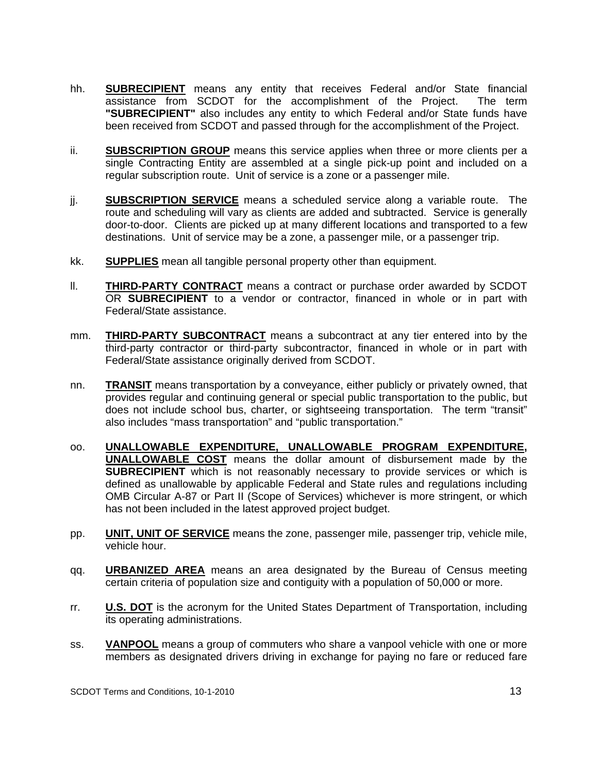- hh. **SUBRECIPIENT** means any entity that receives Federal and/or State financial assistance from SCDOT for the accomplishment of the Project. The term **"SUBRECIPIENT"** also includes any entity to which Federal and/or State funds have been received from SCDOT and passed through for the accomplishment of the Project.
- ii. **SUBSCRIPTION GROUP** means this service applies when three or more clients per a single Contracting Entity are assembled at a single pick-up point and included on a regular subscription route. Unit of service is a zone or a passenger mile.
- jj. **SUBSCRIPTION SERVICE** means a scheduled service along a variable route. The route and scheduling will vary as clients are added and subtracted. Service is generally door-to-door. Clients are picked up at many different locations and transported to a few destinations. Unit of service may be a zone, a passenger mile, or a passenger trip.
- kk. **SUPPLIES** mean all tangible personal property other than equipment.
- ll. **THIRD-PARTY CONTRACT** means a contract or purchase order awarded by SCDOT OR **SUBRECIPIENT** to a vendor or contractor, financed in whole or in part with Federal/State assistance.
- mm. **THIRD-PARTY SUBCONTRACT** means a subcontract at any tier entered into by the third-party contractor or third-party subcontractor, financed in whole or in part with Federal/State assistance originally derived from SCDOT.
- nn. **TRANSIT** means transportation by a conveyance, either publicly or privately owned, that provides regular and continuing general or special public transportation to the public, but does not include school bus, charter, or sightseeing transportation. The term "transit" also includes "mass transportation" and "public transportation."
- oo. **UNALLOWABLE EXPENDITURE, UNALLOWABLE PROGRAM EXPENDITURE, UNALLOWABLE COST** means the dollar amount of disbursement made by the **SUBRECIPIENT** which is not reasonably necessary to provide services or which is defined as unallowable by applicable Federal and State rules and regulations including OMB Circular A-87 or Part II (Scope of Services) whichever is more stringent, or which has not been included in the latest approved project budget.
- pp. **UNIT, UNIT OF SERVICE** means the zone, passenger mile, passenger trip, vehicle mile, vehicle hour.
- qq. **URBANIZED AREA** means an area designated by the Bureau of Census meeting certain criteria of population size and contiguity with a population of 50,000 or more.
- rr. **U.S. DOT** is the acronym for the United States Department of Transportation, including its operating administrations.
- ss. **VANPOOL** means a group of commuters who share a vanpool vehicle with one or more members as designated drivers driving in exchange for paying no fare or reduced fare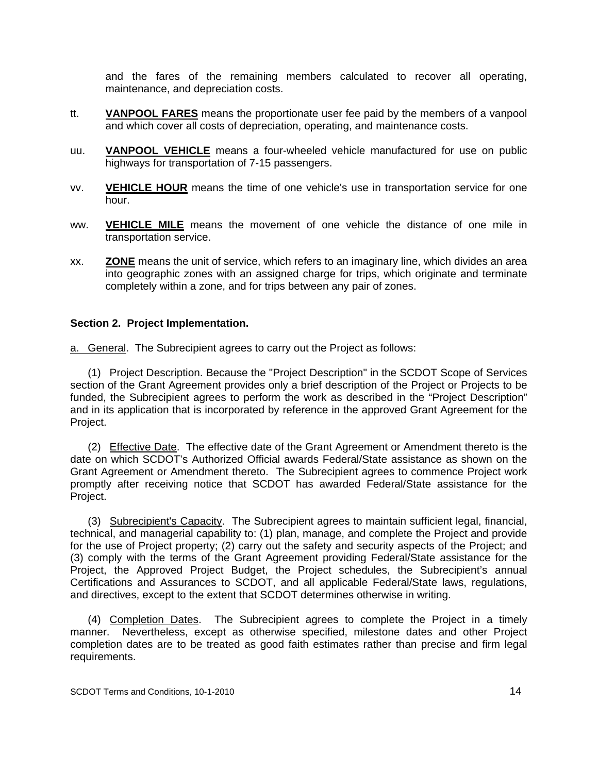and the fares of the remaining members calculated to recover all operating, maintenance, and depreciation costs.

- tt. **VANPOOL FARES** means the proportionate user fee paid by the members of a vanpool and which cover all costs of depreciation, operating, and maintenance costs.
- uu. **VANPOOL VEHICLE** means a four-wheeled vehicle manufactured for use on public highways for transportation of 7-15 passengers.
- vv. **VEHICLE HOUR** means the time of one vehicle's use in transportation service for one hour.
- ww. **VEHICLE MILE** means the movement of one vehicle the distance of one mile in transportation service.
- xx. **ZONE** means the unit of service, which refers to an imaginary line, which divides an area into geographic zones with an assigned charge for trips, which originate and terminate completely within a zone, and for trips between any pair of zones.

#### **Section 2. Project Implementation.**

a. General. The Subrecipient agrees to carry out the Project as follows:

 (1) Project Description. Because the "Project Description" in the SCDOT Scope of Services section of the Grant Agreement provides only a brief description of the Project or Projects to be funded, the Subrecipient agrees to perform the work as described in the "Project Description" and in its application that is incorporated by reference in the approved Grant Agreement for the Project.

 (2) Effective Date. The effective date of the Grant Agreement or Amendment thereto is the date on which SCDOT's Authorized Official awards Federal/State assistance as shown on the Grant Agreement or Amendment thereto. The Subrecipient agrees to commence Project work promptly after receiving notice that SCDOT has awarded Federal/State assistance for the Project.

 (3) Subrecipient's Capacity. The Subrecipient agrees to maintain sufficient legal, financial, technical, and managerial capability to: (1) plan, manage, and complete the Project and provide for the use of Project property; (2) carry out the safety and security aspects of the Project; and (3) comply with the terms of the Grant Agreement providing Federal/State assistance for the Project, the Approved Project Budget, the Project schedules, the Subrecipient's annual Certifications and Assurances to SCDOT, and all applicable Federal/State laws, regulations, and directives, except to the extent that SCDOT determines otherwise in writing.

 (4) Completion Dates. The Subrecipient agrees to complete the Project in a timely manner. Nevertheless, except as otherwise specified, milestone dates and other Project completion dates are to be treated as good faith estimates rather than precise and firm legal requirements.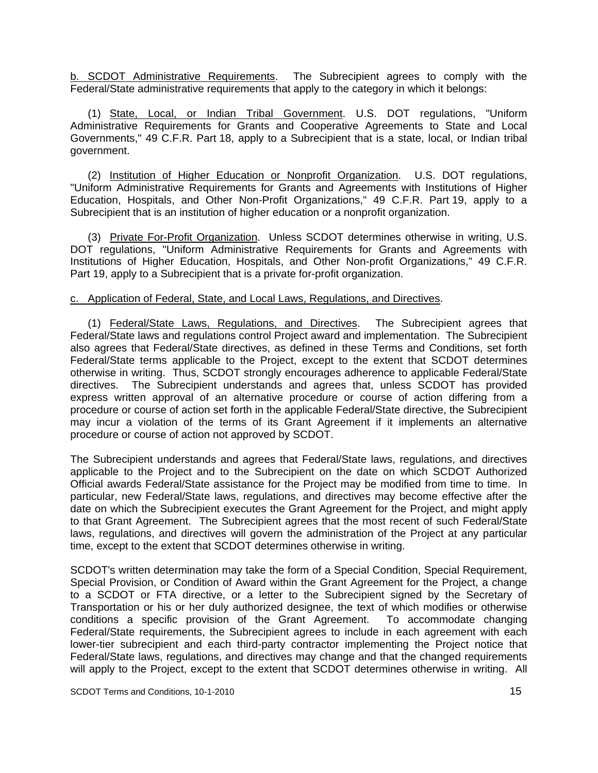b. SCDOT Administrative Requirements. The Subrecipient agrees to comply with the Federal/State administrative requirements that apply to the category in which it belongs:

 (1) State, Local, or Indian Tribal Government. U.S. DOT regulations, "Uniform Administrative Requirements for Grants and Cooperative Agreements to State and Local Governments," 49 C.F.R. Part 18, apply to a Subrecipient that is a state, local, or Indian tribal government.

 (2) Institution of Higher Education or Nonprofit Organization. U.S. DOT regulations, "Uniform Administrative Requirements for Grants and Agreements with Institutions of Higher Education, Hospitals, and Other Non-Profit Organizations," 49 C.F.R. Part 19, apply to a Subrecipient that is an institution of higher education or a nonprofit organization.

 (3) Private For-Profit Organization. Unless SCDOT determines otherwise in writing, U.S. DOT regulations, "Uniform Administrative Requirements for Grants and Agreements with Institutions of Higher Education, Hospitals, and Other Non-profit Organizations," 49 C.F.R. Part 19, apply to a Subrecipient that is a private for-profit organization.

#### c. Application of Federal, State, and Local Laws, Regulations, and Directives.

 (1) Federal/State Laws, Regulations, and Directives. The Subrecipient agrees that Federal/State laws and regulations control Project award and implementation. The Subrecipient also agrees that Federal/State directives, as defined in these Terms and Conditions, set forth Federal/State terms applicable to the Project, except to the extent that SCDOT determines otherwise in writing. Thus, SCDOT strongly encourages adherence to applicable Federal/State directives. The Subrecipient understands and agrees that, unless SCDOT has provided express written approval of an alternative procedure or course of action differing from a procedure or course of action set forth in the applicable Federal/State directive, the Subrecipient may incur a violation of the terms of its Grant Agreement if it implements an alternative procedure or course of action not approved by SCDOT.

The Subrecipient understands and agrees that Federal/State laws, regulations, and directives applicable to the Project and to the Subrecipient on the date on which SCDOT Authorized Official awards Federal/State assistance for the Project may be modified from time to time. In particular, new Federal/State laws, regulations, and directives may become effective after the date on which the Subrecipient executes the Grant Agreement for the Project, and might apply to that Grant Agreement. The Subrecipient agrees that the most recent of such Federal/State laws, regulations, and directives will govern the administration of the Project at any particular time, except to the extent that SCDOT determines otherwise in writing.

SCDOT's written determination may take the form of a Special Condition, Special Requirement, Special Provision, or Condition of Award within the Grant Agreement for the Project, a change to a SCDOT or FTA directive, or a letter to the Subrecipient signed by the Secretary of Transportation or his or her duly authorized designee, the text of which modifies or otherwise conditions a specific provision of the Grant Agreement. To accommodate changing Federal/State requirements, the Subrecipient agrees to include in each agreement with each lower-tier subrecipient and each third-party contractor implementing the Project notice that Federal/State laws, regulations, and directives may change and that the changed requirements will apply to the Project, except to the extent that SCDOT determines otherwise in writing. All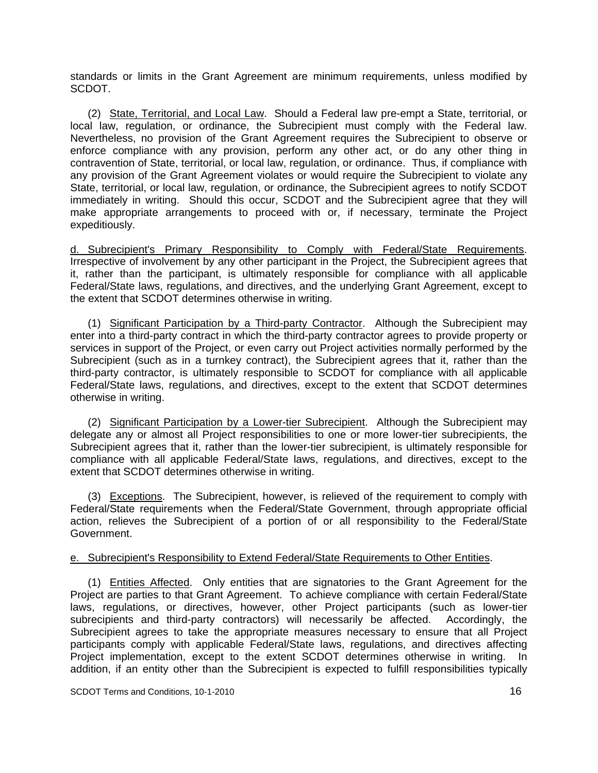standards or limits in the Grant Agreement are minimum requirements, unless modified by SCDOT.

 (2) State, Territorial, and Local Law. Should a Federal law pre-empt a State, territorial, or local law, regulation, or ordinance, the Subrecipient must comply with the Federal law. Nevertheless, no provision of the Grant Agreement requires the Subrecipient to observe or enforce compliance with any provision, perform any other act, or do any other thing in contravention of State, territorial, or local law, regulation, or ordinance. Thus, if compliance with any provision of the Grant Agreement violates or would require the Subrecipient to violate any State, territorial, or local law, regulation, or ordinance, the Subrecipient agrees to notify SCDOT immediately in writing. Should this occur, SCDOT and the Subrecipient agree that they will make appropriate arrangements to proceed with or, if necessary, terminate the Project expeditiously.

d. Subrecipient's Primary Responsibility to Comply with Federal/State Requirements. Irrespective of involvement by any other participant in the Project, the Subrecipient agrees that it, rather than the participant, is ultimately responsible for compliance with all applicable Federal/State laws, regulations, and directives, and the underlying Grant Agreement, except to the extent that SCDOT determines otherwise in writing.

 (1) Significant Participation by a Third-party Contractor. Although the Subrecipient may enter into a third-party contract in which the third-party contractor agrees to provide property or services in support of the Project, or even carry out Project activities normally performed by the Subrecipient (such as in a turnkey contract), the Subrecipient agrees that it, rather than the third-party contractor, is ultimately responsible to SCDOT for compliance with all applicable Federal/State laws, regulations, and directives, except to the extent that SCDOT determines otherwise in writing.

 (2) Significant Participation by a Lower-tier Subrecipient. Although the Subrecipient may delegate any or almost all Project responsibilities to one or more lower-tier subrecipients, the Subrecipient agrees that it, rather than the lower-tier subrecipient, is ultimately responsible for compliance with all applicable Federal/State laws, regulations, and directives, except to the extent that SCDOT determines otherwise in writing.

 (3) Exceptions. The Subrecipient, however, is relieved of the requirement to comply with Federal/State requirements when the Federal/State Government, through appropriate official action, relieves the Subrecipient of a portion of or all responsibility to the Federal/State Government.

#### e. Subrecipient's Responsibility to Extend Federal/State Requirements to Other Entities.

 (1) Entities Affected. Only entities that are signatories to the Grant Agreement for the Project are parties to that Grant Agreement. To achieve compliance with certain Federal/State laws, regulations, or directives, however, other Project participants (such as lower-tier subrecipients and third-party contractors) will necessarily be affected. Accordingly, the Subrecipient agrees to take the appropriate measures necessary to ensure that all Project participants comply with applicable Federal/State laws, regulations, and directives affecting Project implementation, except to the extent SCDOT determines otherwise in writing. In addition, if an entity other than the Subrecipient is expected to fulfill responsibilities typically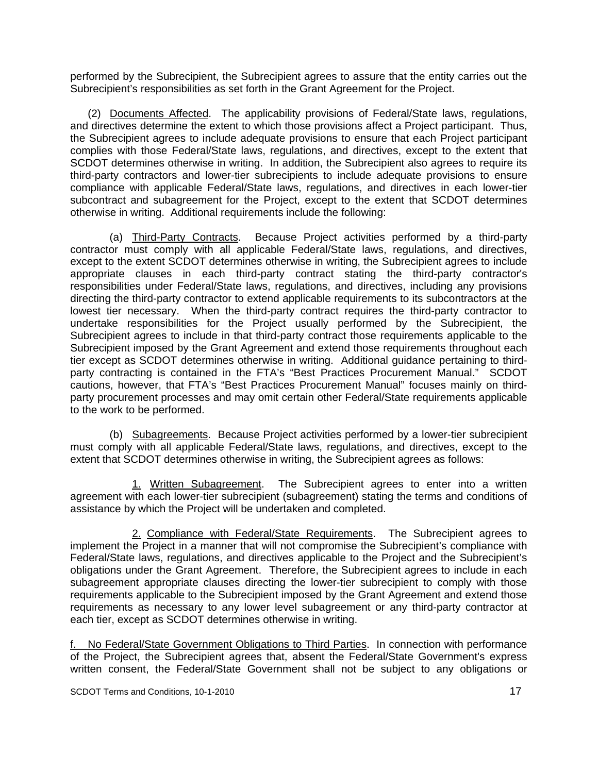performed by the Subrecipient, the Subrecipient agrees to assure that the entity carries out the Subrecipient's responsibilities as set forth in the Grant Agreement for the Project.

 (2) Documents Affected. The applicability provisions of Federal/State laws, regulations, and directives determine the extent to which those provisions affect a Project participant. Thus, the Subrecipient agrees to include adequate provisions to ensure that each Project participant complies with those Federal/State laws, regulations, and directives, except to the extent that SCDOT determines otherwise in writing. In addition, the Subrecipient also agrees to require its third-party contractors and lower-tier subrecipients to include adequate provisions to ensure compliance with applicable Federal/State laws, regulations, and directives in each lower-tier subcontract and subagreement for the Project, except to the extent that SCDOT determines otherwise in writing. Additional requirements include the following:

 (a) Third-Party Contracts. Because Project activities performed by a third-party contractor must comply with all applicable Federal/State laws, regulations, and directives, except to the extent SCDOT determines otherwise in writing, the Subrecipient agrees to include appropriate clauses in each third-party contract stating the third-party contractor's responsibilities under Federal/State laws, regulations, and directives, including any provisions directing the third-party contractor to extend applicable requirements to its subcontractors at the lowest tier necessary. When the third-party contract requires the third-party contractor to undertake responsibilities for the Project usually performed by the Subrecipient, the Subrecipient agrees to include in that third-party contract those requirements applicable to the Subrecipient imposed by the Grant Agreement and extend those requirements throughout each tier except as SCDOT determines otherwise in writing. Additional guidance pertaining to thirdparty contracting is contained in the FTA's "Best Practices Procurement Manual." SCDOT cautions, however, that FTA's "Best Practices Procurement Manual" focuses mainly on thirdparty procurement processes and may omit certain other Federal/State requirements applicable to the work to be performed.

 (b) Subagreements. Because Project activities performed by a lower-tier subrecipient must comply with all applicable Federal/State laws, regulations, and directives, except to the extent that SCDOT determines otherwise in writing, the Subrecipient agrees as follows:

1. Written Subagreement. The Subrecipient agrees to enter into a written agreement with each lower-tier subrecipient (subagreement) stating the terms and conditions of assistance by which the Project will be undertaken and completed.

 2. Compliance with Federal/State Requirements. The Subrecipient agrees to implement the Project in a manner that will not compromise the Subrecipient's compliance with Federal/State laws, regulations, and directives applicable to the Project and the Subrecipient's obligations under the Grant Agreement. Therefore, the Subrecipient agrees to include in each subagreement appropriate clauses directing the lower-tier subrecipient to comply with those requirements applicable to the Subrecipient imposed by the Grant Agreement and extend those requirements as necessary to any lower level subagreement or any third-party contractor at each tier, except as SCDOT determines otherwise in writing.

f. No Federal/State Government Obligations to Third Parties. In connection with performance of the Project, the Subrecipient agrees that, absent the Federal/State Government's express written consent, the Federal/State Government shall not be subject to any obligations or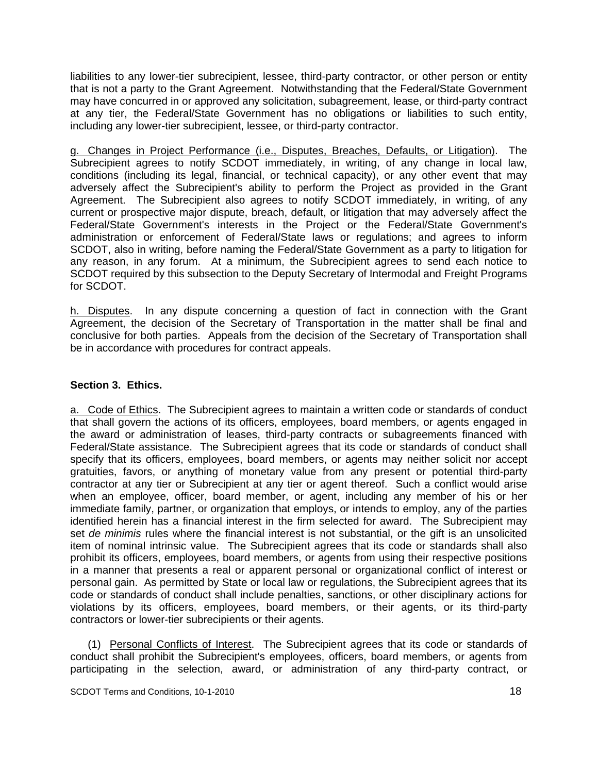liabilities to any lower-tier subrecipient, lessee, third-party contractor, or other person or entity that is not a party to the Grant Agreement. Notwithstanding that the Federal/State Government may have concurred in or approved any solicitation, subagreement, lease, or third-party contract at any tier, the Federal/State Government has no obligations or liabilities to such entity, including any lower-tier subrecipient, lessee, or third-party contractor.

g. Changes in Project Performance (i.e., Disputes, Breaches, Defaults, or Litigation). The Subrecipient agrees to notify SCDOT immediately, in writing, of any change in local law, conditions (including its legal, financial, or technical capacity), or any other event that may adversely affect the Subrecipient's ability to perform the Project as provided in the Grant Agreement. The Subrecipient also agrees to notify SCDOT immediately, in writing, of any current or prospective major dispute, breach, default, or litigation that may adversely affect the Federal/State Government's interests in the Project or the Federal/State Government's administration or enforcement of Federal/State laws or regulations; and agrees to inform SCDOT, also in writing, before naming the Federal/State Government as a party to litigation for any reason, in any forum. At a minimum, the Subrecipient agrees to send each notice to SCDOT required by this subsection to the Deputy Secretary of Intermodal and Freight Programs for SCDOT.

h. Disputes. In any dispute concerning a question of fact in connection with the Grant Agreement, the decision of the Secretary of Transportation in the matter shall be final and conclusive for both parties. Appeals from the decision of the Secretary of Transportation shall be in accordance with procedures for contract appeals.

#### **Section 3. Ethics.**

a. Code of Ethics. The Subrecipient agrees to maintain a written code or standards of conduct that shall govern the actions of its officers, employees, board members, or agents engaged in the award or administration of leases, third-party contracts or subagreements financed with Federal/State assistance. The Subrecipient agrees that its code or standards of conduct shall specify that its officers, employees, board members, or agents may neither solicit nor accept gratuities, favors, or anything of monetary value from any present or potential third-party contractor at any tier or Subrecipient at any tier or agent thereof. Such a conflict would arise when an employee, officer, board member, or agent, including any member of his or her immediate family, partner, or organization that employs, or intends to employ, any of the parties identified herein has a financial interest in the firm selected for award. The Subrecipient may set *de minimis* rules where the financial interest is not substantial, or the gift is an unsolicited item of nominal intrinsic value. The Subrecipient agrees that its code or standards shall also prohibit its officers, employees, board members, or agents from using their respective positions in a manner that presents a real or apparent personal or organizational conflict of interest or personal gain. As permitted by State or local law or regulations, the Subrecipient agrees that its code or standards of conduct shall include penalties, sanctions, or other disciplinary actions for violations by its officers, employees, board members, or their agents, or its third-party contractors or lower-tier subrecipients or their agents.

 (1) Personal Conflicts of Interest. The Subrecipient agrees that its code or standards of conduct shall prohibit the Subrecipient's employees, officers, board members, or agents from participating in the selection, award, or administration of any third-party contract, or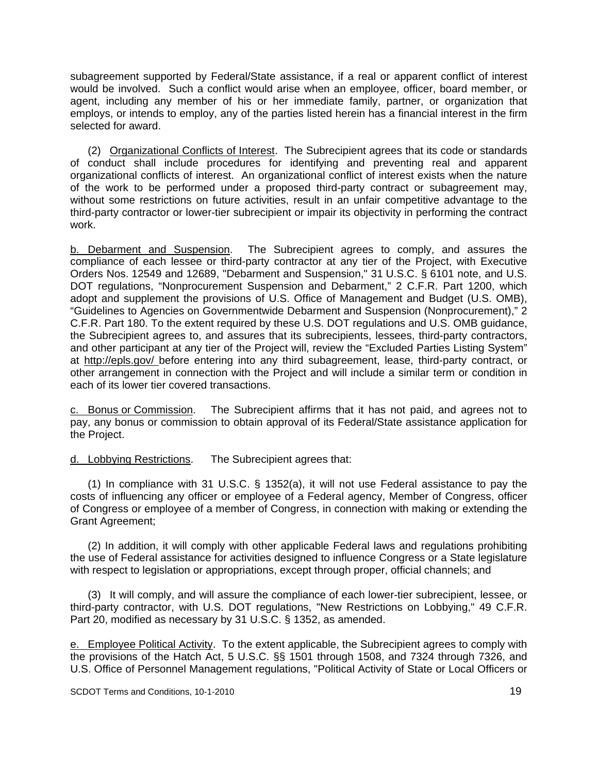subagreement supported by Federal/State assistance, if a real or apparent conflict of interest would be involved. Such a conflict would arise when an employee, officer, board member, or agent, including any member of his or her immediate family, partner, or organization that employs, or intends to employ, any of the parties listed herein has a financial interest in the firm selected for award.

 (2) Organizational Conflicts of Interest. The Subrecipient agrees that its code or standards of conduct shall include procedures for identifying and preventing real and apparent organizational conflicts of interest. An organizational conflict of interest exists when the nature of the work to be performed under a proposed third-party contract or subagreement may, without some restrictions on future activities, result in an unfair competitive advantage to the third-party contractor or lower-tier subrecipient or impair its objectivity in performing the contract work.

b. Debarment and Suspension. The Subrecipient agrees to comply, and assures the compliance of each lessee or third-party contractor at any tier of the Project, with Executive Orders Nos. 12549 and 12689, "Debarment and Suspension," 31 U.S.C. § 6101 note, and U.S. DOT regulations, "Nonprocurement Suspension and Debarment," 2 C.F.R. Part 1200, which adopt and supplement the provisions of U.S. Office of Management and Budget (U.S. OMB), "Guidelines to Agencies on Governmentwide Debarment and Suspension (Nonprocurement)," 2 C.F.R. Part 180. To the extent required by these U.S. DOT regulations and U.S. OMB guidance, the Subrecipient agrees to, and assures that its subrecipients, lessees, third-party contractors, and other participant at any tier of the Project will, review the "Excluded Parties Listing System" at http://epls.gov/ before entering into any third subagreement, lease, third-party contract, or other arrangement in connection with the Project and will include a similar term or condition in each of its lower tier covered transactions.

c. Bonus or Commission. The Subrecipient affirms that it has not paid, and agrees not to pay, any bonus or commission to obtain approval of its Federal/State assistance application for the Project.

d. Lobbying Restrictions. The Subrecipient agrees that:

 (1) In compliance with 31 U.S.C. § 1352(a), it will not use Federal assistance to pay the costs of influencing any officer or employee of a Federal agency, Member of Congress, officer of Congress or employee of a member of Congress, in connection with making or extending the Grant Agreement;

 (2) In addition, it will comply with other applicable Federal laws and regulations prohibiting the use of Federal assistance for activities designed to influence Congress or a State legislature with respect to legislation or appropriations, except through proper, official channels; and

 (3) It will comply, and will assure the compliance of each lower-tier subrecipient, lessee, or third-party contractor, with U.S. DOT regulations, "New Restrictions on Lobbying," 49 C.F.R. Part 20, modified as necessary by 31 U.S.C. § 1352, as amended.

e. Employee Political Activity. To the extent applicable, the Subrecipient agrees to comply with the provisions of the Hatch Act, 5 U.S.C. §§ 1501 through 1508, and 7324 through 7326, and U.S. Office of Personnel Management regulations, "Political Activity of State or Local Officers or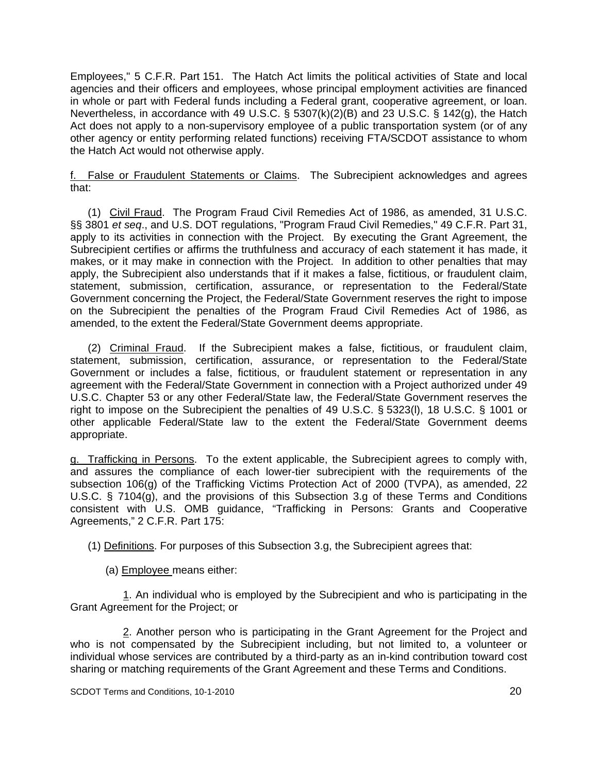Employees," 5 C.F.R. Part 151. The Hatch Act limits the political activities of State and local agencies and their officers and employees, whose principal employment activities are financed in whole or part with Federal funds including a Federal grant, cooperative agreement, or loan. Nevertheless, in accordance with 49 U.S.C. § 5307(k)(2)(B) and 23 U.S.C. § 142(g), the Hatch Act does not apply to a non-supervisory employee of a public transportation system (or of any other agency or entity performing related functions) receiving FTA/SCDOT assistance to whom the Hatch Act would not otherwise apply.

f. False or Fraudulent Statements or Claims. The Subrecipient acknowledges and agrees that:

 (1) Civil Fraud. The Program Fraud Civil Remedies Act of 1986, as amended, 31 U.S.C. §§ 3801 *et seq*., and U.S. DOT regulations, "Program Fraud Civil Remedies," 49 C.F.R. Part 31, apply to its activities in connection with the Project. By executing the Grant Agreement, the Subrecipient certifies or affirms the truthfulness and accuracy of each statement it has made, it makes, or it may make in connection with the Project. In addition to other penalties that may apply, the Subrecipient also understands that if it makes a false, fictitious, or fraudulent claim, statement, submission, certification, assurance, or representation to the Federal/State Government concerning the Project, the Federal/State Government reserves the right to impose on the Subrecipient the penalties of the Program Fraud Civil Remedies Act of 1986, as amended, to the extent the Federal/State Government deems appropriate.

 (2) Criminal Fraud. If the Subrecipient makes a false, fictitious, or fraudulent claim, statement, submission, certification, assurance, or representation to the Federal/State Government or includes a false, fictitious, or fraudulent statement or representation in any agreement with the Federal/State Government in connection with a Project authorized under 49 U.S.C. Chapter 53 or any other Federal/State law, the Federal/State Government reserves the right to impose on the Subrecipient the penalties of 49 U.S.C. § 5323(l), 18 U.S.C. § 1001 or other applicable Federal/State law to the extent the Federal/State Government deems appropriate.

g. Trafficking in Persons. To the extent applicable, the Subrecipient agrees to comply with, and assures the compliance of each lower-tier subrecipient with the requirements of the subsection 106(g) of the Trafficking Victims Protection Act of 2000 (TVPA), as amended, 22 U.S.C. § 7104(g), and the provisions of this Subsection 3.g of these Terms and Conditions consistent with U.S. OMB guidance, "Trafficking in Persons: Grants and Cooperative Agreements," 2 C.F.R. Part 175:

(1) Definitions. For purposes of this Subsection 3.g, the Subrecipient agrees that:

(a) Employee means either:

1. An individual who is employed by the Subrecipient and who is participating in the Grant Agreement for the Project; or

2. Another person who is participating in the Grant Agreement for the Project and who is not compensated by the Subrecipient including, but not limited to, a volunteer or individual whose services are contributed by a third-party as an in-kind contribution toward cost sharing or matching requirements of the Grant Agreement and these Terms and Conditions.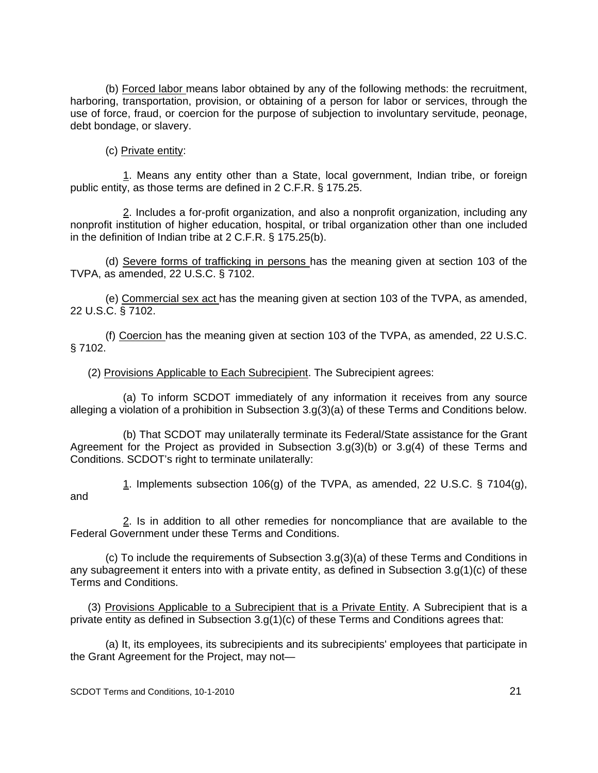(b) Forced labor means labor obtained by any of the following methods: the recruitment, harboring, transportation, provision, or obtaining of a person for labor or services, through the use of force, fraud, or coercion for the purpose of subjection to involuntary servitude, peonage, debt bondage, or slavery.

(c) Private entity:

1. Means any entity other than a State, local government, Indian tribe, or foreign public entity, as those terms are defined in 2 C.F.R. § 175.25.

2. Includes a for-profit organization, and also a nonprofit organization, including any nonprofit institution of higher education, hospital, or tribal organization other than one included in the definition of Indian tribe at 2 C.F.R. § 175.25(b).

(d) Severe forms of trafficking in persons has the meaning given at section 103 of the TVPA, as amended, 22 U.S.C. § 7102.

(e) Commercial sex act has the meaning given at section 103 of the TVPA, as amended, 22 U.S.C. § 7102.

(f) Coercion has the meaning given at section 103 of the TVPA, as amended, 22 U.S.C. § 7102.

(2) Provisions Applicable to Each Subrecipient. The Subrecipient agrees:

(a) To inform SCDOT immediately of any information it receives from any source alleging a violation of a prohibition in Subsection 3.g(3)(a) of these Terms and Conditions below.

(b) That SCDOT may unilaterally terminate its Federal/State assistance for the Grant Agreement for the Project as provided in Subsection 3.g(3)(b) or 3.g(4) of these Terms and Conditions. SCDOT's right to terminate unilaterally:

1. Implements subsection 106(g) of the TVPA, as amended, 22 U.S.C. § 7104(g), and

2. Is in addition to all other remedies for noncompliance that are available to the Federal Government under these Terms and Conditions.

(c) To include the requirements of Subsection 3.g(3)(a) of these Terms and Conditions in any subagreement it enters into with a private entity, as defined in Subsection 3.g(1)(c) of these Terms and Conditions.

(3) Provisions Applicable to a Subrecipient that is a Private Entity. A Subrecipient that is a private entity as defined in Subsection 3.g(1)(c) of these Terms and Conditions agrees that:

(a) It, its employees, its subrecipients and its subrecipients' employees that participate in the Grant Agreement for the Project, may not—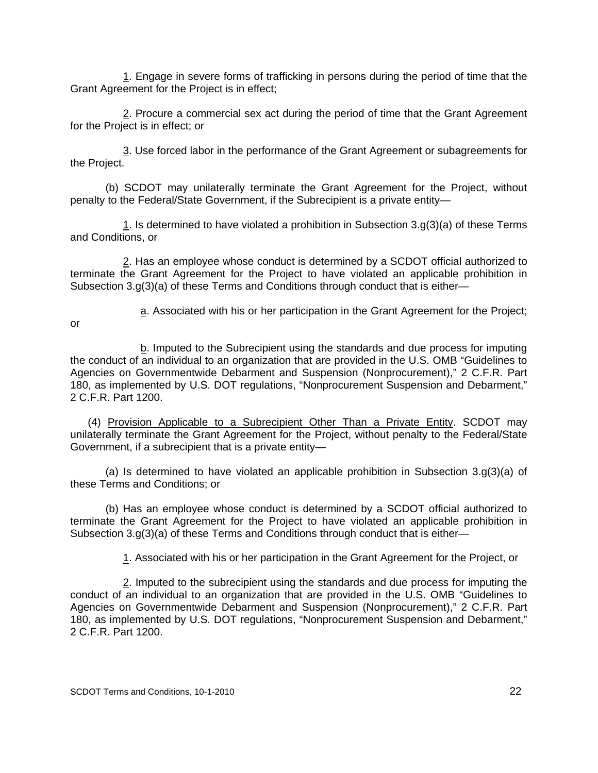1. Engage in severe forms of trafficking in persons during the period of time that the Grant Agreement for the Project is in effect;

2. Procure a commercial sex act during the period of time that the Grant Agreement for the Project is in effect; or

3. Use forced labor in the performance of the Grant Agreement or subagreements for the Project.

(b) SCDOT may unilaterally terminate the Grant Agreement for the Project, without penalty to the Federal/State Government, if the Subrecipient is a private entity—

1. Is determined to have violated a prohibition in Subsection  $3.9(3)(a)$  of these Terms and Conditions, or

2. Has an employee whose conduct is determined by a SCDOT official authorized to terminate the Grant Agreement for the Project to have violated an applicable prohibition in Subsection 3.g(3)(a) of these Terms and Conditions through conduct that is either—

or

a. Associated with his or her participation in the Grant Agreement for the Project;

b. Imputed to the Subrecipient using the standards and due process for imputing the conduct of an individual to an organization that are provided in the U.S. OMB "Guidelines to Agencies on Governmentwide Debarment and Suspension (Nonprocurement)," 2 C.F.R. Part 180, as implemented by U.S. DOT regulations, "Nonprocurement Suspension and Debarment," 2 C.F.R. Part 1200.

(4) Provision Applicable to a Subrecipient Other Than a Private Entity. SCDOT may unilaterally terminate the Grant Agreement for the Project, without penalty to the Federal/State Government, if a subrecipient that is a private entity—

(a) Is determined to have violated an applicable prohibition in Subsection  $3.9(3)(a)$  of these Terms and Conditions; or

(b) Has an employee whose conduct is determined by a SCDOT official authorized to terminate the Grant Agreement for the Project to have violated an applicable prohibition in Subsection 3.g(3)(a) of these Terms and Conditions through conduct that is either—

1. Associated with his or her participation in the Grant Agreement for the Project, or

 2. Imputed to the subrecipient using the standards and due process for imputing the conduct of an individual to an organization that are provided in the U.S. OMB "Guidelines to Agencies on Governmentwide Debarment and Suspension (Nonprocurement)," 2 C.F.R. Part 180, as implemented by U.S. DOT regulations, "Nonprocurement Suspension and Debarment," 2 C.F.R. Part 1200.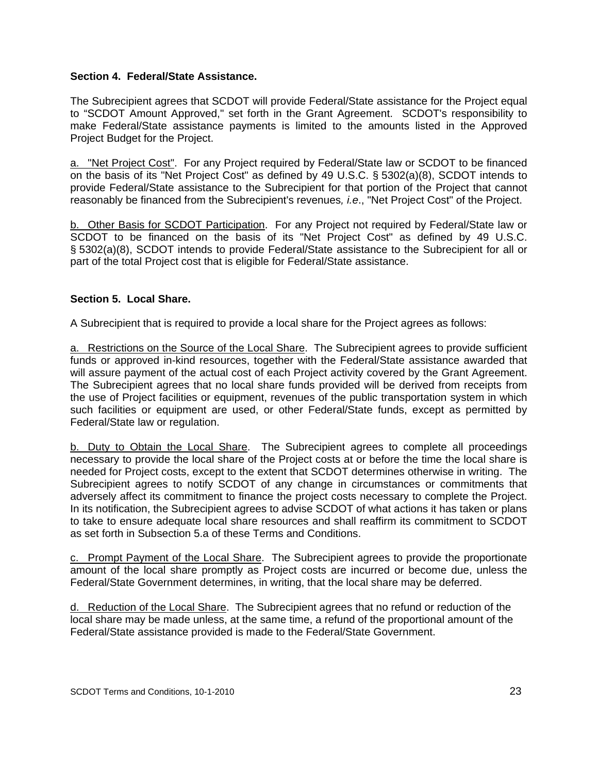#### **Section 4. Federal/State Assistance.**

The Subrecipient agrees that SCDOT will provide Federal/State assistance for the Project equal to "SCDOT Amount Approved," set forth in the Grant Agreement. SCDOT's responsibility to make Federal/State assistance payments is limited to the amounts listed in the Approved Project Budget for the Project.

a. "Net Project Cost". For any Project required by Federal/State law or SCDOT to be financed on the basis of its "Net Project Cost" as defined by 49 U.S.C. § 5302(a)(8), SCDOT intends to provide Federal/State assistance to the Subrecipient for that portion of the Project that cannot reasonably be financed from the Subrecipient's revenues*, i.e*., "Net Project Cost" of the Project.

b. Other Basis for SCDOT Participation. For any Project not required by Federal/State law or SCDOT to be financed on the basis of its "Net Project Cost" as defined by 49 U.S.C. § 5302(a)(8), SCDOT intends to provide Federal/State assistance to the Subrecipient for all or part of the total Project cost that is eligible for Federal/State assistance.

## **Section 5. Local Share.**

A Subrecipient that is required to provide a local share for the Project agrees as follows:

a. Restrictions on the Source of the Local Share. The Subrecipient agrees to provide sufficient funds or approved in-kind resources, together with the Federal/State assistance awarded that will assure payment of the actual cost of each Project activity covered by the Grant Agreement. The Subrecipient agrees that no local share funds provided will be derived from receipts from the use of Project facilities or equipment, revenues of the public transportation system in which such facilities or equipment are used, or other Federal/State funds, except as permitted by Federal/State law or regulation.

b. Duty to Obtain the Local Share. The Subrecipient agrees to complete all proceedings necessary to provide the local share of the Project costs at or before the time the local share is needed for Project costs, except to the extent that SCDOT determines otherwise in writing. The Subrecipient agrees to notify SCDOT of any change in circumstances or commitments that adversely affect its commitment to finance the project costs necessary to complete the Project. In its notification, the Subrecipient agrees to advise SCDOT of what actions it has taken or plans to take to ensure adequate local share resources and shall reaffirm its commitment to SCDOT as set forth in Subsection 5.a of these Terms and Conditions.

c. Prompt Payment of the Local Share. The Subrecipient agrees to provide the proportionate amount of the local share promptly as Project costs are incurred or become due, unless the Federal/State Government determines, in writing, that the local share may be deferred.

d. Reduction of the Local Share. The Subrecipient agrees that no refund or reduction of the local share may be made unless, at the same time, a refund of the proportional amount of the Federal/State assistance provided is made to the Federal/State Government.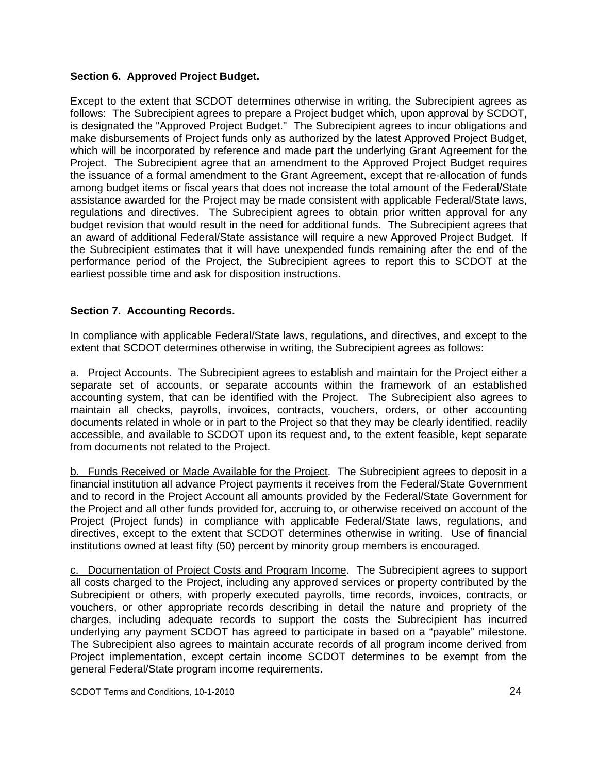#### **Section 6. Approved Project Budget.**

Except to the extent that SCDOT determines otherwise in writing, the Subrecipient agrees as follows: The Subrecipient agrees to prepare a Project budget which, upon approval by SCDOT, is designated the "Approved Project Budget." The Subrecipient agrees to incur obligations and make disbursements of Project funds only as authorized by the latest Approved Project Budget, which will be incorporated by reference and made part the underlying Grant Agreement for the Project. The Subrecipient agree that an amendment to the Approved Project Budget requires the issuance of a formal amendment to the Grant Agreement, except that re-allocation of funds among budget items or fiscal years that does not increase the total amount of the Federal/State assistance awarded for the Project may be made consistent with applicable Federal/State laws, regulations and directives. The Subrecipient agrees to obtain prior written approval for any budget revision that would result in the need for additional funds. The Subrecipient agrees that an award of additional Federal/State assistance will require a new Approved Project Budget. If the Subrecipient estimates that it will have unexpended funds remaining after the end of the performance period of the Project, the Subrecipient agrees to report this to SCDOT at the earliest possible time and ask for disposition instructions.

#### **Section 7. Accounting Records.**

In compliance with applicable Federal/State laws, regulations, and directives, and except to the extent that SCDOT determines otherwise in writing, the Subrecipient agrees as follows:

a. Project Accounts. The Subrecipient agrees to establish and maintain for the Project either a separate set of accounts, or separate accounts within the framework of an established accounting system, that can be identified with the Project. The Subrecipient also agrees to maintain all checks, payrolls, invoices, contracts, vouchers, orders, or other accounting documents related in whole or in part to the Project so that they may be clearly identified, readily accessible, and available to SCDOT upon its request and, to the extent feasible, kept separate from documents not related to the Project.

b. Funds Received or Made Available for the Project. The Subrecipient agrees to deposit in a financial institution all advance Project payments it receives from the Federal/State Government and to record in the Project Account all amounts provided by the Federal/State Government for the Project and all other funds provided for, accruing to, or otherwise received on account of the Project (Project funds) in compliance with applicable Federal/State laws, regulations, and directives, except to the extent that SCDOT determines otherwise in writing. Use of financial institutions owned at least fifty (50) percent by minority group members is encouraged.

c. Documentation of Project Costs and Program Income. The Subrecipient agrees to support all costs charged to the Project, including any approved services or property contributed by the Subrecipient or others, with properly executed payrolls, time records, invoices, contracts, or vouchers, or other appropriate records describing in detail the nature and propriety of the charges, including adequate records to support the costs the Subrecipient has incurred underlying any payment SCDOT has agreed to participate in based on a "payable" milestone. The Subrecipient also agrees to maintain accurate records of all program income derived from Project implementation, except certain income SCDOT determines to be exempt from the general Federal/State program income requirements.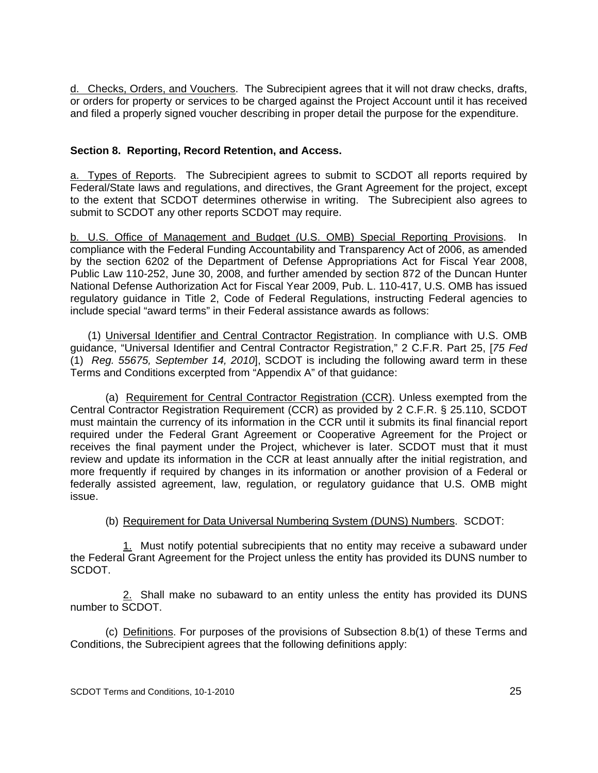d. Checks, Orders, and Vouchers. The Subrecipient agrees that it will not draw checks, drafts, or orders for property or services to be charged against the Project Account until it has received and filed a properly signed voucher describing in proper detail the purpose for the expenditure.

# **Section 8. Reporting, Record Retention, and Access.**

a. Types of Reports. The Subrecipient agrees to submit to SCDOT all reports required by Federal/State laws and regulations, and directives, the Grant Agreement for the project, except to the extent that SCDOT determines otherwise in writing. The Subrecipient also agrees to submit to SCDOT any other reports SCDOT may require.

b. U.S. Office of Management and Budget (U.S. OMB) Special Reporting Provisions. In compliance with the Federal Funding Accountability and Transparency Act of 2006, as amended by the section 6202 of the Department of Defense Appropriations Act for Fiscal Year 2008, Public Law 110-252, June 30, 2008, and further amended by section 872 of the Duncan Hunter National Defense Authorization Act for Fiscal Year 2009, Pub. L. 110-417, U.S. OMB has issued regulatory guidance in Title 2, Code of Federal Regulations, instructing Federal agencies to include special "award terms" in their Federal assistance awards as follows:

(1) Universal Identifier and Central Contractor Registration. In compliance with U.S. OMB guidance, "Universal Identifier and Central Contractor Registration," 2 C.F.R. Part 25, [*75 Fed*  (1) *Reg. 55675, September 14, 2010*], SCDOT is including the following award term in these Terms and Conditions excerpted from "Appendix A" of that guidance:

(a) Requirement for Central Contractor Registration (CCR). Unless exempted from the Central Contractor Registration Requirement (CCR) as provided by 2 C.F.R. § 25.110, SCDOT must maintain the currency of its information in the CCR until it submits its final financial report required under the Federal Grant Agreement or Cooperative Agreement for the Project or receives the final payment under the Project, whichever is later. SCDOT must that it must review and update its information in the CCR at least annually after the initial registration, and more frequently if required by changes in its information or another provision of a Federal or federally assisted agreement, law, regulation, or regulatory guidance that U.S. OMB might issue.

## (b) Requirement for Data Universal Numbering System (DUNS) Numbers. SCDOT:

1. Must notify potential subrecipients that no entity may receive a subaward under the Federal Grant Agreement for the Project unless the entity has provided its DUNS number to SCDOT.

2. Shall make no subaward to an entity unless the entity has provided its DUNS number to SCDOT.

(c) Definitions. For purposes of the provisions of Subsection 8.b(1) of these Terms and Conditions, the Subrecipient agrees that the following definitions apply: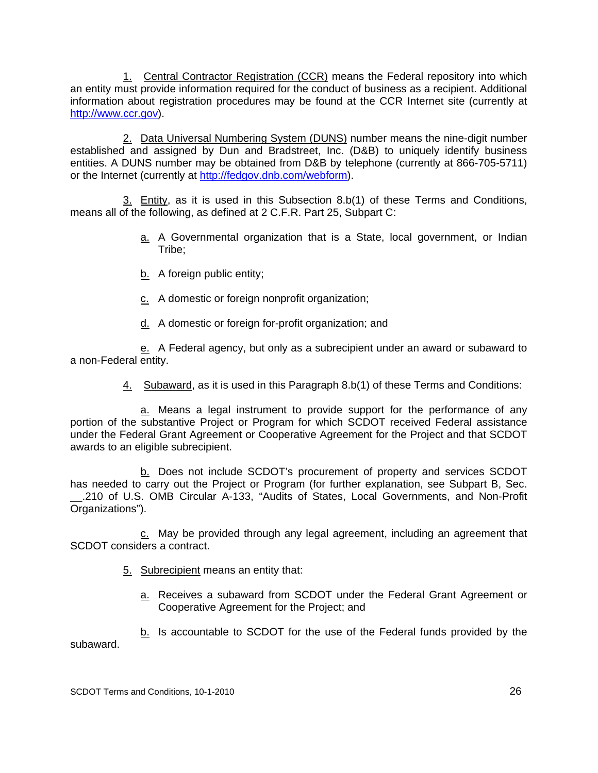1. Central Contractor Registration (CCR) means the Federal repository into which an entity must provide information required for the conduct of business as a recipient. Additional information about registration procedures may be found at the CCR Internet site (currently at http://www.ccr.gov).

2. Data Universal Numbering System (DUNS) number means the nine-digit number established and assigned by Dun and Bradstreet, Inc. (D&B) to uniquely identify business entities. A DUNS number may be obtained from D&B by telephone (currently at 866-705-5711) or the Internet (currently at http://fedgov.dnb.com/webform).

3. Entity, as it is used in this Subsection 8.b(1) of these Terms and Conditions, means all of the following, as defined at 2 C.F.R. Part 25, Subpart C:

- a. A Governmental organization that is a State, local government, or Indian Tribe;
- b. A foreign public entity;
- c. A domestic or foreign nonprofit organization;
- d. A domestic or foreign for-profit organization; and

e. A Federal agency, but only as a subrecipient under an award or subaward to a non-Federal entity.

4. Subaward, as it is used in this Paragraph 8.b(1) of these Terms and Conditions:

a. Means a legal instrument to provide support for the performance of any portion of the substantive Project or Program for which SCDOT received Federal assistance under the Federal Grant Agreement or Cooperative Agreement for the Project and that SCDOT awards to an eligible subrecipient.

b. Does not include SCDOT's procurement of property and services SCDOT has needed to carry out the Project or Program (for further explanation, see Subpart B, Sec. \_\_.210 of U.S. OMB Circular A-133, "Audits of States, Local Governments, and Non-Profit Organizations").

c. May be provided through any legal agreement, including an agreement that SCDOT considers a contract.

5. Subrecipient means an entity that:

a. Receives a subaward from SCDOT under the Federal Grant Agreement or Cooperative Agreement for the Project; and

b. Is accountable to SCDOT for the use of the Federal funds provided by the subaward.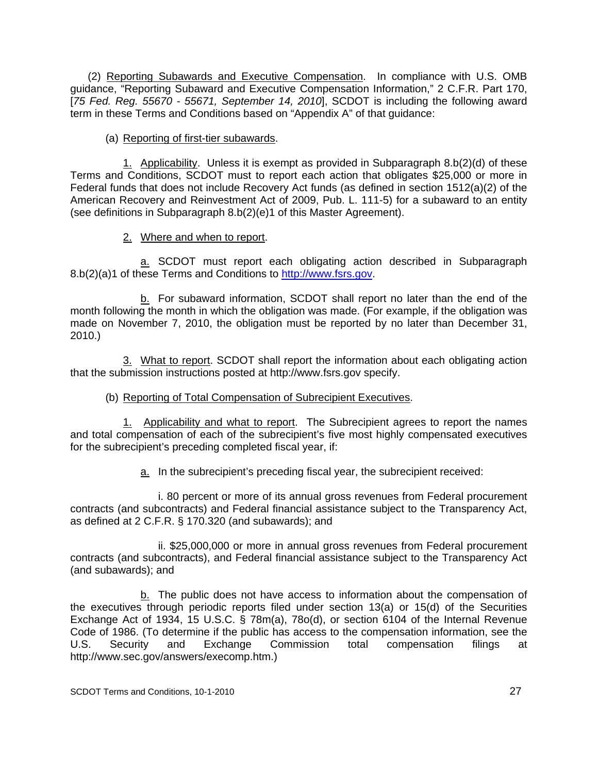(2) Reporting Subawards and Executive Compensation. In compliance with U.S. OMB guidance, "Reporting Subaward and Executive Compensation Information," 2 C.F.R. Part 170, [*75 Fed. Reg. 55670 - 55671, September 14, 2010*], SCDOT is including the following award term in these Terms and Conditions based on "Appendix A" of that guidance:

#### (a) Reporting of first-tier subawards.

1. Applicability. Unless it is exempt as provided in Subparagraph 8.b(2)(d) of these Terms and Conditions, SCDOT must to report each action that obligates \$25,000 or more in Federal funds that does not include Recovery Act funds (as defined in section 1512(a)(2) of the American Recovery and Reinvestment Act of 2009, Pub. L. 111-5) for a subaward to an entity (see definitions in Subparagraph 8.b(2)(e)1 of this Master Agreement).

#### 2. Where and when to report.

a. SCDOT must report each obligating action described in Subparagraph 8.b(2)(a)1 of these Terms and Conditions to http://www.fsrs.gov.

b. For subaward information, SCDOT shall report no later than the end of the month following the month in which the obligation was made. (For example, if the obligation was made on November 7, 2010, the obligation must be reported by no later than December 31, 2010.)

3. What to report. SCDOT shall report the information about each obligating action that the submission instructions posted at http://www.fsrs.gov specify.

## (b) Reporting of Total Compensation of Subrecipient Executives.

1. Applicability and what to report. The Subrecipient agrees to report the names and total compensation of each of the subrecipient's five most highly compensated executives for the subrecipient's preceding completed fiscal year, if:

a. In the subrecipient's preceding fiscal year, the subrecipient received:

i. 80 percent or more of its annual gross revenues from Federal procurement contracts (and subcontracts) and Federal financial assistance subject to the Transparency Act, as defined at 2 C.F.R. § 170.320 (and subawards); and

ii. \$25,000,000 or more in annual gross revenues from Federal procurement contracts (and subcontracts), and Federal financial assistance subject to the Transparency Act (and subawards); and

b. The public does not have access to information about the compensation of the executives through periodic reports filed under section 13(a) or 15(d) of the Securities Exchange Act of 1934, 15 U.S.C. § 78m(a), 78o(d), or section 6104 of the Internal Revenue Code of 1986. (To determine if the public has access to the compensation information, see the U.S. Security and Exchange Commission total compensation filings at http://www.sec.gov/answers/execomp.htm.)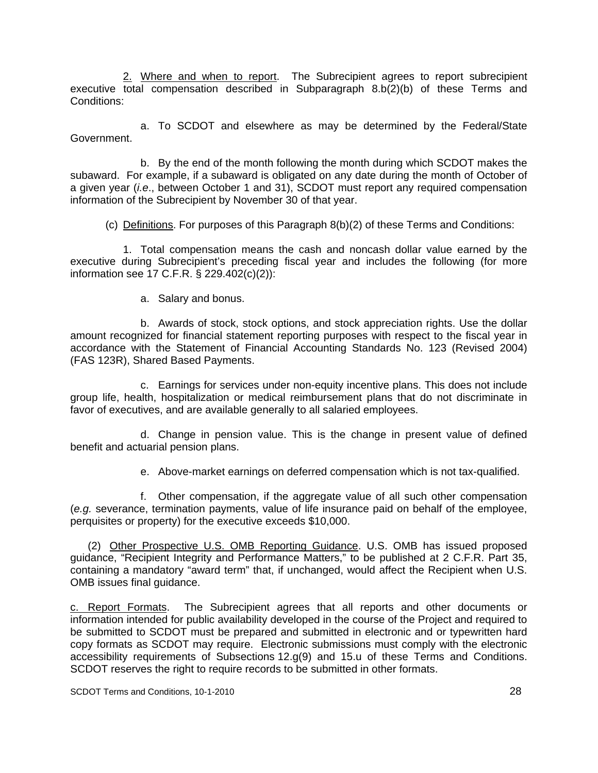2. Where and when to report. The Subrecipient agrees to report subrecipient executive total compensation described in Subparagraph 8.b(2)(b) of these Terms and Conditions:

a. To SCDOT and elsewhere as may be determined by the Federal/State Government.

b. By the end of the month following the month during which SCDOT makes the subaward. For example, if a subaward is obligated on any date during the month of October of a given year (*i.e*., between October 1 and 31), SCDOT must report any required compensation information of the Subrecipient by November 30 of that year.

(c) Definitions. For purposes of this Paragraph 8(b)(2) of these Terms and Conditions:

1. Total compensation means the cash and noncash dollar value earned by the executive during Subrecipient's preceding fiscal year and includes the following (for more information see 17 C.F.R. § 229.402(c)(2)):

a. Salary and bonus.

b. Awards of stock, stock options, and stock appreciation rights. Use the dollar amount recognized for financial statement reporting purposes with respect to the fiscal year in accordance with the Statement of Financial Accounting Standards No. 123 (Revised 2004) (FAS 123R), Shared Based Payments.

c. Earnings for services under non-equity incentive plans. This does not include group life, health, hospitalization or medical reimbursement plans that do not discriminate in favor of executives, and are available generally to all salaried employees.

d. Change in pension value. This is the change in present value of defined benefit and actuarial pension plans.

e. Above-market earnings on deferred compensation which is not tax-qualified.

f. Other compensation, if the aggregate value of all such other compensation (*e.g.* severance, termination payments, value of life insurance paid on behalf of the employee, perquisites or property) for the executive exceeds \$10,000.

 (2) Other Prospective U.S. OMB Reporting Guidance. U.S. OMB has issued proposed guidance, "Recipient Integrity and Performance Matters," to be published at 2 C.F.R. Part 35, containing a mandatory "award term" that, if unchanged, would affect the Recipient when U.S. OMB issues final guidance.

c. Report Formats. The Subrecipient agrees that all reports and other documents or information intended for public availability developed in the course of the Project and required to be submitted to SCDOT must be prepared and submitted in electronic and or typewritten hard copy formats as SCDOT may require. Electronic submissions must comply with the electronic accessibility requirements of Subsections 12.g(9) and 15.u of these Terms and Conditions. SCDOT reserves the right to require records to be submitted in other formats.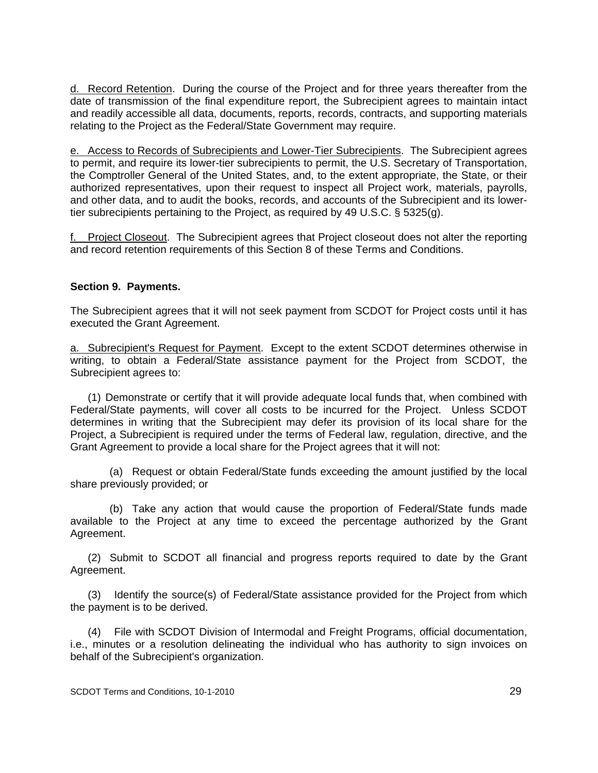d. Record Retention. During the course of the Project and for three years thereafter from the date of transmission of the final expenditure report, the Subrecipient agrees to maintain intact and readily accessible all data, documents, reports, records, contracts, and supporting materials relating to the Project as the Federal/State Government may require.

e. Access to Records of Subrecipients and Lower-Tier Subrecipients. The Subrecipient agrees to permit, and require its lower-tier subrecipients to permit, the U.S. Secretary of Transportation, the Comptroller General of the United States, and, to the extent appropriate, the State, or their authorized representatives, upon their request to inspect all Project work, materials, payrolls, and other data, and to audit the books, records, and accounts of the Subrecipient and its lowertier subrecipients pertaining to the Project, as required by 49 U.S.C. § 5325(g).

f. Project Closeout. The Subrecipient agrees that Project closeout does not alter the reporting and record retention requirements of this Section 8 of these Terms and Conditions.

#### **Section 9. Payments.**

The Subrecipient agrees that it will not seek payment from SCDOT for Project costs until it has executed the Grant Agreement.

a. Subrecipient's Request for Payment. Except to the extent SCDOT determines otherwise in writing, to obtain a Federal/State assistance payment for the Project from SCDOT, the Subrecipient agrees to:

 (1) Demonstrate or certify that it will provide adequate local funds that, when combined with Federal/State payments, will cover all costs to be incurred for the Project. Unless SCDOT determines in writing that the Subrecipient may defer its provision of its local share for the Project, a Subrecipient is required under the terms of Federal law, regulation, directive, and the Grant Agreement to provide a local share for the Project agrees that it will not:

 (a) Request or obtain Federal/State funds exceeding the amount justified by the local share previously provided; or

 (b) Take any action that would cause the proportion of Federal/State funds made available to the Project at any time to exceed the percentage authorized by the Grant Agreement.

 (2) Submit to SCDOT all financial and progress reports required to date by the Grant Agreement.

 (3) Identify the source(s) of Federal/State assistance provided for the Project from which the payment is to be derived.

 (4) File with SCDOT Division of Intermodal and Freight Programs, official documentation, i.e., minutes or a resolution delineating the individual who has authority to sign invoices on behalf of the Subrecipient's organization.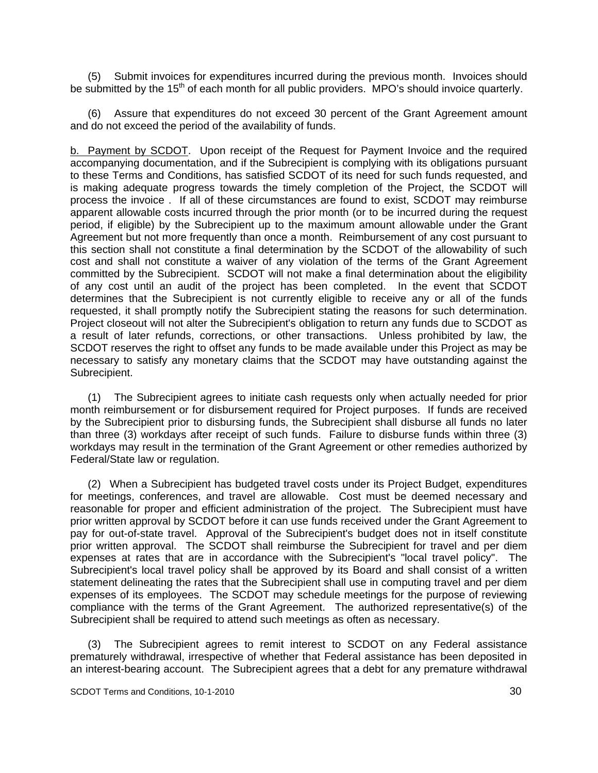(5) Submit invoices for expenditures incurred during the previous month. Invoices should be submitted by the 15<sup>th</sup> of each month for all public providers. MPO's should invoice quarterly.

 (6) Assure that expenditures do not exceed 30 percent of the Grant Agreement amount and do not exceed the period of the availability of funds.

b. Payment by SCDOT. Upon receipt of the Request for Payment Invoice and the required accompanying documentation, and if the Subrecipient is complying with its obligations pursuant to these Terms and Conditions, has satisfied SCDOT of its need for such funds requested, and is making adequate progress towards the timely completion of the Project, the SCDOT will process the invoice . If all of these circumstances are found to exist, SCDOT may reimburse apparent allowable costs incurred through the prior month (or to be incurred during the request period, if eligible) by the Subrecipient up to the maximum amount allowable under the Grant Agreement but not more frequently than once a month. Reimbursement of any cost pursuant to this section shall not constitute a final determination by the SCDOT of the allowability of such cost and shall not constitute a waiver of any violation of the terms of the Grant Agreement committed by the Subrecipient. SCDOT will not make a final determination about the eligibility of any cost until an audit of the project has been completed. In the event that SCDOT determines that the Subrecipient is not currently eligible to receive any or all of the funds requested, it shall promptly notify the Subrecipient stating the reasons for such determination. Project closeout will not alter the Subrecipient's obligation to return any funds due to SCDOT as a result of later refunds, corrections, or other transactions. Unless prohibited by law, the SCDOT reserves the right to offset any funds to be made available under this Project as may be necessary to satisfy any monetary claims that the SCDOT may have outstanding against the Subrecipient.

 (1) The Subrecipient agrees to initiate cash requests only when actually needed for prior month reimbursement or for disbursement required for Project purposes. If funds are received by the Subrecipient prior to disbursing funds, the Subrecipient shall disburse all funds no later than three (3) workdays after receipt of such funds. Failure to disburse funds within three (3) workdays may result in the termination of the Grant Agreement or other remedies authorized by Federal/State law or regulation.

 (2) When a Subrecipient has budgeted travel costs under its Project Budget, expenditures for meetings, conferences, and travel are allowable. Cost must be deemed necessary and reasonable for proper and efficient administration of the project. The Subrecipient must have prior written approval by SCDOT before it can use funds received under the Grant Agreement to pay for out-of-state travel. Approval of the Subrecipient's budget does not in itself constitute prior written approval. The SCDOT shall reimburse the Subrecipient for travel and per diem expenses at rates that are in accordance with the Subrecipient's "local travel policy". The Subrecipient's local travel policy shall be approved by its Board and shall consist of a written statement delineating the rates that the Subrecipient shall use in computing travel and per diem expenses of its employees. The SCDOT may schedule meetings for the purpose of reviewing compliance with the terms of the Grant Agreement. The authorized representative(s) of the Subrecipient shall be required to attend such meetings as often as necessary.

 (3) The Subrecipient agrees to remit interest to SCDOT on any Federal assistance prematurely withdrawal, irrespective of whether that Federal assistance has been deposited in an interest-bearing account. The Subrecipient agrees that a debt for any premature withdrawal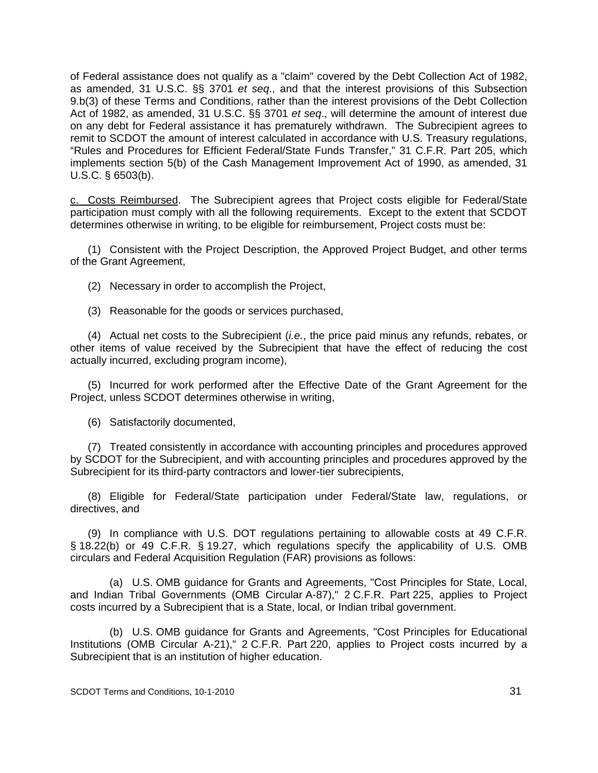of Federal assistance does not qualify as a "claim" covered by the Debt Collection Act of 1982, as amended, 31 U.S.C. §§ 3701 *et seq*., and that the interest provisions of this Subsection 9.b(3) of these Terms and Conditions, rather than the interest provisions of the Debt Collection Act of 1982, as amended, 31 U.S.C. §§ 3701 *et seq*., will determine the amount of interest due on any debt for Federal assistance it has prematurely withdrawn. The Subrecipient agrees to remit to SCDOT the amount of interest calculated in accordance with U.S. Treasury regulations, "Rules and Procedures for Efficient Federal/State Funds Transfer," 31 C.F.R. Part 205, which implements section 5(b) of the Cash Management Improvement Act of 1990, as amended, 31 U.S.C. § 6503(b).

c. Costs Reimbursed. The Subrecipient agrees that Project costs eligible for Federal/State participation must comply with all the following requirements. Except to the extent that SCDOT determines otherwise in writing, to be eligible for reimbursement, Project costs must be:

 (1) Consistent with the Project Description, the Approved Project Budget, and other terms of the Grant Agreement,

(2) Necessary in order to accomplish the Project,

(3) Reasonable for the goods or services purchased,

 (4) Actual net costs to the Subrecipient (*i.e.*, the price paid minus any refunds, rebates, or other items of value received by the Subrecipient that have the effect of reducing the cost actually incurred, excluding program income),

 (5) Incurred for work performed after the Effective Date of the Grant Agreement for the Project, unless SCDOT determines otherwise in writing,

(6) Satisfactorily documented,

 (7) Treated consistently in accordance with accounting principles and procedures approved by SCDOT for the Subrecipient, and with accounting principles and procedures approved by the Subrecipient for its third-party contractors and lower-tier subrecipients,

 (8) Eligible for Federal/State participation under Federal/State law, regulations, or directives, and

 (9) In compliance with U.S. DOT regulations pertaining to allowable costs at 49 C.F.R. § 18.22(b) or 49 C.F.R. § 19.27, which regulations specify the applicability of U.S. OMB circulars and Federal Acquisition Regulation (FAR) provisions as follows:

 (a) U.S. OMB guidance for Grants and Agreements, "Cost Principles for State, Local, and Indian Tribal Governments (OMB Circular A-87)," 2 C.F.R. Part 225, applies to Project costs incurred by a Subrecipient that is a State, local, or Indian tribal government.

 (b) U.S. OMB guidance for Grants and Agreements, "Cost Principles for Educational Institutions (OMB Circular A-21)," 2 C.F.R. Part 220, applies to Project costs incurred by a Subrecipient that is an institution of higher education.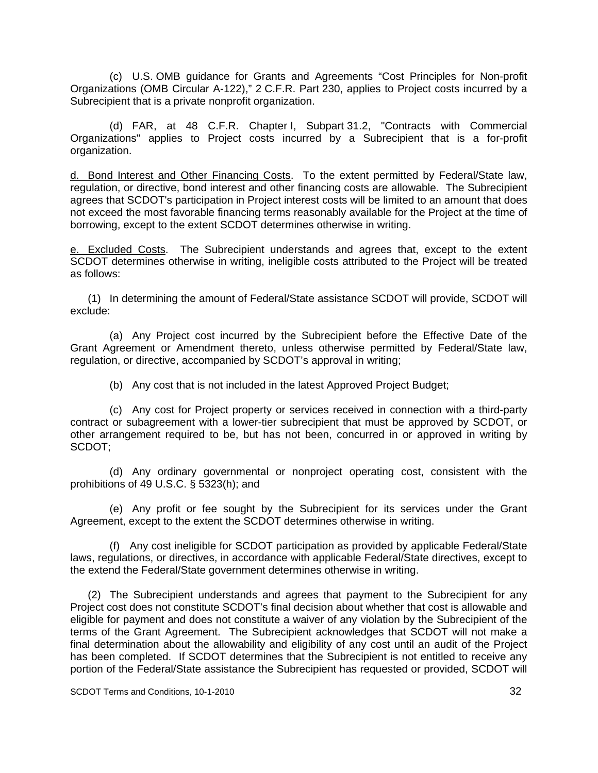(c) U.S. OMB guidance for Grants and Agreements "Cost Principles for Non-profit Organizations (OMB Circular A-122)," 2 C.F.R. Part 230, applies to Project costs incurred by a Subrecipient that is a private nonprofit organization.

 (d) FAR, at 48 C.F.R. Chapter I, Subpart 31.2, "Contracts with Commercial Organizations" applies to Project costs incurred by a Subrecipient that is a for-profit organization.

d. Bond Interest and Other Financing Costs. To the extent permitted by Federal/State law, regulation, or directive, bond interest and other financing costs are allowable. The Subrecipient agrees that SCDOT's participation in Project interest costs will be limited to an amount that does not exceed the most favorable financing terms reasonably available for the Project at the time of borrowing, except to the extent SCDOT determines otherwise in writing.

e. Excluded Costs. The Subrecipient understands and agrees that, except to the extent SCDOT determines otherwise in writing, ineligible costs attributed to the Project will be treated as follows:

 (1) In determining the amount of Federal/State assistance SCDOT will provide, SCDOT will exclude:

 (a) Any Project cost incurred by the Subrecipient before the Effective Date of the Grant Agreement or Amendment thereto, unless otherwise permitted by Federal/State law, regulation, or directive, accompanied by SCDOT's approval in writing;

(b) Any cost that is not included in the latest Approved Project Budget;

 (c) Any cost for Project property or services received in connection with a third-party contract or subagreement with a lower-tier subrecipient that must be approved by SCDOT, or other arrangement required to be, but has not been, concurred in or approved in writing by SCDOT;

 (d) Any ordinary governmental or nonproject operating cost, consistent with the prohibitions of 49 U.S.C. § 5323(h); and

 (e) Any profit or fee sought by the Subrecipient for its services under the Grant Agreement, except to the extent the SCDOT determines otherwise in writing.

 (f) Any cost ineligible for SCDOT participation as provided by applicable Federal/State laws, regulations, or directives, in accordance with applicable Federal/State directives, except to the extend the Federal/State government determines otherwise in writing.

 (2) The Subrecipient understands and agrees that payment to the Subrecipient for any Project cost does not constitute SCDOT's final decision about whether that cost is allowable and eligible for payment and does not constitute a waiver of any violation by the Subrecipient of the terms of the Grant Agreement. The Subrecipient acknowledges that SCDOT will not make a final determination about the allowability and eligibility of any cost until an audit of the Project has been completed. If SCDOT determines that the Subrecipient is not entitled to receive any portion of the Federal/State assistance the Subrecipient has requested or provided, SCDOT will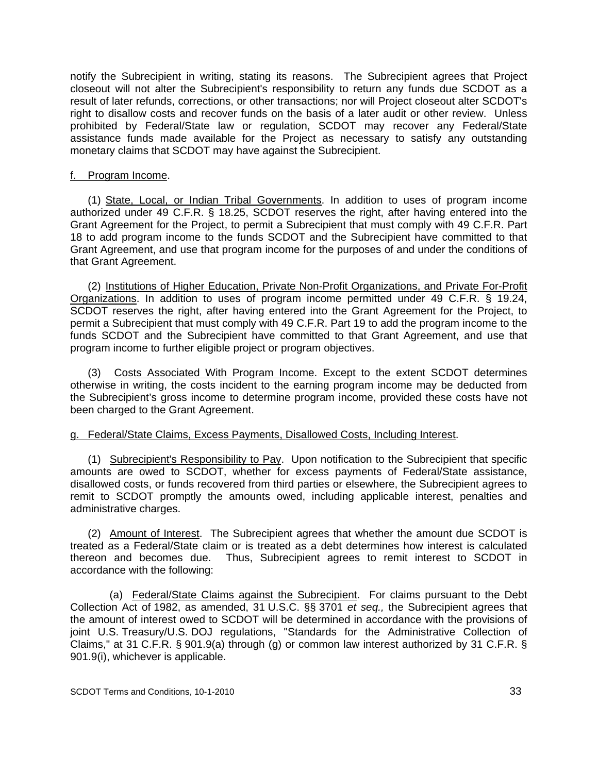notify the Subrecipient in writing, stating its reasons. The Subrecipient agrees that Project closeout will not alter the Subrecipient's responsibility to return any funds due SCDOT as a result of later refunds, corrections, or other transactions; nor will Project closeout alter SCDOT's right to disallow costs and recover funds on the basis of a later audit or other review. Unless prohibited by Federal/State law or regulation, SCDOT may recover any Federal/State assistance funds made available for the Project as necessary to satisfy any outstanding monetary claims that SCDOT may have against the Subrecipient.

#### f. Program Income.

(1) State, Local, or Indian Tribal Governments. In addition to uses of program income authorized under 49 C.F.R. § 18.25, SCDOT reserves the right, after having entered into the Grant Agreement for the Project, to permit a Subrecipient that must comply with 49 C.F.R. Part 18 to add program income to the funds SCDOT and the Subrecipient have committed to that Grant Agreement, and use that program income for the purposes of and under the conditions of that Grant Agreement.

(2) Institutions of Higher Education, Private Non-Profit Organizations, and Private For-Profit Organizations. In addition to uses of program income permitted under 49 C.F.R. § 19.24, SCDOT reserves the right, after having entered into the Grant Agreement for the Project, to permit a Subrecipient that must comply with 49 C.F.R. Part 19 to add the program income to the funds SCDOT and the Subrecipient have committed to that Grant Agreement, and use that program income to further eligible project or program objectives.

 (3) Costs Associated With Program Income. Except to the extent SCDOT determines otherwise in writing, the costs incident to the earning program income may be deducted from the Subrecipient's gross income to determine program income, provided these costs have not been charged to the Grant Agreement.

## g. Federal/State Claims, Excess Payments, Disallowed Costs, Including Interest.

 (1) Subrecipient's Responsibility to Pay. Upon notification to the Subrecipient that specific amounts are owed to SCDOT, whether for excess payments of Federal/State assistance, disallowed costs, or funds recovered from third parties or elsewhere, the Subrecipient agrees to remit to SCDOT promptly the amounts owed, including applicable interest, penalties and administrative charges.

 (2) Amount of Interest. The Subrecipient agrees that whether the amount due SCDOT is treated as a Federal/State claim or is treated as a debt determines how interest is calculated thereon and becomes due. Thus, Subrecipient agrees to remit interest to SCDOT in accordance with the following:

 (a) Federal/State Claims against the Subrecipient. For claims pursuant to the Debt Collection Act of 1982, as amended, 31 U.S.C. §§ 3701 *et seq.,* the Subrecipient agrees that the amount of interest owed to SCDOT will be determined in accordance with the provisions of joint U.S. Treasury/U.S. DOJ regulations, "Standards for the Administrative Collection of Claims," at 31 C.F.R. § 901.9(a) through (g) or common law interest authorized by 31 C.F.R. § 901.9(i), whichever is applicable.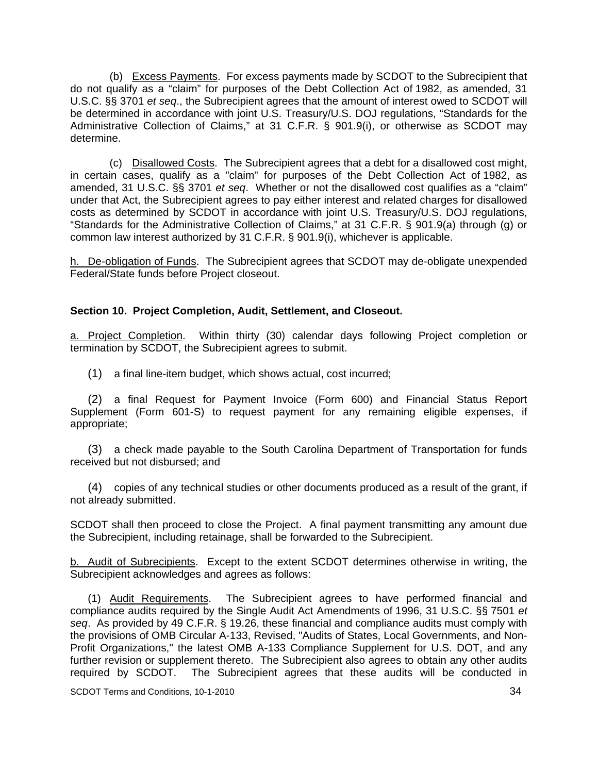(b) Excess Payments. For excess payments made by SCDOT to the Subrecipient that do not qualify as a "claim" for purposes of the Debt Collection Act of 1982, as amended, 31 U.S.C. §§ 3701 *et seq*., the Subrecipient agrees that the amount of interest owed to SCDOT will be determined in accordance with joint U.S. Treasury/U.S. DOJ regulations, "Standards for the Administrative Collection of Claims," at 31 C.F.R. § 901.9(i), or otherwise as SCDOT may determine.

 (c) Disallowed Costs. The Subrecipient agrees that a debt for a disallowed cost might, in certain cases, qualify as a "claim" for purposes of the Debt Collection Act of 1982, as amended, 31 U.S.C. §§ 3701 *et seq*. Whether or not the disallowed cost qualifies as a "claim" under that Act, the Subrecipient agrees to pay either interest and related charges for disallowed costs as determined by SCDOT in accordance with joint U.S. Treasury/U.S. DOJ regulations, "Standards for the Administrative Collection of Claims," at 31 C.F.R. § 901.9(a) through (g) or common law interest authorized by 31 C.F.R. § 901.9(i), whichever is applicable.

h. De-obligation of Funds. The Subrecipient agrees that SCDOT may de-obligate unexpended Federal/State funds before Project closeout.

#### **Section 10. Project Completion, Audit, Settlement, and Closeout.**

a. Project Completion. Within thirty (30) calendar days following Project completion or termination by SCDOT, the Subrecipient agrees to submit.

(1) a final line-item budget, which shows actual, cost incurred;

(2) a final Request for Payment Invoice (Form 600) and Financial Status Report Supplement (Form 601-S) to request payment for any remaining eligible expenses, if appropriate;

(3) a check made payable to the South Carolina Department of Transportation for funds received but not disbursed; and

(4) copies of any technical studies or other documents produced as a result of the grant, if not already submitted.

SCDOT shall then proceed to close the Project. A final payment transmitting any amount due the Subrecipient, including retainage, shall be forwarded to the Subrecipient.

b. Audit of Subrecipients. Except to the extent SCDOT determines otherwise in writing, the Subrecipient acknowledges and agrees as follows:

 (1) Audit Requirements. The Subrecipient agrees to have performed financial and compliance audits required by the Single Audit Act Amendments of 1996, 31 U.S.C. §§ 7501 *et seq*. As provided by 49 C.F.R. § 19.26, these financial and compliance audits must comply with the provisions of OMB Circular A-133, Revised, "Audits of States, Local Governments, and Non-Profit Organizations," the latest OMB A-133 Compliance Supplement for U.S. DOT, and any further revision or supplement thereto. The Subrecipient also agrees to obtain any other audits required by SCDOT. The Subrecipient agrees that these audits will be conducted in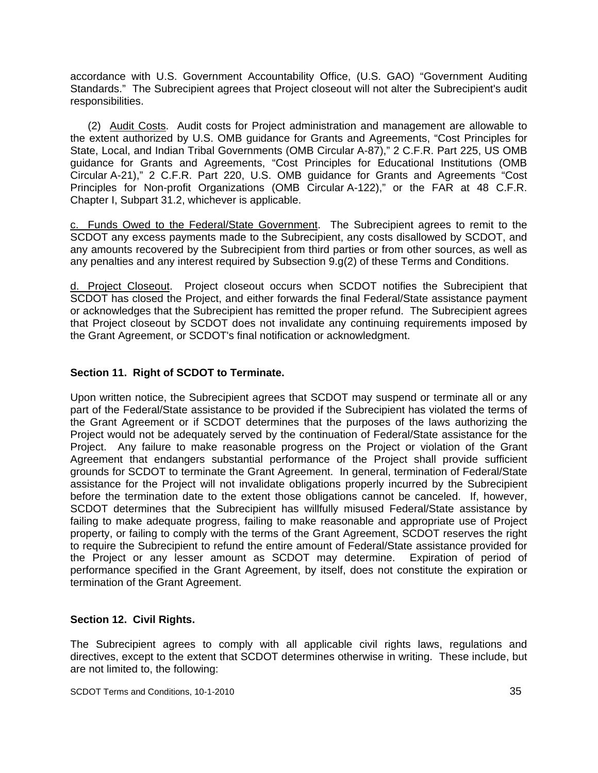accordance with U.S. Government Accountability Office, (U.S. GAO) "Government Auditing Standards." The Subrecipient agrees that Project closeout will not alter the Subrecipient's audit responsibilities.

 (2) Audit Costs. Audit costs for Project administration and management are allowable to the extent authorized by U.S. OMB guidance for Grants and Agreements, "Cost Principles for State, Local, and Indian Tribal Governments (OMB Circular A-87)," 2 C.F.R. Part 225, US OMB guidance for Grants and Agreements, "Cost Principles for Educational Institutions (OMB Circular A-21)," 2 C.F.R. Part 220, U.S. OMB guidance for Grants and Agreements "Cost Principles for Non-profit Organizations (OMB Circular A-122)," or the FAR at 48 C.F.R. Chapter I, Subpart 31.2, whichever is applicable.

c. Funds Owed to the Federal/State Government. The Subrecipient agrees to remit to the SCDOT any excess payments made to the Subrecipient, any costs disallowed by SCDOT, and any amounts recovered by the Subrecipient from third parties or from other sources, as well as any penalties and any interest required by Subsection 9.g(2) of these Terms and Conditions.

d. Project Closeout. Project closeout occurs when SCDOT notifies the Subrecipient that SCDOT has closed the Project, and either forwards the final Federal/State assistance payment or acknowledges that the Subrecipient has remitted the proper refund. The Subrecipient agrees that Project closeout by SCDOT does not invalidate any continuing requirements imposed by the Grant Agreement, or SCDOT's final notification or acknowledgment.

# **Section 11. Right of SCDOT to Terminate.**

Upon written notice, the Subrecipient agrees that SCDOT may suspend or terminate all or any part of the Federal/State assistance to be provided if the Subrecipient has violated the terms of the Grant Agreement or if SCDOT determines that the purposes of the laws authorizing the Project would not be adequately served by the continuation of Federal/State assistance for the Project. Any failure to make reasonable progress on the Project or violation of the Grant Agreement that endangers substantial performance of the Project shall provide sufficient grounds for SCDOT to terminate the Grant Agreement. In general, termination of Federal/State assistance for the Project will not invalidate obligations properly incurred by the Subrecipient before the termination date to the extent those obligations cannot be canceled. If, however, SCDOT determines that the Subrecipient has willfully misused Federal/State assistance by failing to make adequate progress, failing to make reasonable and appropriate use of Project property, or failing to comply with the terms of the Grant Agreement, SCDOT reserves the right to require the Subrecipient to refund the entire amount of Federal/State assistance provided for the Project or any lesser amount as SCDOT may determine. Expiration of period of performance specified in the Grant Agreement, by itself, does not constitute the expiration or termination of the Grant Agreement.

## **Section 12. Civil Rights.**

The Subrecipient agrees to comply with all applicable civil rights laws, regulations and directives, except to the extent that SCDOT determines otherwise in writing. These include, but are not limited to, the following: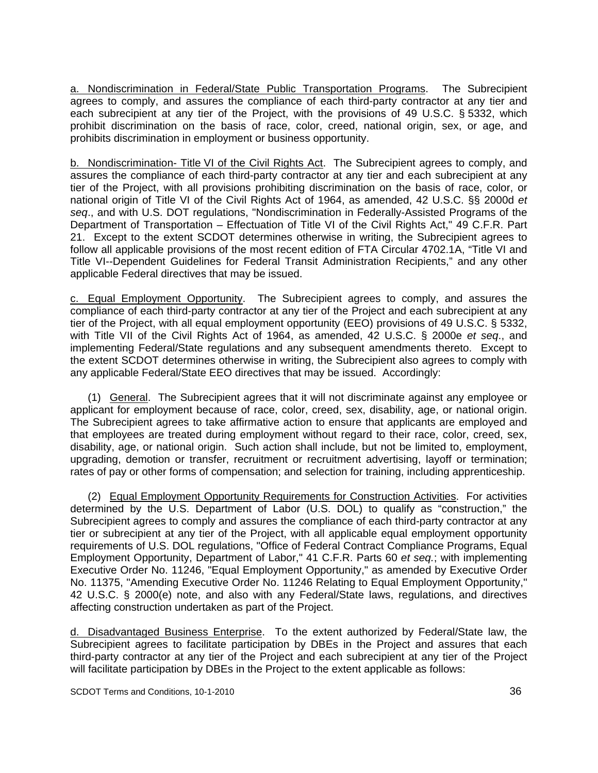a. Nondiscrimination in Federal/State Public Transportation Programs. The Subrecipient agrees to comply, and assures the compliance of each third-party contractor at any tier and each subrecipient at any tier of the Project, with the provisions of 49 U.S.C. § 5332, which prohibit discrimination on the basis of race, color, creed, national origin, sex, or age, and prohibits discrimination in employment or business opportunity.

b. Nondiscrimination- Title VI of the Civil Rights Act. The Subrecipient agrees to comply, and assures the compliance of each third-party contractor at any tier and each subrecipient at any tier of the Project, with all provisions prohibiting discrimination on the basis of race, color, or national origin of Title VI of the Civil Rights Act of 1964, as amended, 42 U.S.C. §§ 2000d *et seq*., and with U.S. DOT regulations, "Nondiscrimination in Federally-Assisted Programs of the Department of Transportation – Effectuation of Title VI of the Civil Rights Act," 49 C.F.R. Part 21. Except to the extent SCDOT determines otherwise in writing, the Subrecipient agrees to follow all applicable provisions of the most recent edition of FTA Circular 4702.1A, "Title VI and Title VI--Dependent Guidelines for Federal Transit Administration Recipients," and any other applicable Federal directives that may be issued.

c. Equal Employment Opportunity. The Subrecipient agrees to comply, and assures the compliance of each third-party contractor at any tier of the Project and each subrecipient at any tier of the Project, with all equal employment opportunity (EEO) provisions of 49 U.S.C. § 5332, with Title VII of the Civil Rights Act of 1964, as amended, 42 U.S.C. § 2000e *et seq*., and implementing Federal/State regulations and any subsequent amendments thereto. Except to the extent SCDOT determines otherwise in writing, the Subrecipient also agrees to comply with any applicable Federal/State EEO directives that may be issued. Accordingly:

 (1) General. The Subrecipient agrees that it will not discriminate against any employee or applicant for employment because of race, color, creed, sex, disability, age, or national origin. The Subrecipient agrees to take affirmative action to ensure that applicants are employed and that employees are treated during employment without regard to their race, color, creed, sex, disability, age, or national origin. Such action shall include, but not be limited to, employment, upgrading, demotion or transfer, recruitment or recruitment advertising, layoff or termination; rates of pay or other forms of compensation; and selection for training, including apprenticeship.

 (2) Equal Employment Opportunity Requirements for Construction Activities. For activities determined by the U.S. Department of Labor (U.S. DOL) to qualify as "construction," the Subrecipient agrees to comply and assures the compliance of each third-party contractor at any tier or subrecipient at any tier of the Project, with all applicable equal employment opportunity requirements of U.S. DOL regulations, "Office of Federal Contract Compliance Programs, Equal Employment Opportunity, Department of Labor," 41 C.F.R. Parts 60 *et seq.*; with implementing Executive Order No. 11246, "Equal Employment Opportunity," as amended by Executive Order No. 11375, "Amending Executive Order No. 11246 Relating to Equal Employment Opportunity," 42 U.S.C. § 2000(e) note, and also with any Federal/State laws, regulations, and directives affecting construction undertaken as part of the Project.

d. Disadvantaged Business Enterprise. To the extent authorized by Federal/State law, the Subrecipient agrees to facilitate participation by DBEs in the Project and assures that each third-party contractor at any tier of the Project and each subrecipient at any tier of the Project will facilitate participation by DBEs in the Project to the extent applicable as follows: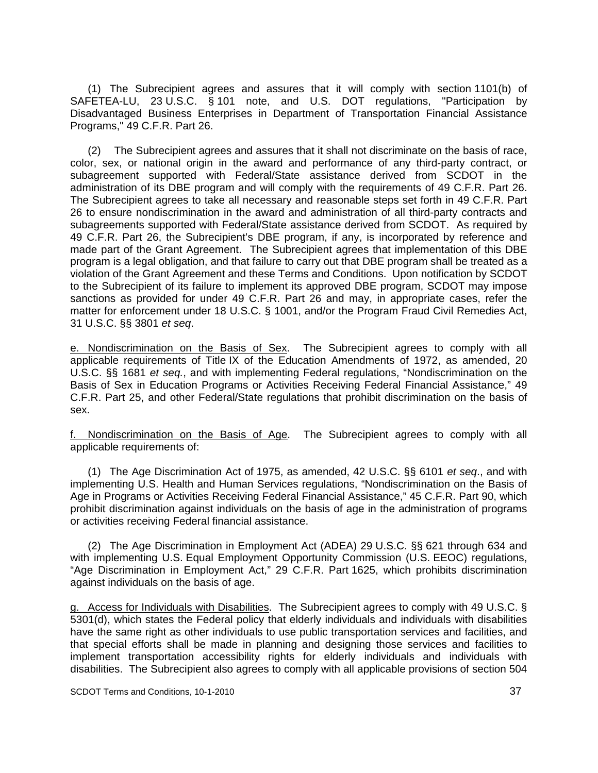(1) The Subrecipient agrees and assures that it will comply with section 1101(b) of SAFETEA-LU, 23 U.S.C. § 101 note, and U.S. DOT regulations, "Participation by Disadvantaged Business Enterprises in Department of Transportation Financial Assistance Programs," 49 C.F.R. Part 26.

(2) The Subrecipient agrees and assures that it shall not discriminate on the basis of race, color, sex, or national origin in the award and performance of any third-party contract, or subagreement supported with Federal/State assistance derived from SCDOT in the administration of its DBE program and will comply with the requirements of 49 C.F.R. Part 26. The Subrecipient agrees to take all necessary and reasonable steps set forth in 49 C.F.R. Part 26 to ensure nondiscrimination in the award and administration of all third-party contracts and subagreements supported with Federal/State assistance derived from SCDOT. As required by 49 C.F.R. Part 26, the Subrecipient's DBE program, if any, is incorporated by reference and made part of the Grant Agreement. The Subrecipient agrees that implementation of this DBE program is a legal obligation, and that failure to carry out that DBE program shall be treated as a violation of the Grant Agreement and these Terms and Conditions. Upon notification by SCDOT to the Subrecipient of its failure to implement its approved DBE program, SCDOT may impose sanctions as provided for under 49 C.F.R. Part 26 and may, in appropriate cases, refer the matter for enforcement under 18 U.S.C. § 1001, and/or the Program Fraud Civil Remedies Act, 31 U.S.C. §§ 3801 *et seq*.

e. Nondiscrimination on the Basis of Sex. The Subrecipient agrees to comply with all applicable requirements of Title IX of the Education Amendments of 1972, as amended, 20 U.S.C. §§ 1681 *et seq.*, and with implementing Federal regulations, "Nondiscrimination on the Basis of Sex in Education Programs or Activities Receiving Federal Financial Assistance," 49 C.F.R. Part 25, and other Federal/State regulations that prohibit discrimination on the basis of sex.

f. Nondiscrimination on the Basis of Age. The Subrecipient agrees to comply with all applicable requirements of:

 (1) The Age Discrimination Act of 1975, as amended, 42 U.S.C. §§ 6101 *et seq*., and with implementing U.S. Health and Human Services regulations, "Nondiscrimination on the Basis of Age in Programs or Activities Receiving Federal Financial Assistance," 45 C.F.R. Part 90, which prohibit discrimination against individuals on the basis of age in the administration of programs or activities receiving Federal financial assistance.

 (2) The Age Discrimination in Employment Act (ADEA) 29 U.S.C. §§ 621 through 634 and with implementing U.S. Equal Employment Opportunity Commission (U.S. EEOC) regulations, "Age Discrimination in Employment Act," 29 C.F.R. Part 1625, which prohibits discrimination against individuals on the basis of age.

g. Access for Individuals with Disabilities. The Subrecipient agrees to comply with 49 U.S.C. § 5301(d), which states the Federal policy that elderly individuals and individuals with disabilities have the same right as other individuals to use public transportation services and facilities, and that special efforts shall be made in planning and designing those services and facilities to implement transportation accessibility rights for elderly individuals and individuals with disabilities. The Subrecipient also agrees to comply with all applicable provisions of section 504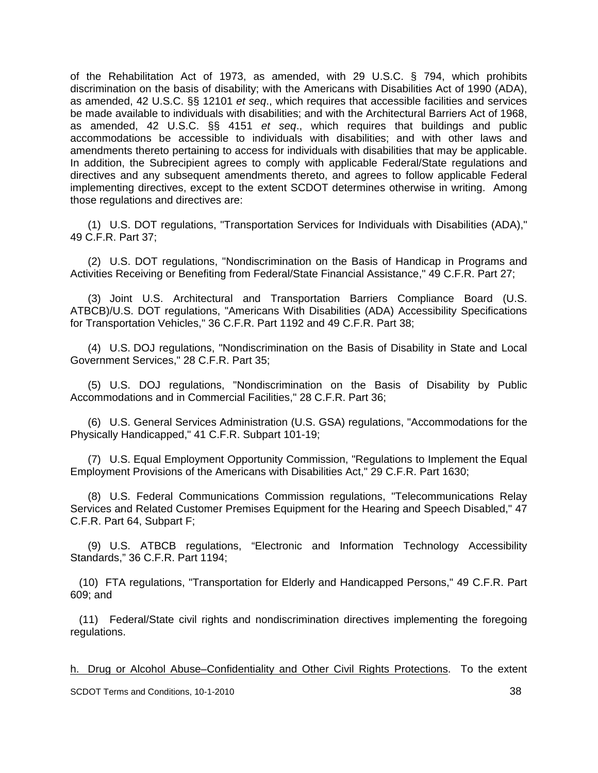of the Rehabilitation Act of 1973, as amended, with 29 U.S.C. § 794, which prohibits discrimination on the basis of disability; with the Americans with Disabilities Act of 1990 (ADA), as amended, 42 U.S.C. §§ 12101 *et seq*., which requires that accessible facilities and services be made available to individuals with disabilities; and with the Architectural Barriers Act of 1968, as amended, 42 U.S.C. §§ 4151 *et seq*., which requires that buildings and public accommodations be accessible to individuals with disabilities; and with other laws and amendments thereto pertaining to access for individuals with disabilities that may be applicable. In addition, the Subrecipient agrees to comply with applicable Federal/State regulations and directives and any subsequent amendments thereto, and agrees to follow applicable Federal implementing directives, except to the extent SCDOT determines otherwise in writing. Among those regulations and directives are:

 (1) U.S. DOT regulations, "Transportation Services for Individuals with Disabilities (ADA)," 49 C.F.R. Part 37;

 (2) U.S. DOT regulations, "Nondiscrimination on the Basis of Handicap in Programs and Activities Receiving or Benefiting from Federal/State Financial Assistance," 49 C.F.R. Part 27;

 (3) Joint U.S. Architectural and Transportation Barriers Compliance Board (U.S. ATBCB)/U.S. DOT regulations, "Americans With Disabilities (ADA) Accessibility Specifications for Transportation Vehicles," 36 C.F.R. Part 1192 and 49 C.F.R. Part 38;

 (4) U.S. DOJ regulations, "Nondiscrimination on the Basis of Disability in State and Local Government Services," 28 C.F.R. Part 35;

 (5) U.S. DOJ regulations, "Nondiscrimination on the Basis of Disability by Public Accommodations and in Commercial Facilities," 28 C.F.R. Part 36;

 (6) U.S. General Services Administration (U.S. GSA) regulations, "Accommodations for the Physically Handicapped," 41 C.F.R. Subpart 101-19;

 (7) U.S. Equal Employment Opportunity Commission, "Regulations to Implement the Equal Employment Provisions of the Americans with Disabilities Act," 29 C.F.R. Part 1630;

 (8) U.S. Federal Communications Commission regulations, "Telecommunications Relay Services and Related Customer Premises Equipment for the Hearing and Speech Disabled," 47 C.F.R. Part 64, Subpart F;

 (9) U.S. ATBCB regulations, "Electronic and Information Technology Accessibility Standards," 36 C.F.R. Part 1194;

 (10) FTA regulations, "Transportation for Elderly and Handicapped Persons," 49 C.F.R. Part 609; and

 (11) Federal/State civil rights and nondiscrimination directives implementing the foregoing regulations.

h. Drug or Alcohol Abuse–Confidentiality and Other Civil Rights Protections. To the extent

SCDOT Terms and Conditions, 10-1-2010 38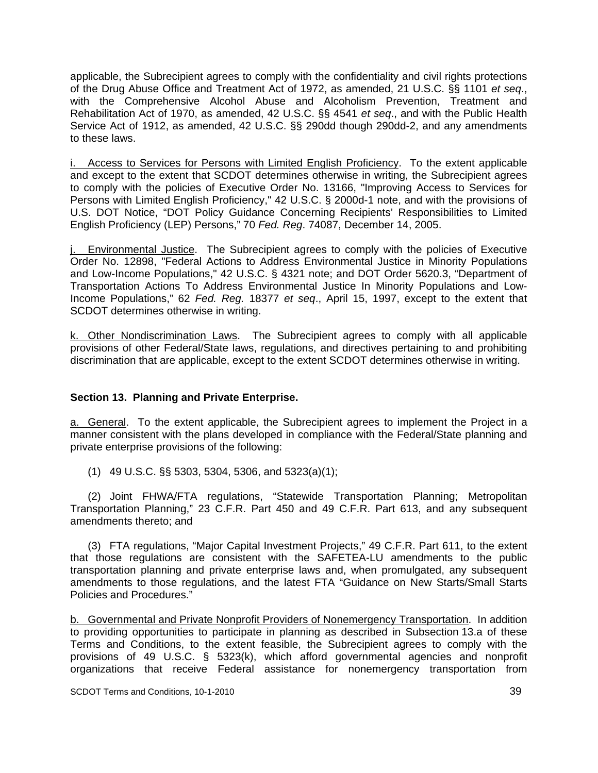applicable, the Subrecipient agrees to comply with the confidentiality and civil rights protections of the Drug Abuse Office and Treatment Act of 1972, as amended, 21 U.S.C. §§ 1101 *et seq*., with the Comprehensive Alcohol Abuse and Alcoholism Prevention, Treatment and Rehabilitation Act of 1970, as amended, 42 U.S.C. §§ 4541 *et seq*., and with the Public Health Service Act of 1912, as amended, 42 U.S.C. §§ 290dd though 290dd-2, and any amendments to these laws.

i. Access to Services for Persons with Limited English Proficiency. To the extent applicable and except to the extent that SCDOT determines otherwise in writing, the Subrecipient agrees to comply with the policies of Executive Order No. 13166, "Improving Access to Services for Persons with Limited English Proficiency," 42 U.S.C. § 2000d-1 note, and with the provisions of U.S. DOT Notice, "DOT Policy Guidance Concerning Recipients' Responsibilities to Limited English Proficiency (LEP) Persons," 70 *Fed. Reg*. 74087, December 14, 2005.

Environmental Justice. The Subrecipient agrees to comply with the policies of Executive Order No. 12898, "Federal Actions to Address Environmental Justice in Minority Populations and Low-Income Populations," 42 U.S.C. § 4321 note; and DOT Order 5620.3, "Department of Transportation Actions To Address Environmental Justice In Minority Populations and Low-Income Populations," 62 *Fed. Reg.* 18377 *et seq*., April 15, 1997, except to the extent that SCDOT determines otherwise in writing.

k. Other Nondiscrimination Laws. The Subrecipient agrees to comply with all applicable provisions of other Federal/State laws, regulations, and directives pertaining to and prohibiting discrimination that are applicable, except to the extent SCDOT determines otherwise in writing.

## **Section 13. Planning and Private Enterprise.**

a. General. To the extent applicable, the Subrecipient agrees to implement the Project in a manner consistent with the plans developed in compliance with the Federal/State planning and private enterprise provisions of the following:

(1) 49 U.S.C. §§ 5303, 5304, 5306, and 5323(a)(1);

 (2) Joint FHWA/FTA regulations, "Statewide Transportation Planning; Metropolitan Transportation Planning," 23 C.F.R. Part 450 and 49 C.F.R. Part 613, and any subsequent amendments thereto; and

 (3) FTA regulations, "Major Capital Investment Projects," 49 C.F.R. Part 611, to the extent that those regulations are consistent with the SAFETEA-LU amendments to the public transportation planning and private enterprise laws and, when promulgated, any subsequent amendments to those regulations, and the latest FTA "Guidance on New Starts/Small Starts Policies and Procedures."

b. Governmental and Private Nonprofit Providers of Nonemergency Transportation. In addition to providing opportunities to participate in planning as described in Subsection 13.a of these Terms and Conditions, to the extent feasible, the Subrecipient agrees to comply with the provisions of 49 U.S.C. § 5323(k), which afford governmental agencies and nonprofit organizations that receive Federal assistance for nonemergency transportation from

SCDOT Terms and Conditions, 10-1-2010 39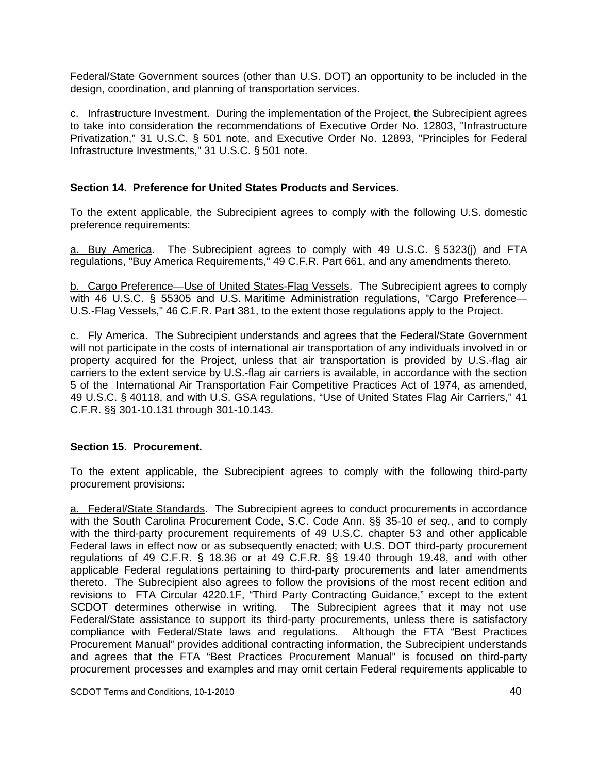Federal/State Government sources (other than U.S. DOT) an opportunity to be included in the design, coordination, and planning of transportation services.

c. Infrastructure Investment. During the implementation of the Project, the Subrecipient agrees to take into consideration the recommendations of Executive Order No. 12803, "Infrastructure Privatization," 31 U.S.C. § 501 note, and Executive Order No. 12893, "Principles for Federal Infrastructure Investments," 31 U.S.C. § 501 note.

## **Section 14. Preference for United States Products and Services.**

To the extent applicable, the Subrecipient agrees to comply with the following U.S. domestic preference requirements:

a. Buy America. The Subrecipient agrees to comply with 49 U.S.C. § 5323(j) and FTA regulations, "Buy America Requirements," 49 C.F.R. Part 661, and any amendments thereto.

b. Cargo Preference—Use of United States-Flag Vessels. The Subrecipient agrees to comply with 46 U.S.C. § 55305 and U.S. Maritime Administration regulations, "Cargo Preference-U.S.-Flag Vessels," 46 C.F.R. Part 381, to the extent those regulations apply to the Project.

c. Fly America. The Subrecipient understands and agrees that the Federal/State Government will not participate in the costs of international air transportation of any individuals involved in or property acquired for the Project, unless that air transportation is provided by U.S.-flag air carriers to the extent service by U.S.-flag air carriers is available, in accordance with the section 5 of the International Air Transportation Fair Competitive Practices Act of 1974, as amended, 49 U.S.C. § 40118, and with U.S. GSA regulations, "Use of United States Flag Air Carriers," 41 C.F.R. §§ 301-10.131 through 301-10.143.

#### **Section 15. Procurement.**

To the extent applicable, the Subrecipient agrees to comply with the following third-party procurement provisions:

a. Federal/State Standards. The Subrecipient agrees to conduct procurements in accordance with the South Carolina Procurement Code, S.C. Code Ann. §§ 35-10 *et seq.*, and to comply with the third-party procurement requirements of 49 U.S.C. chapter 53 and other applicable Federal laws in effect now or as subsequently enacted; with U.S. DOT third-party procurement regulations of 49 C.F.R. § 18.36 or at 49 C.F.R. §§ 19.40 through 19.48, and with other applicable Federal regulations pertaining to third-party procurements and later amendments thereto. The Subrecipient also agrees to follow the provisions of the most recent edition and revisions to FTA Circular 4220.1F, "Third Party Contracting Guidance," except to the extent SCDOT determines otherwise in writing. The Subrecipient agrees that it may not use Federal/State assistance to support its third-party procurements, unless there is satisfactory compliance with Federal/State laws and regulations. Although the FTA "Best Practices Procurement Manual" provides additional contracting information, the Subrecipient understands and agrees that the FTA "Best Practices Procurement Manual" is focused on third-party procurement processes and examples and may omit certain Federal requirements applicable to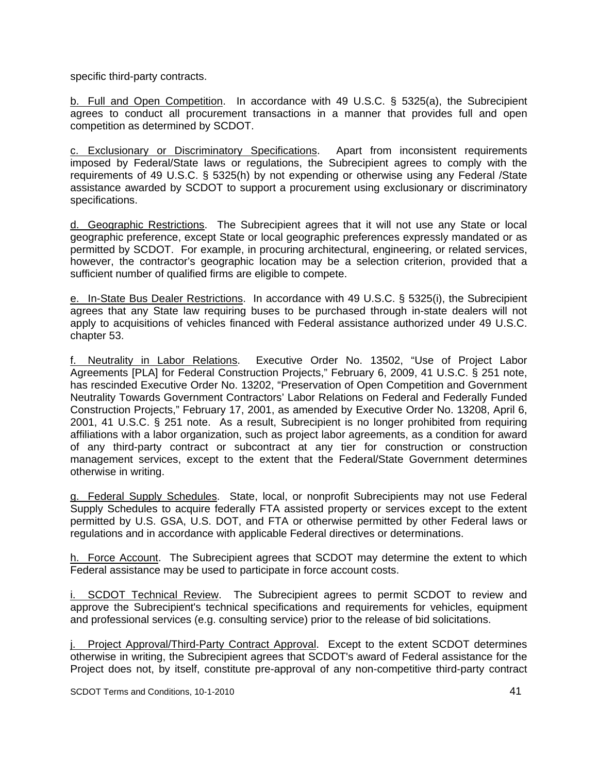specific third-party contracts.

b. Full and Open Competition. In accordance with 49 U.S.C. § 5325(a), the Subrecipient agrees to conduct all procurement transactions in a manner that provides full and open competition as determined by SCDOT.

c. Exclusionary or Discriminatory Specifications. Apart from inconsistent requirements imposed by Federal/State laws or regulations, the Subrecipient agrees to comply with the requirements of 49 U.S.C. § 5325(h) by not expending or otherwise using any Federal /State assistance awarded by SCDOT to support a procurement using exclusionary or discriminatory specifications.

d. Geographic Restrictions. The Subrecipient agrees that it will not use any State or local geographic preference, except State or local geographic preferences expressly mandated or as permitted by SCDOT. For example, in procuring architectural, engineering, or related services, however, the contractor's geographic location may be a selection criterion, provided that a sufficient number of qualified firms are eligible to compete.

e. In-State Bus Dealer Restrictions. In accordance with 49 U.S.C. § 5325(i), the Subrecipient agrees that any State law requiring buses to be purchased through in-state dealers will not apply to acquisitions of vehicles financed with Federal assistance authorized under 49 U.S.C. chapter 53.

f. Neutrality in Labor Relations. Executive Order No. 13502, "Use of Project Labor Agreements [PLA] for Federal Construction Projects," February 6, 2009, 41 U.S.C. § 251 note, has rescinded Executive Order No. 13202, "Preservation of Open Competition and Government Neutrality Towards Government Contractors' Labor Relations on Federal and Federally Funded Construction Projects," February 17, 2001, as amended by Executive Order No. 13208, April 6, 2001, 41 U.S.C. § 251 note. As a result, Subrecipient is no longer prohibited from requiring affiliations with a labor organization, such as project labor agreements, as a condition for award of any third-party contract or subcontract at any tier for construction or construction management services, except to the extent that the Federal/State Government determines otherwise in writing.

g. Federal Supply Schedules. State, local, or nonprofit Subrecipients may not use Federal Supply Schedules to acquire federally FTA assisted property or services except to the extent permitted by U.S. GSA, U.S. DOT, and FTA or otherwise permitted by other Federal laws or regulations and in accordance with applicable Federal directives or determinations.

h. Force Account. The Subrecipient agrees that SCDOT may determine the extent to which Federal assistance may be used to participate in force account costs.

SCDOT Technical Review. The Subrecipient agrees to permit SCDOT to review and approve the Subrecipient's technical specifications and requirements for vehicles, equipment and professional services (e.g. consulting service) prior to the release of bid solicitations.

j. Project Approval/Third-Party Contract Approval. Except to the extent SCDOT determines otherwise in writing, the Subrecipient agrees that SCDOT's award of Federal assistance for the Project does not, by itself, constitute pre-approval of any non-competitive third-party contract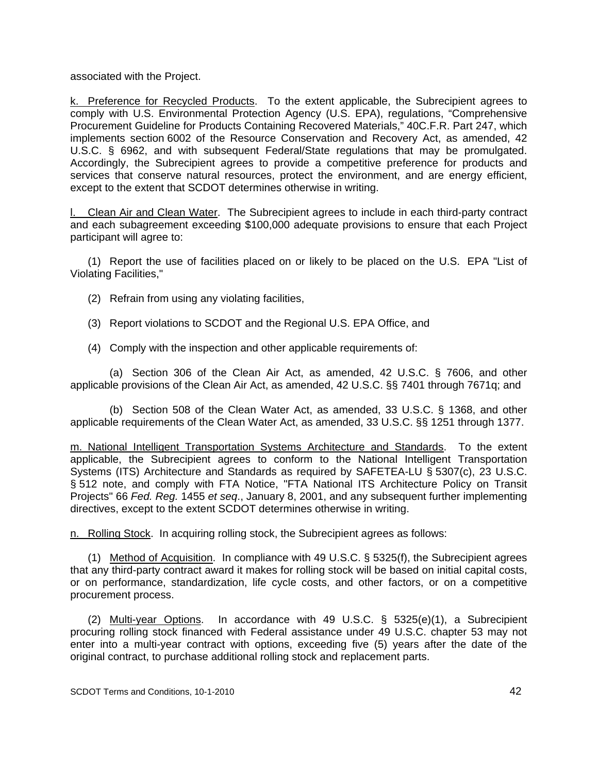associated with the Project.

k. Preference for Recycled Products. To the extent applicable, the Subrecipient agrees to comply with U.S. Environmental Protection Agency (U.S. EPA), regulations, "Comprehensive Procurement Guideline for Products Containing Recovered Materials," 40C.F.R. Part 247, which implements section 6002 of the Resource Conservation and Recovery Act, as amended, 42 U.S.C. § 6962, and with subsequent Federal/State regulations that may be promulgated. Accordingly, the Subrecipient agrees to provide a competitive preference for products and services that conserve natural resources, protect the environment, and are energy efficient, except to the extent that SCDOT determines otherwise in writing.

l. Clean Air and Clean Water. The Subrecipient agrees to include in each third-party contract and each subagreement exceeding \$100,000 adequate provisions to ensure that each Project participant will agree to:

 (1) Report the use of facilities placed on or likely to be placed on the U.S. EPA "List of Violating Facilities,"

- (2) Refrain from using any violating facilities,
- (3) Report violations to SCDOT and the Regional U.S. EPA Office, and
- (4) Comply with the inspection and other applicable requirements of:

 (a) Section 306 of the Clean Air Act, as amended, 42 U.S.C. § 7606, and other applicable provisions of the Clean Air Act, as amended, 42 U.S.C. §§ 7401 through 7671q; and

 (b) Section 508 of the Clean Water Act, as amended, 33 U.S.C. § 1368, and other applicable requirements of the Clean Water Act, as amended, 33 U.S.C. §§ 1251 through 1377.

m. National Intelligent Transportation Systems Architecture and Standards. To the extent applicable, the Subrecipient agrees to conform to the National Intelligent Transportation Systems (ITS) Architecture and Standards as required by SAFETEA-LU § 5307(c), 23 U.S.C. § 512 note, and comply with FTA Notice, "FTA National ITS Architecture Policy on Transit Projects" 66 *Fed. Reg.* 1455 *et seq*., January 8, 2001, and any subsequent further implementing directives, except to the extent SCDOT determines otherwise in writing.

n. Rolling Stock. In acquiring rolling stock, the Subrecipient agrees as follows:

 (1) Method of Acquisition. In compliance with 49 U.S.C. § 5325(f), the Subrecipient agrees that any third-party contract award it makes for rolling stock will be based on initial capital costs, or on performance, standardization, life cycle costs, and other factors, or on a competitive procurement process.

(2) Multi-year Options. In accordance with 49 U.S.C.  $\S$  5325(e)(1), a Subrecipient procuring rolling stock financed with Federal assistance under 49 U.S.C. chapter 53 may not enter into a multi-year contract with options, exceeding five (5) years after the date of the original contract, to purchase additional rolling stock and replacement parts.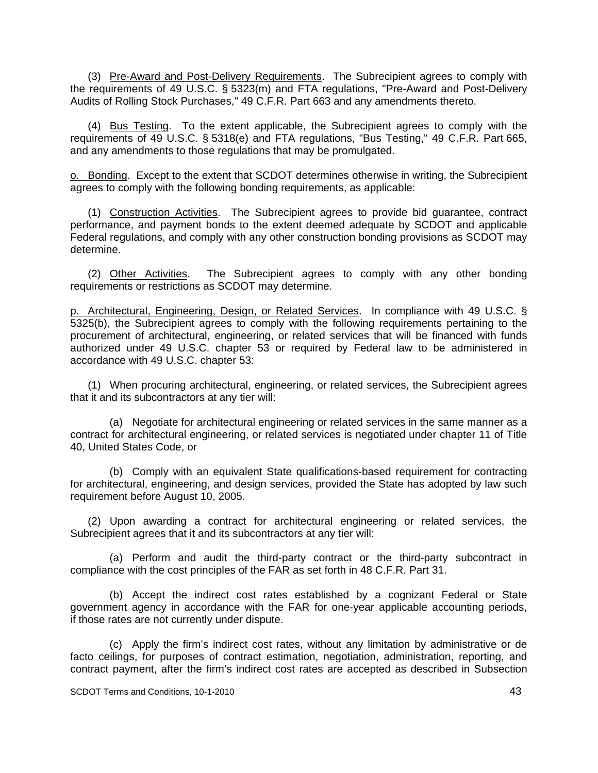(3) Pre-Award and Post-Delivery Requirements. The Subrecipient agrees to comply with the requirements of 49 U.S.C. § 5323(m) and FTA regulations, "Pre-Award and Post-Delivery Audits of Rolling Stock Purchases," 49 C.F.R. Part 663 and any amendments thereto.

 (4) Bus Testing. To the extent applicable, the Subrecipient agrees to comply with the requirements of 49 U.S.C. § 5318(e) and FTA regulations, "Bus Testing," 49 C.F.R. Part 665, and any amendments to those regulations that may be promulgated.

o. Bonding. Except to the extent that SCDOT determines otherwise in writing, the Subrecipient agrees to comply with the following bonding requirements, as applicable:

 (1) Construction Activities. The Subrecipient agrees to provide bid guarantee, contract performance, and payment bonds to the extent deemed adequate by SCDOT and applicable Federal regulations, and comply with any other construction bonding provisions as SCDOT may determine.

 (2) Other Activities. The Subrecipient agrees to comply with any other bonding requirements or restrictions as SCDOT may determine.

p. Architectural, Engineering, Design, or Related Services. In compliance with 49 U.S.C. § 5325(b), the Subrecipient agrees to comply with the following requirements pertaining to the procurement of architectural, engineering, or related services that will be financed with funds authorized under 49 U.S.C. chapter 53 or required by Federal law to be administered in accordance with 49 U.S.C. chapter 53:

 (1) When procuring architectural, engineering, or related services, the Subrecipient agrees that it and its subcontractors at any tier will:

 (a) Negotiate for architectural engineering or related services in the same manner as a contract for architectural engineering, or related services is negotiated under chapter 11 of Title 40, United States Code, or

 (b) Comply with an equivalent State qualifications-based requirement for contracting for architectural, engineering, and design services, provided the State has adopted by law such requirement before August 10, 2005.

 (2) Upon awarding a contract for architectural engineering or related services, the Subrecipient agrees that it and its subcontractors at any tier will:

 (a) Perform and audit the third-party contract or the third-party subcontract in compliance with the cost principles of the FAR as set forth in 48 C.F.R. Part 31.

 (b) Accept the indirect cost rates established by a cognizant Federal or State government agency in accordance with the FAR for one-year applicable accounting periods, if those rates are not currently under dispute.

 (c) Apply the firm's indirect cost rates, without any limitation by administrative or de facto ceilings, for purposes of contract estimation, negotiation, administration, reporting, and contract payment, after the firm's indirect cost rates are accepted as described in Subsection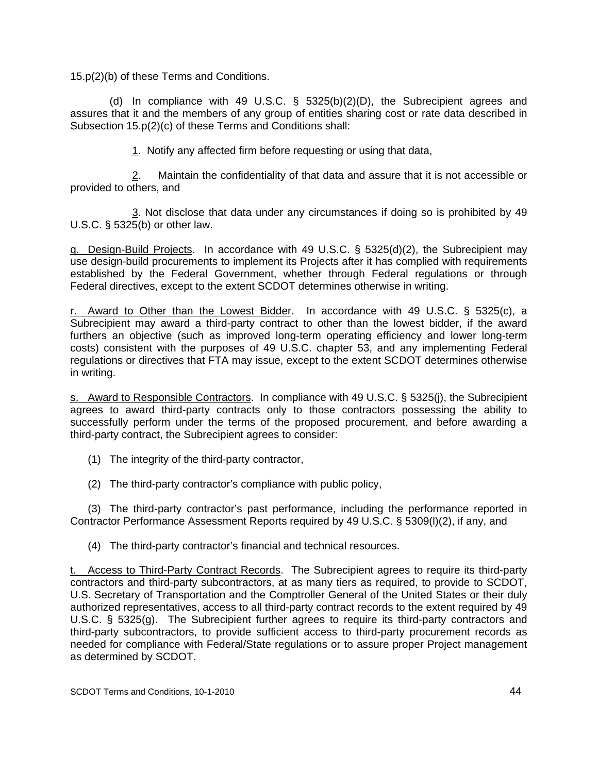15.p(2)(b) of these Terms and Conditions.

(d) In compliance with 49 U.S.C.  $\S$  5325(b)(2)(D), the Subrecipient agrees and assures that it and the members of any group of entities sharing cost or rate data described in Subsection 15.p(2)(c) of these Terms and Conditions shall:

1. Notify any affected firm before requesting or using that data,

 2. Maintain the confidentiality of that data and assure that it is not accessible or provided to others, and

 3. Not disclose that data under any circumstances if doing so is prohibited by 49 U.S.C. § 5325(b) or other law.

q. Design-Build Projects. In accordance with 49 U.S.C. § 5325(d)(2), the Subrecipient may use design-build procurements to implement its Projects after it has complied with requirements established by the Federal Government, whether through Federal regulations or through Federal directives, except to the extent SCDOT determines otherwise in writing.

r. Award to Other than the Lowest Bidder. In accordance with 49 U.S.C. § 5325(c), a Subrecipient may award a third-party contract to other than the lowest bidder, if the award furthers an objective (such as improved long-term operating efficiency and lower long-term costs) consistent with the purposes of 49 U.S.C. chapter 53, and any implementing Federal regulations or directives that FTA may issue, except to the extent SCDOT determines otherwise in writing.

s. Award to Responsible Contractors. In compliance with 49 U.S.C. § 5325(j), the Subrecipient agrees to award third-party contracts only to those contractors possessing the ability to successfully perform under the terms of the proposed procurement, and before awarding a third-party contract, the Subrecipient agrees to consider:

(1) The integrity of the third-party contractor,

(2) The third-party contractor's compliance with public policy,

 (3) The third-party contractor's past performance, including the performance reported in Contractor Performance Assessment Reports required by 49 U.S.C. § 5309(l)(2), if any, and

(4) The third-party contractor's financial and technical resources.

t. Access to Third-Party Contract Records. The Subrecipient agrees to require its third-party contractors and third-party subcontractors, at as many tiers as required, to provide to SCDOT, U.S. Secretary of Transportation and the Comptroller General of the United States or their duly authorized representatives, access to all third-party contract records to the extent required by 49 U.S.C. § 5325(g). The Subrecipient further agrees to require its third-party contractors and third-party subcontractors, to provide sufficient access to third-party procurement records as needed for compliance with Federal/State regulations or to assure proper Project management as determined by SCDOT.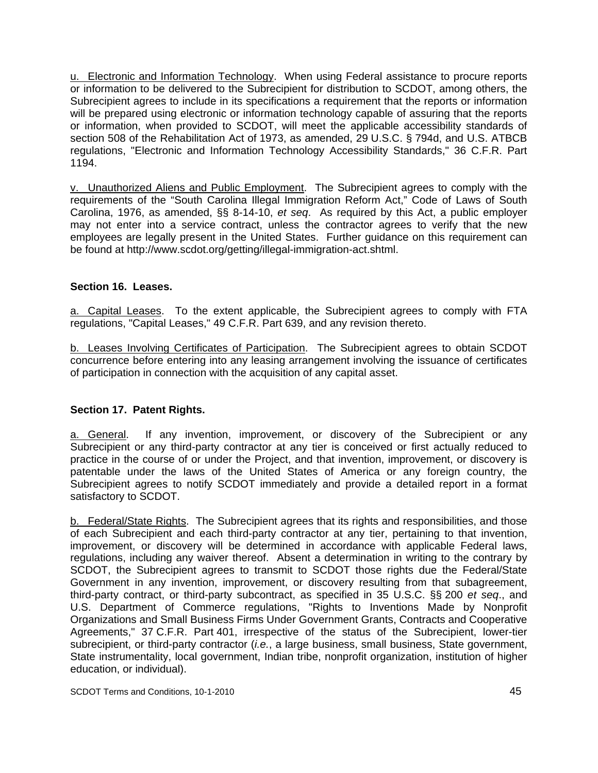u. Electronic and Information Technology. When using Federal assistance to procure reports or information to be delivered to the Subrecipient for distribution to SCDOT, among others, the Subrecipient agrees to include in its specifications a requirement that the reports or information will be prepared using electronic or information technology capable of assuring that the reports or information, when provided to SCDOT, will meet the applicable accessibility standards of section 508 of the Rehabilitation Act of 1973, as amended, 29 U.S.C. § 794d, and U.S. ATBCB regulations, "Electronic and Information Technology Accessibility Standards," 36 C.F.R. Part 1194.

v. Unauthorized Aliens and Public Employment. The Subrecipient agrees to comply with the requirements of the "South Carolina Illegal Immigration Reform Act," Code of Laws of South Carolina, 1976, as amended, §§ 8-14-10, *et seq*. As required by this Act, a public employer may not enter into a service contract, unless the contractor agrees to verify that the new employees are legally present in the United States. Further guidance on this requirement can be found at http://www.scdot.org/getting/illegal-immigration-act.shtml.

## **Section 16. Leases.**

a. Capital Leases. To the extent applicable, the Subrecipient agrees to comply with FTA regulations, "Capital Leases," 49 C.F.R. Part 639, and any revision thereto.

b. Leases Involving Certificates of Participation. The Subrecipient agrees to obtain SCDOT concurrence before entering into any leasing arrangement involving the issuance of certificates of participation in connection with the acquisition of any capital asset.

## **Section 17. Patent Rights.**

a. General. If any invention, improvement, or discovery of the Subrecipient or any Subrecipient or any third-party contractor at any tier is conceived or first actually reduced to practice in the course of or under the Project, and that invention, improvement, or discovery is patentable under the laws of the United States of America or any foreign country, the Subrecipient agrees to notify SCDOT immediately and provide a detailed report in a format satisfactory to SCDOT.

b. Federal/State Rights. The Subrecipient agrees that its rights and responsibilities, and those of each Subrecipient and each third-party contractor at any tier, pertaining to that invention, improvement, or discovery will be determined in accordance with applicable Federal laws, regulations, including any waiver thereof. Absent a determination in writing to the contrary by SCDOT, the Subrecipient agrees to transmit to SCDOT those rights due the Federal/State Government in any invention, improvement, or discovery resulting from that subagreement, third-party contract, or third-party subcontract, as specified in 35 U.S.C. §§ 200 *et seq*., and U.S. Department of Commerce regulations, "Rights to Inventions Made by Nonprofit Organizations and Small Business Firms Under Government Grants, Contracts and Cooperative Agreements," 37 C.F.R. Part 401, irrespective of the status of the Subrecipient, lower-tier subrecipient, or third-party contractor (*i.e.*, a large business, small business, State government, State instrumentality, local government, Indian tribe, nonprofit organization, institution of higher education, or individual).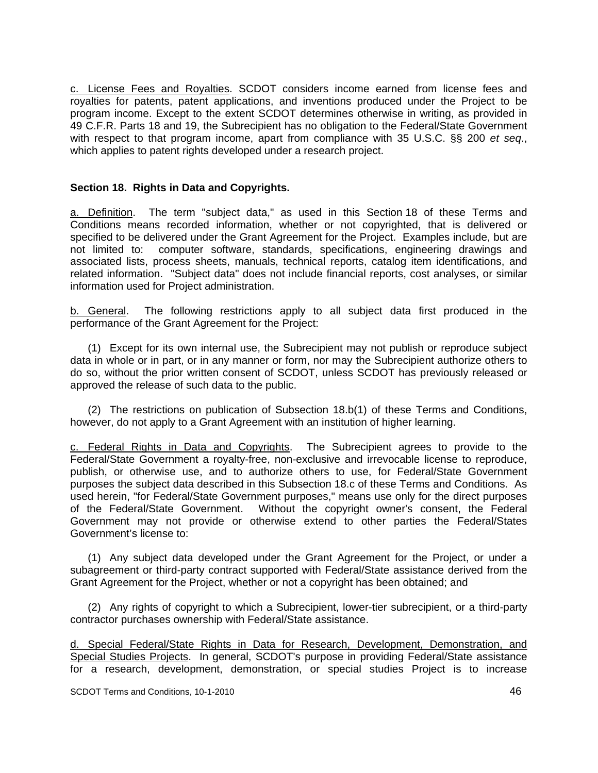c. License Fees and Royalties. SCDOT considers income earned from license fees and royalties for patents, patent applications, and inventions produced under the Project to be program income. Except to the extent SCDOT determines otherwise in writing, as provided in 49 C.F.R. Parts 18 and 19, the Subrecipient has no obligation to the Federal/State Government with respect to that program income, apart from compliance with 35 U.S.C. §§ 200 *et seq*., which applies to patent rights developed under a research project.

### **Section 18. Rights in Data and Copyrights.**

a. Definition. The term "subject data," as used in this Section 18 of these Terms and Conditions means recorded information, whether or not copyrighted, that is delivered or specified to be delivered under the Grant Agreement for the Project. Examples include, but are not limited to: computer software, standards, specifications, engineering drawings and associated lists, process sheets, manuals, technical reports, catalog item identifications, and related information. "Subject data" does not include financial reports, cost analyses, or similar information used for Project administration.

b. General. The following restrictions apply to all subject data first produced in the performance of the Grant Agreement for the Project:

 (1) Except for its own internal use, the Subrecipient may not publish or reproduce subject data in whole or in part, or in any manner or form, nor may the Subrecipient authorize others to do so, without the prior written consent of SCDOT, unless SCDOT has previously released or approved the release of such data to the public.

 (2) The restrictions on publication of Subsection 18.b(1) of these Terms and Conditions, however, do not apply to a Grant Agreement with an institution of higher learning.

c. Federal Rights in Data and Copyrights. The Subrecipient agrees to provide to the Federal/State Government a royalty-free, non-exclusive and irrevocable license to reproduce, publish, or otherwise use, and to authorize others to use, for Federal/State Government purposes the subject data described in this Subsection 18.c of these Terms and Conditions. As used herein, "for Federal/State Government purposes," means use only for the direct purposes of the Federal/State Government. Without the copyright owner's consent, the Federal Government may not provide or otherwise extend to other parties the Federal/States Government's license to:

 (1) Any subject data developed under the Grant Agreement for the Project, or under a subagreement or third-party contract supported with Federal/State assistance derived from the Grant Agreement for the Project, whether or not a copyright has been obtained; and

 (2) Any rights of copyright to which a Subrecipient, lower-tier subrecipient, or a third-party contractor purchases ownership with Federal/State assistance.

d. Special Federal/State Rights in Data for Research, Development, Demonstration, and Special Studies Projects. In general, SCDOT's purpose in providing Federal/State assistance for a research, development, demonstration, or special studies Project is to increase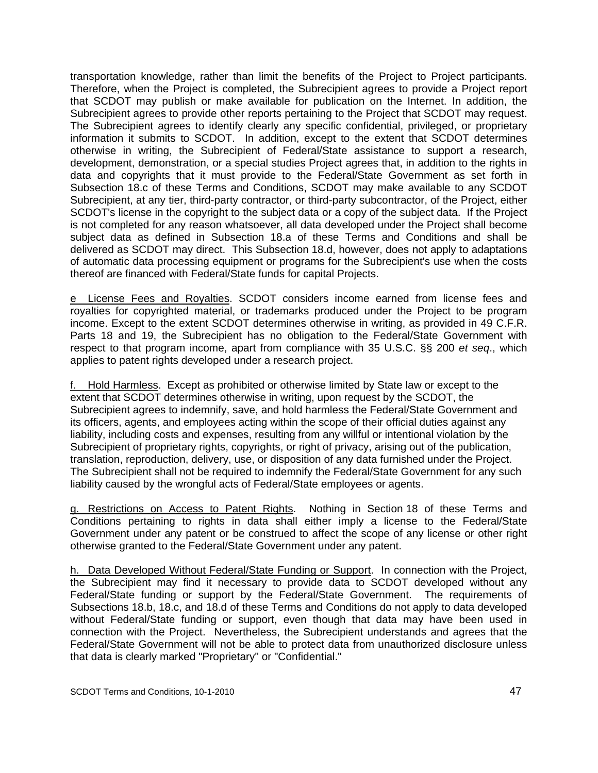transportation knowledge, rather than limit the benefits of the Project to Project participants. Therefore, when the Project is completed, the Subrecipient agrees to provide a Project report that SCDOT may publish or make available for publication on the Internet. In addition, the Subrecipient agrees to provide other reports pertaining to the Project that SCDOT may request. The Subrecipient agrees to identify clearly any specific confidential, privileged, or proprietary information it submits to SCDOT. In addition, except to the extent that SCDOT determines otherwise in writing, the Subrecipient of Federal/State assistance to support a research, development, demonstration, or a special studies Project agrees that, in addition to the rights in data and copyrights that it must provide to the Federal/State Government as set forth in Subsection 18.c of these Terms and Conditions, SCDOT may make available to any SCDOT Subrecipient, at any tier, third-party contractor, or third-party subcontractor, of the Project, either SCDOT's license in the copyright to the subject data or a copy of the subject data. If the Project is not completed for any reason whatsoever, all data developed under the Project shall become subject data as defined in Subsection 18.a of these Terms and Conditions and shall be delivered as SCDOT may direct. This Subsection 18.d, however, does not apply to adaptations of automatic data processing equipment or programs for the Subrecipient's use when the costs thereof are financed with Federal/State funds for capital Projects.

e License Fees and Royalties. SCDOT considers income earned from license fees and royalties for copyrighted material, or trademarks produced under the Project to be program income. Except to the extent SCDOT determines otherwise in writing, as provided in 49 C.F.R. Parts 18 and 19, the Subrecipient has no obligation to the Federal/State Government with respect to that program income, apart from compliance with 35 U.S.C. §§ 200 *et seq*., which applies to patent rights developed under a research project.

f. Hold Harmless. Except as prohibited or otherwise limited by State law or except to the extent that SCDOT determines otherwise in writing, upon request by the SCDOT, the Subrecipient agrees to indemnify, save, and hold harmless the Federal/State Government and its officers, agents, and employees acting within the scope of their official duties against any liability, including costs and expenses, resulting from any willful or intentional violation by the Subrecipient of proprietary rights, copyrights, or right of privacy, arising out of the publication, translation, reproduction, delivery, use, or disposition of any data furnished under the Project. The Subrecipient shall not be required to indemnify the Federal/State Government for any such liability caused by the wrongful acts of Federal/State employees or agents.

g. Restrictions on Access to Patent Rights. Nothing in Section 18 of these Terms and Conditions pertaining to rights in data shall either imply a license to the Federal/State Government under any patent or be construed to affect the scope of any license or other right otherwise granted to the Federal/State Government under any patent.

h. Data Developed Without Federal/State Funding or Support. In connection with the Project, the Subrecipient may find it necessary to provide data to SCDOT developed without any Federal/State funding or support by the Federal/State Government. The requirements of Subsections 18.b, 18.c, and 18.d of these Terms and Conditions do not apply to data developed without Federal/State funding or support, even though that data may have been used in connection with the Project. Nevertheless, the Subrecipient understands and agrees that the Federal/State Government will not be able to protect data from unauthorized disclosure unless that data is clearly marked "Proprietary" or "Confidential."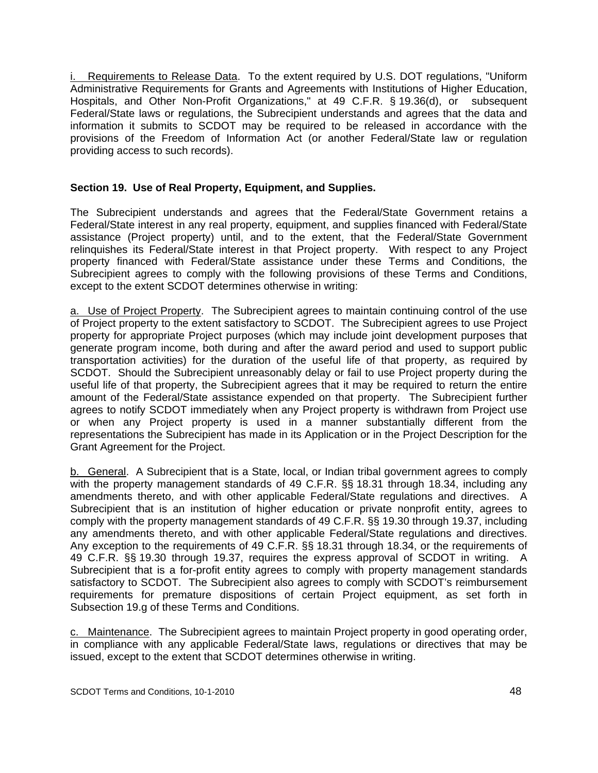Requirements to Release Data. To the extent required by U.S. DOT requlations, "Uniform Administrative Requirements for Grants and Agreements with Institutions of Higher Education, Hospitals, and Other Non-Profit Organizations," at 49 C.F.R. § 19.36(d), or subsequent Federal/State laws or regulations, the Subrecipient understands and agrees that the data and information it submits to SCDOT may be required to be released in accordance with the provisions of the Freedom of Information Act (or another Federal/State law or regulation providing access to such records).

# **Section 19. Use of Real Property, Equipment, and Supplies.**

The Subrecipient understands and agrees that the Federal/State Government retains a Federal/State interest in any real property, equipment, and supplies financed with Federal/State assistance (Project property) until, and to the extent, that the Federal/State Government relinquishes its Federal/State interest in that Project property. With respect to any Project property financed with Federal/State assistance under these Terms and Conditions, the Subrecipient agrees to comply with the following provisions of these Terms and Conditions, except to the extent SCDOT determines otherwise in writing:

a. Use of Project Property. The Subrecipient agrees to maintain continuing control of the use of Project property to the extent satisfactory to SCDOT. The Subrecipient agrees to use Project property for appropriate Project purposes (which may include joint development purposes that generate program income, both during and after the award period and used to support public transportation activities) for the duration of the useful life of that property, as required by SCDOT. Should the Subrecipient unreasonably delay or fail to use Project property during the useful life of that property, the Subrecipient agrees that it may be required to return the entire amount of the Federal/State assistance expended on that property. The Subrecipient further agrees to notify SCDOT immediately when any Project property is withdrawn from Project use or when any Project property is used in a manner substantially different from the representations the Subrecipient has made in its Application or in the Project Description for the Grant Agreement for the Project.

b. General. A Subrecipient that is a State, local, or Indian tribal government agrees to comply with the property management standards of 49 C.F.R. §§ 18.31 through 18.34, including any amendments thereto, and with other applicable Federal/State regulations and directives. A Subrecipient that is an institution of higher education or private nonprofit entity, agrees to comply with the property management standards of 49 C.F.R. §§ 19.30 through 19.37, including any amendments thereto, and with other applicable Federal/State regulations and directives. Any exception to the requirements of 49 C.F.R. §§ 18.31 through 18.34, or the requirements of 49 C.F.R. §§ 19.30 through 19.37, requires the express approval of SCDOT in writing. A Subrecipient that is a for-profit entity agrees to comply with property management standards satisfactory to SCDOT. The Subrecipient also agrees to comply with SCDOT's reimbursement requirements for premature dispositions of certain Project equipment, as set forth in Subsection 19.g of these Terms and Conditions.

c. Maintenance. The Subrecipient agrees to maintain Project property in good operating order, in compliance with any applicable Federal/State laws, regulations or directives that may be issued, except to the extent that SCDOT determines otherwise in writing.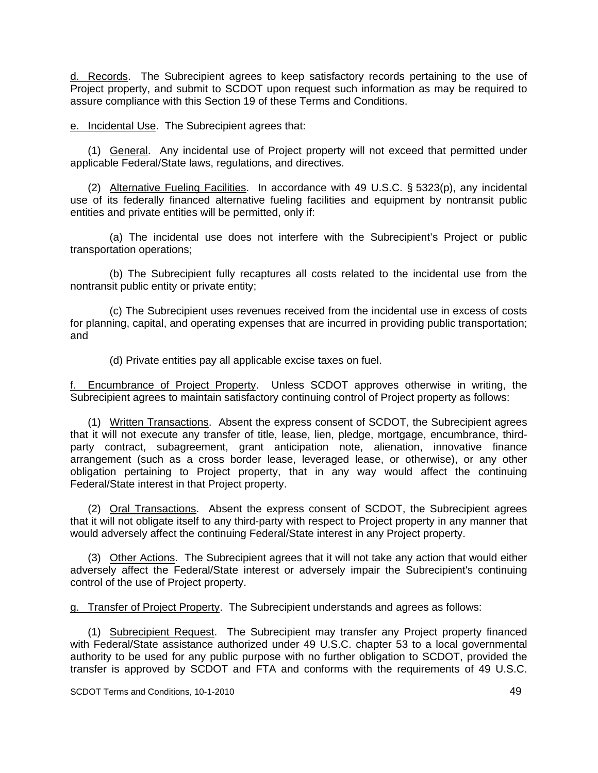d. Records. The Subrecipient agrees to keep satisfactory records pertaining to the use of Project property, and submit to SCDOT upon request such information as may be required to assure compliance with this Section 19 of these Terms and Conditions.

e. Incidental Use. The Subrecipient agrees that:

 (1) General. Any incidental use of Project property will not exceed that permitted under applicable Federal/State laws, regulations, and directives.

 (2) Alternative Fueling Facilities. In accordance with 49 U.S.C. § 5323(p), any incidental use of its federally financed alternative fueling facilities and equipment by nontransit public entities and private entities will be permitted, only if:

 (a) The incidental use does not interfere with the Subrecipient's Project or public transportation operations;

 (b) The Subrecipient fully recaptures all costs related to the incidental use from the nontransit public entity or private entity;

 (c) The Subrecipient uses revenues received from the incidental use in excess of costs for planning, capital, and operating expenses that are incurred in providing public transportation; and

(d) Private entities pay all applicable excise taxes on fuel.

f. Encumbrance of Project Property. Unless SCDOT approves otherwise in writing, the Subrecipient agrees to maintain satisfactory continuing control of Project property as follows:

 (1) Written Transactions. Absent the express consent of SCDOT, the Subrecipient agrees that it will not execute any transfer of title, lease, lien, pledge, mortgage, encumbrance, thirdparty contract, subagreement, grant anticipation note, alienation, innovative finance arrangement (such as a cross border lease, leveraged lease, or otherwise), or any other obligation pertaining to Project property, that in any way would affect the continuing Federal/State interest in that Project property.

 (2) Oral Transactions. Absent the express consent of SCDOT, the Subrecipient agrees that it will not obligate itself to any third-party with respect to Project property in any manner that would adversely affect the continuing Federal/State interest in any Project property.

 (3) Other Actions. The Subrecipient agrees that it will not take any action that would either adversely affect the Federal/State interest or adversely impair the Subrecipient's continuing control of the use of Project property.

g. Transfer of Project Property. The Subrecipient understands and agrees as follows:

 (1) Subrecipient Request. The Subrecipient may transfer any Project property financed with Federal/State assistance authorized under 49 U.S.C. chapter 53 to a local governmental authority to be used for any public purpose with no further obligation to SCDOT, provided the transfer is approved by SCDOT and FTA and conforms with the requirements of 49 U.S.C.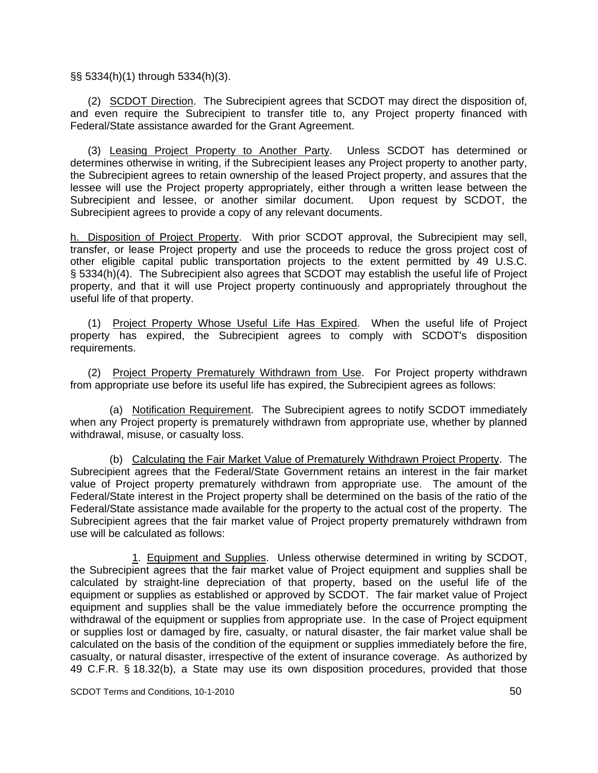§§ 5334(h)(1) through 5334(h)(3).

 (2) SCDOT Direction. The Subrecipient agrees that SCDOT may direct the disposition of, and even require the Subrecipient to transfer title to, any Project property financed with Federal/State assistance awarded for the Grant Agreement.

 (3) Leasing Project Property to Another Party. Unless SCDOT has determined or determines otherwise in writing, if the Subrecipient leases any Project property to another party, the Subrecipient agrees to retain ownership of the leased Project property, and assures that the lessee will use the Project property appropriately, either through a written lease between the Subrecipient and lessee, or another similar document. Upon request by SCDOT, the Subrecipient agrees to provide a copy of any relevant documents.

h. Disposition of Project Property. With prior SCDOT approval, the Subrecipient may sell, transfer, or lease Project property and use the proceeds to reduce the gross project cost of other eligible capital public transportation projects to the extent permitted by 49 U.S.C. § 5334(h)(4). The Subrecipient also agrees that SCDOT may establish the useful life of Project property, and that it will use Project property continuously and appropriately throughout the useful life of that property.

 (1) Project Property Whose Useful Life Has Expired. When the useful life of Project property has expired, the Subrecipient agrees to comply with SCDOT's disposition requirements.

 (2) Project Property Prematurely Withdrawn from Use. For Project property withdrawn from appropriate use before its useful life has expired, the Subrecipient agrees as follows:

 (a) Notification Requirement. The Subrecipient agrees to notify SCDOT immediately when any Project property is prematurely withdrawn from appropriate use, whether by planned withdrawal, misuse, or casualty loss.

 (b) Calculating the Fair Market Value of Prematurely Withdrawn Project Property. The Subrecipient agrees that the Federal/State Government retains an interest in the fair market value of Project property prematurely withdrawn from appropriate use. The amount of the Federal/State interest in the Project property shall be determined on the basis of the ratio of the Federal/State assistance made available for the property to the actual cost of the property. The Subrecipient agrees that the fair market value of Project property prematurely withdrawn from use will be calculated as follows:

 1. Equipment and Supplies. Unless otherwise determined in writing by SCDOT, the Subrecipient agrees that the fair market value of Project equipment and supplies shall be calculated by straight-line depreciation of that property, based on the useful life of the equipment or supplies as established or approved by SCDOT. The fair market value of Project equipment and supplies shall be the value immediately before the occurrence prompting the withdrawal of the equipment or supplies from appropriate use. In the case of Project equipment or supplies lost or damaged by fire, casualty, or natural disaster, the fair market value shall be calculated on the basis of the condition of the equipment or supplies immediately before the fire, casualty, or natural disaster, irrespective of the extent of insurance coverage. As authorized by 49 C.F.R. § 18.32(b), a State may use its own disposition procedures, provided that those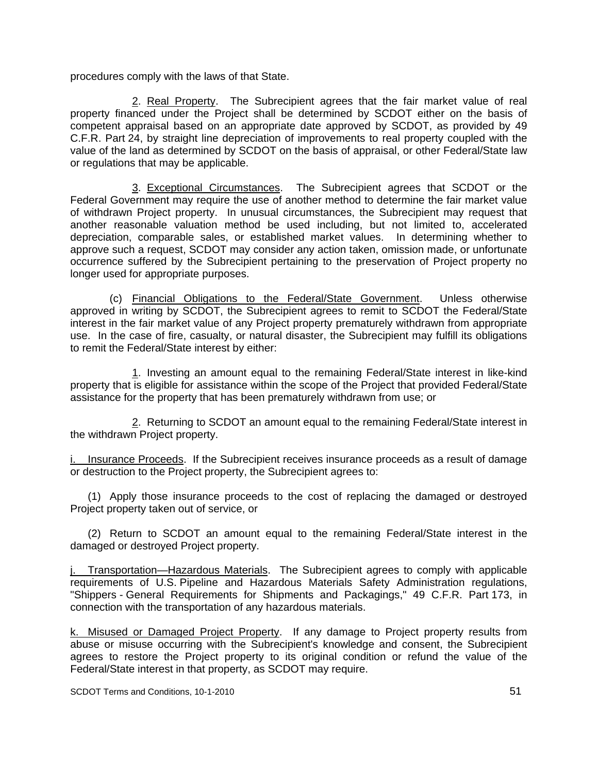procedures comply with the laws of that State.

 2. Real Property. The Subrecipient agrees that the fair market value of real property financed under the Project shall be determined by SCDOT either on the basis of competent appraisal based on an appropriate date approved by SCDOT, as provided by 49 C.F.R. Part 24, by straight line depreciation of improvements to real property coupled with the value of the land as determined by SCDOT on the basis of appraisal, or other Federal/State law or regulations that may be applicable.

 3. Exceptional Circumstances. The Subrecipient agrees that SCDOT or the Federal Government may require the use of another method to determine the fair market value of withdrawn Project property. In unusual circumstances, the Subrecipient may request that another reasonable valuation method be used including, but not limited to, accelerated depreciation, comparable sales, or established market values. In determining whether to approve such a request, SCDOT may consider any action taken, omission made, or unfortunate occurrence suffered by the Subrecipient pertaining to the preservation of Project property no longer used for appropriate purposes.

 (c) Financial Obligations to the Federal/State Government. Unless otherwise approved in writing by SCDOT, the Subrecipient agrees to remit to SCDOT the Federal/State interest in the fair market value of any Project property prematurely withdrawn from appropriate use. In the case of fire, casualty, or natural disaster, the Subrecipient may fulfill its obligations to remit the Federal/State interest by either:

 1. Investing an amount equal to the remaining Federal/State interest in like-kind property that is eligible for assistance within the scope of the Project that provided Federal/State assistance for the property that has been prematurely withdrawn from use; or

 2. Returning to SCDOT an amount equal to the remaining Federal/State interest in the withdrawn Project property.

i. Insurance Proceeds. If the Subrecipient receives insurance proceeds as a result of damage or destruction to the Project property, the Subrecipient agrees to:

 (1) Apply those insurance proceeds to the cost of replacing the damaged or destroyed Project property taken out of service, or

 (2) Return to SCDOT an amount equal to the remaining Federal/State interest in the damaged or destroyed Project property.

j. Transportation—Hazardous Materials. The Subrecipient agrees to comply with applicable requirements of U.S. Pipeline and Hazardous Materials Safety Administration regulations, "Shippers - General Requirements for Shipments and Packagings," 49 C.F.R. Part 173, in connection with the transportation of any hazardous materials.

k. Misused or Damaged Project Property. If any damage to Project property results from abuse or misuse occurring with the Subrecipient's knowledge and consent, the Subrecipient agrees to restore the Project property to its original condition or refund the value of the Federal/State interest in that property, as SCDOT may require.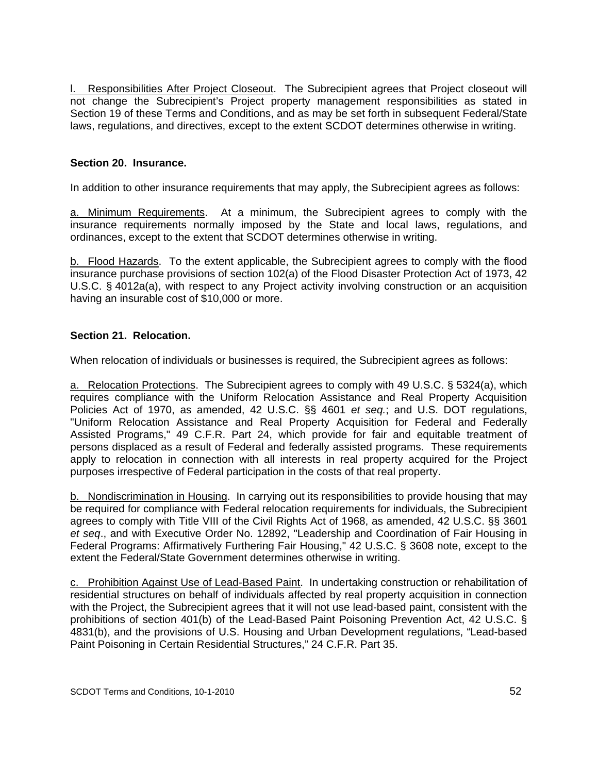l. Responsibilities After Project Closeout. The Subrecipient agrees that Project closeout will not change the Subrecipient's Project property management responsibilities as stated in Section 19 of these Terms and Conditions, and as may be set forth in subsequent Federal/State laws, regulations, and directives, except to the extent SCDOT determines otherwise in writing.

## **Section 20. Insurance.**

In addition to other insurance requirements that may apply, the Subrecipient agrees as follows:

a. Minimum Requirements. At a minimum, the Subrecipient agrees to comply with the insurance requirements normally imposed by the State and local laws, regulations, and ordinances, except to the extent that SCDOT determines otherwise in writing.

b. Flood Hazards. To the extent applicable, the Subrecipient agrees to comply with the flood insurance purchase provisions of section 102(a) of the Flood Disaster Protection Act of 1973, 42 U.S.C. § 4012a(a), with respect to any Project activity involving construction or an acquisition having an insurable cost of \$10,000 or more.

## **Section 21. Relocation.**

When relocation of individuals or businesses is required, the Subrecipient agrees as follows:

a. Relocation Protections. The Subrecipient agrees to comply with 49 U.S.C. § 5324(a), which requires compliance with the Uniform Relocation Assistance and Real Property Acquisition Policies Act of 1970, as amended, 42 U.S.C. §§ 4601 *et seq.*; and U.S. DOT regulations, "Uniform Relocation Assistance and Real Property Acquisition for Federal and Federally Assisted Programs," 49 C.F.R. Part 24, which provide for fair and equitable treatment of persons displaced as a result of Federal and federally assisted programs. These requirements apply to relocation in connection with all interests in real property acquired for the Project purposes irrespective of Federal participation in the costs of that real property.

b. Nondiscrimination in Housing. In carrying out its responsibilities to provide housing that may be required for compliance with Federal relocation requirements for individuals, the Subrecipient agrees to comply with Title VIII of the Civil Rights Act of 1968, as amended, 42 U.S.C. §§ 3601 *et seq*., and with Executive Order No. 12892, "Leadership and Coordination of Fair Housing in Federal Programs: Affirmatively Furthering Fair Housing," 42 U.S.C. § 3608 note, except to the extent the Federal/State Government determines otherwise in writing.

c. Prohibition Against Use of Lead-Based Paint. In undertaking construction or rehabilitation of residential structures on behalf of individuals affected by real property acquisition in connection with the Project, the Subrecipient agrees that it will not use lead-based paint, consistent with the prohibitions of section 401(b) of the Lead-Based Paint Poisoning Prevention Act, 42 U.S.C. § 4831(b), and the provisions of U.S. Housing and Urban Development regulations, "Lead-based Paint Poisoning in Certain Residential Structures," 24 C.F.R. Part 35.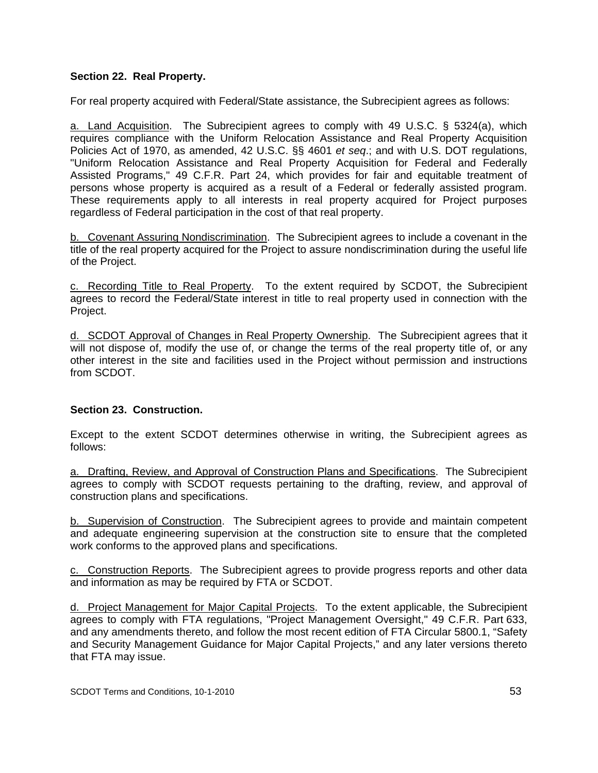## **Section 22. Real Property.**

For real property acquired with Federal/State assistance, the Subrecipient agrees as follows:

a. Land Acquisition. The Subrecipient agrees to comply with 49 U.S.C. § 5324(a), which requires compliance with the Uniform Relocation Assistance and Real Property Acquisition Policies Act of 1970, as amended, 42 U.S.C. §§ 4601 *et seq*.; and with U.S. DOT regulations, "Uniform Relocation Assistance and Real Property Acquisition for Federal and Federally Assisted Programs," 49 C.F.R. Part 24, which provides for fair and equitable treatment of persons whose property is acquired as a result of a Federal or federally assisted program. These requirements apply to all interests in real property acquired for Project purposes regardless of Federal participation in the cost of that real property.

b. Covenant Assuring Nondiscrimination. The Subrecipient agrees to include a covenant in the title of the real property acquired for the Project to assure nondiscrimination during the useful life of the Project.

c. Recording Title to Real Property. To the extent required by SCDOT, the Subrecipient agrees to record the Federal/State interest in title to real property used in connection with the Project.

d. SCDOT Approval of Changes in Real Property Ownership. The Subrecipient agrees that it will not dispose of, modify the use of, or change the terms of the real property title of, or any other interest in the site and facilities used in the Project without permission and instructions from SCDOT.

## **Section 23. Construction.**

Except to the extent SCDOT determines otherwise in writing, the Subrecipient agrees as follows:

a. Drafting, Review, and Approval of Construction Plans and Specifications. The Subrecipient agrees to comply with SCDOT requests pertaining to the drafting, review, and approval of construction plans and specifications.

b. Supervision of Construction. The Subrecipient agrees to provide and maintain competent and adequate engineering supervision at the construction site to ensure that the completed work conforms to the approved plans and specifications.

c. Construction Reports. The Subrecipient agrees to provide progress reports and other data and information as may be required by FTA or SCDOT.

d. Project Management for Major Capital Projects. To the extent applicable, the Subrecipient agrees to comply with FTA regulations, "Project Management Oversight," 49 C.F.R. Part 633, and any amendments thereto, and follow the most recent edition of FTA Circular 5800.1, "Safety and Security Management Guidance for Major Capital Projects," and any later versions thereto that FTA may issue.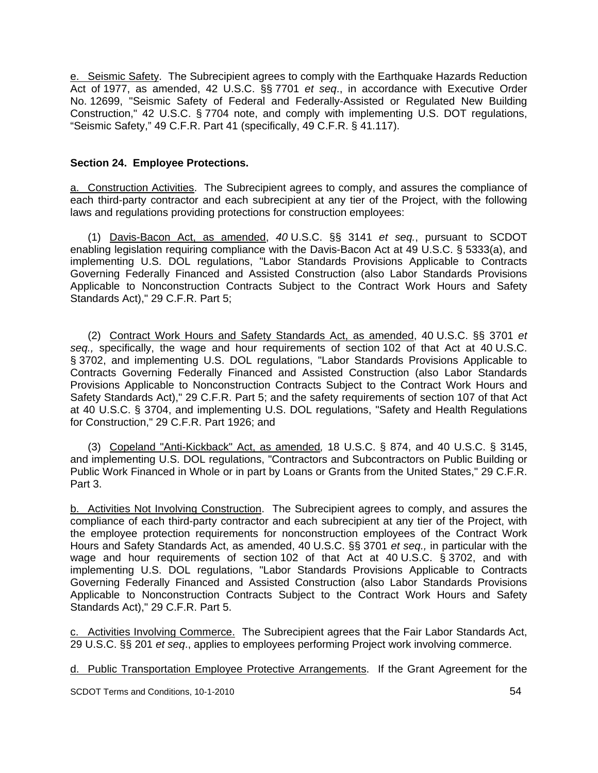e. Seismic Safety. The Subrecipient agrees to comply with the Earthquake Hazards Reduction Act of 1977, as amended, 42 U.S.C. §§ 7701 *et seq*., in accordance with Executive Order No. 12699, "Seismic Safety of Federal and Federally-Assisted or Regulated New Building Construction," 42 U.S.C. § 7704 note, and comply with implementing U.S. DOT regulations, "Seismic Safety," 49 C.F.R. Part 41 (specifically, 49 C.F.R. § 41.117).

### **Section 24. Employee Protections.**

a. Construction Activities. The Subrecipient agrees to comply, and assures the compliance of each third-party contractor and each subrecipient at any tier of the Project, with the following laws and regulations providing protections for construction employees:

 (1) Davis-Bacon Act, as amended, *40* U.S.C. §§ 3141 *et seq.*, pursuant to SCDOT enabling legislation requiring compliance with the Davis-Bacon Act at 49 U.S.C. § 5333(a), and implementing U.S. DOL regulations, "Labor Standards Provisions Applicable to Contracts Governing Federally Financed and Assisted Construction (also Labor Standards Provisions Applicable to Nonconstruction Contracts Subject to the Contract Work Hours and Safety Standards Act)," 29 C.F.R. Part 5;

 (2) Contract Work Hours and Safety Standards Act, as amended, 40 U.S.C. §§ 3701 *et seq.,* specifically, the wage and hour requirements of section 102 of that Act at 40 U.S.C. § 3702, and implementing U.S. DOL regulations, "Labor Standards Provisions Applicable to Contracts Governing Federally Financed and Assisted Construction (also Labor Standards Provisions Applicable to Nonconstruction Contracts Subject to the Contract Work Hours and Safety Standards Act)," 29 C.F.R. Part 5; and the safety requirements of section 107 of that Act at 40 U.S.C. § 3704, and implementing U.S. DOL regulations, "Safety and Health Regulations for Construction," 29 C.F.R. Part 1926; and

 (3) Copeland "Anti-Kickback" Act, as amended*,* 18 U.S.C. § 874, and 40 U.S.C. § 3145, and implementing U.S. DOL regulations, "Contractors and Subcontractors on Public Building or Public Work Financed in Whole or in part by Loans or Grants from the United States," 29 C.F.R. Part 3.

b. Activities Not Involving Construction. The Subrecipient agrees to comply, and assures the compliance of each third-party contractor and each subrecipient at any tier of the Project, with the employee protection requirements for nonconstruction employees of the Contract Work Hours and Safety Standards Act, as amended, 40 U.S.C. §§ 3701 *et seq.,* in particular with the wage and hour requirements of section 102 of that Act at 40 U.S.C. § 3702, and with implementing U.S. DOL regulations, "Labor Standards Provisions Applicable to Contracts Governing Federally Financed and Assisted Construction (also Labor Standards Provisions Applicable to Nonconstruction Contracts Subject to the Contract Work Hours and Safety Standards Act)," 29 C.F.R. Part 5.

Activities Involving Commerce. The Subrecipient agrees that the Fair Labor Standards Act, 29 U.S.C. §§ 201 *et seq*., applies to employees performing Project work involving commerce.

d. Public Transportation Employee Protective Arrangements. If the Grant Agreement for the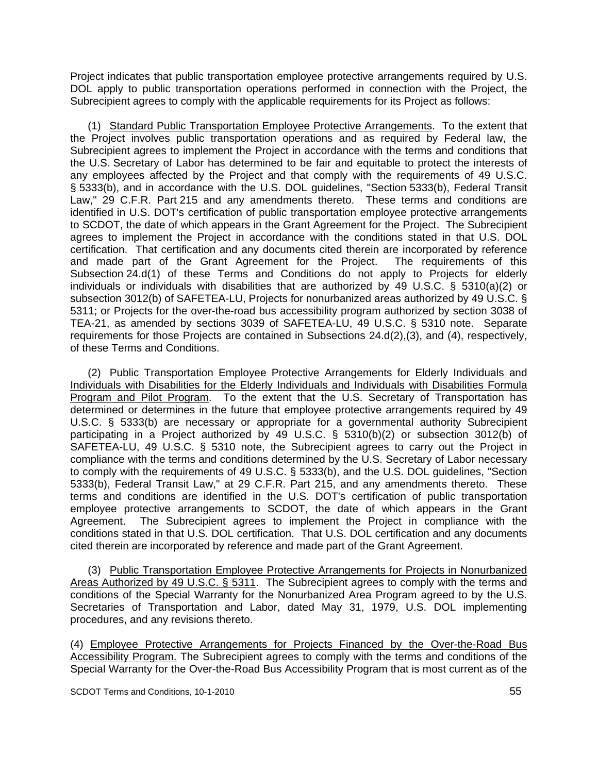Project indicates that public transportation employee protective arrangements required by U.S. DOL apply to public transportation operations performed in connection with the Project, the Subrecipient agrees to comply with the applicable requirements for its Project as follows:

 (1) Standard Public Transportation Employee Protective Arrangements. To the extent that the Project involves public transportation operations and as required by Federal law, the Subrecipient agrees to implement the Project in accordance with the terms and conditions that the U.S. Secretary of Labor has determined to be fair and equitable to protect the interests of any employees affected by the Project and that comply with the requirements of 49 U.S.C. § 5333(b), and in accordance with the U.S. DOL guidelines, "Section 5333(b), Federal Transit Law," 29 C.F.R. Part 215 and any amendments thereto. These terms and conditions are identified in U.S. DOT's certification of public transportation employee protective arrangements to SCDOT, the date of which appears in the Grant Agreement for the Project. The Subrecipient agrees to implement the Project in accordance with the conditions stated in that U.S. DOL certification. That certification and any documents cited therein are incorporated by reference and made part of the Grant Agreement for the Project. The requirements of this Subsection 24.d(1) of these Terms and Conditions do not apply to Projects for elderly individuals or individuals with disabilities that are authorized by 49 U.S.C. § 5310(a)(2) or subsection 3012(b) of SAFETEA-LU, Projects for nonurbanized areas authorized by 49 U.S.C. § 5311; or Projects for the over-the-road bus accessibility program authorized by section 3038 of TEA-21, as amended by sections 3039 of SAFETEA-LU, 49 U.S.C. § 5310 note. Separate requirements for those Projects are contained in Subsections 24.d(2),(3), and (4), respectively, of these Terms and Conditions.

 (2) Public Transportation Employee Protective Arrangements for Elderly Individuals and Individuals with Disabilities for the Elderly Individuals and Individuals with Disabilities Formula Program and Pilot Program. To the extent that the U.S. Secretary of Transportation has determined or determines in the future that employee protective arrangements required by 49 U.S.C. § 5333(b) are necessary or appropriate for a governmental authority Subrecipient participating in a Project authorized by 49 U.S.C. § 5310(b)(2) or subsection 3012(b) of SAFETEA-LU, 49 U.S.C. § 5310 note, the Subrecipient agrees to carry out the Project in compliance with the terms and conditions determined by the U.S. Secretary of Labor necessary to comply with the requirements of 49 U.S.C. § 5333(b), and the U.S. DOL guidelines, "Section 5333(b), Federal Transit Law," at 29 C.F.R. Part 215, and any amendments thereto. These terms and conditions are identified in the U.S. DOT's certification of public transportation employee protective arrangements to SCDOT, the date of which appears in the Grant Agreement. The Subrecipient agrees to implement the Project in compliance with the conditions stated in that U.S. DOL certification. That U.S. DOL certification and any documents cited therein are incorporated by reference and made part of the Grant Agreement.

 (3) Public Transportation Employee Protective Arrangements for Projects in Nonurbanized Areas Authorized by 49 U.S.C. § 5311. The Subrecipient agrees to comply with the terms and conditions of the Special Warranty for the Nonurbanized Area Program agreed to by the U.S. Secretaries of Transportation and Labor, dated May 31, 1979, U.S. DOL implementing procedures, and any revisions thereto.

(4) Employee Protective Arrangements for Projects Financed by the Over-the-Road Bus Accessibility Program. The Subrecipient agrees to comply with the terms and conditions of the Special Warranty for the Over-the-Road Bus Accessibility Program that is most current as of the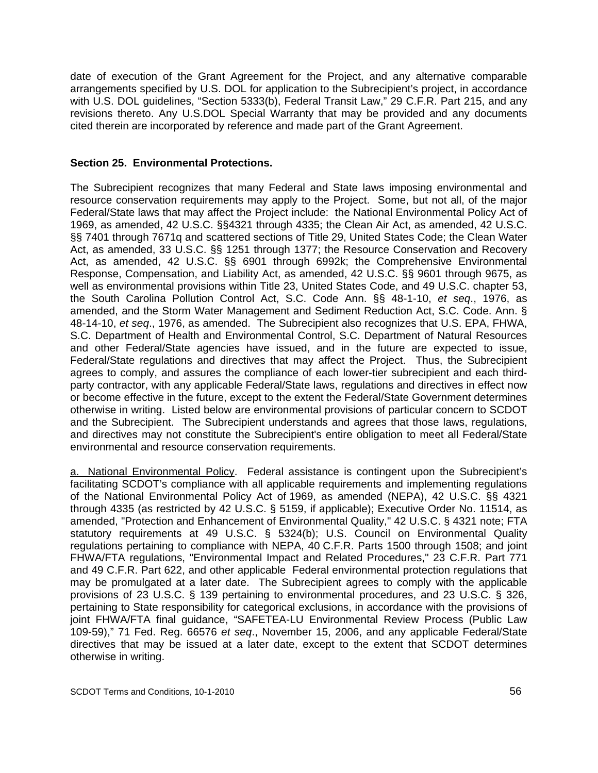date of execution of the Grant Agreement for the Project, and any alternative comparable arrangements specified by U.S. DOL for application to the Subrecipient's project, in accordance with U.S. DOL guidelines, "Section 5333(b), Federal Transit Law," 29 C.F.R. Part 215, and any revisions thereto. Any U.S.DOL Special Warranty that may be provided and any documents cited therein are incorporated by reference and made part of the Grant Agreement.

### **Section 25. Environmental Protections.**

The Subrecipient recognizes that many Federal and State laws imposing environmental and resource conservation requirements may apply to the Project. Some, but not all, of the major Federal/State laws that may affect the Project include: the National Environmental Policy Act of 1969, as amended, 42 U.S.C. §§4321 through 4335; the Clean Air Act, as amended, 42 U.S.C. §§ 7401 through 7671q and scattered sections of Title 29, United States Code; the Clean Water Act, as amended, 33 U.S.C. §§ 1251 through 1377; the Resource Conservation and Recovery Act, as amended, 42 U.S.C. §§ 6901 through 6992k; the Comprehensive Environmental Response, Compensation, and Liability Act, as amended, 42 U.S.C. §§ 9601 through 9675, as well as environmental provisions within Title 23, United States Code, and 49 U.S.C. chapter 53, the South Carolina Pollution Control Act, S.C. Code Ann. §§ 48-1-10, *et seq*., 1976, as amended, and the Storm Water Management and Sediment Reduction Act, S.C. Code. Ann. § 48-14-10, *et seq*., 1976, as amended. The Subrecipient also recognizes that U.S. EPA, FHWA, S.C. Department of Health and Environmental Control, S.C. Department of Natural Resources and other Federal/State agencies have issued, and in the future are expected to issue, Federal/State regulations and directives that may affect the Project. Thus, the Subrecipient agrees to comply, and assures the compliance of each lower-tier subrecipient and each thirdparty contractor, with any applicable Federal/State laws, regulations and directives in effect now or become effective in the future, except to the extent the Federal/State Government determines otherwise in writing. Listed below are environmental provisions of particular concern to SCDOT and the Subrecipient. The Subrecipient understands and agrees that those laws, regulations, and directives may not constitute the Subrecipient's entire obligation to meet all Federal/State environmental and resource conservation requirements.

a. National Environmental Policy. Federal assistance is contingent upon the Subrecipient's facilitating SCDOT's compliance with all applicable requirements and implementing regulations of the National Environmental Policy Act of 1969, as amended (NEPA), 42 U.S.C. §§ 4321 through 4335 (as restricted by 42 U.S.C. § 5159, if applicable); Executive Order No. 11514, as amended, "Protection and Enhancement of Environmental Quality," 42 U.S.C. § 4321 note; FTA statutory requirements at 49 U.S.C. § 5324(b); U.S. Council on Environmental Quality regulations pertaining to compliance with NEPA, 40 C.F.R. Parts 1500 through 1508; and joint FHWA/FTA regulations, "Environmental Impact and Related Procedures," 23 C.F.R. Part 771 and 49 C.F.R. Part 622, and other applicable Federal environmental protection regulations that may be promulgated at a later date. The Subrecipient agrees to comply with the applicable provisions of 23 U.S.C. § 139 pertaining to environmental procedures, and 23 U.S.C. § 326, pertaining to State responsibility for categorical exclusions, in accordance with the provisions of joint FHWA/FTA final guidance, "SAFETEA-LU Environmental Review Process (Public Law 109-59)," 71 Fed. Reg. 66576 *et seq*., November 15, 2006, and any applicable Federal/State directives that may be issued at a later date, except to the extent that SCDOT determines otherwise in writing.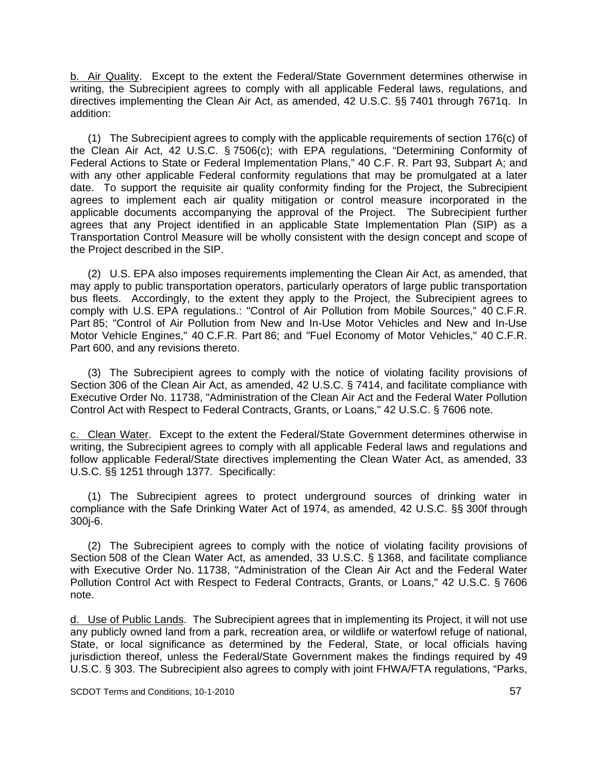b. Air Quality. Except to the extent the Federal/State Government determines otherwise in writing, the Subrecipient agrees to comply with all applicable Federal laws, regulations, and directives implementing the Clean Air Act, as amended, 42 U.S.C. §§ 7401 through 7671q. In addition:

 (1) The Subrecipient agrees to comply with the applicable requirements of section 176(c) of the Clean Air Act, 42 U.S.C. § 7506(c); with EPA regulations, "Determining Conformity of Federal Actions to State or Federal Implementation Plans," 40 C.F. R. Part 93, Subpart A; and with any other applicable Federal conformity regulations that may be promulgated at a later date. To support the requisite air quality conformity finding for the Project, the Subrecipient agrees to implement each air quality mitigation or control measure incorporated in the applicable documents accompanying the approval of the Project. The Subrecipient further agrees that any Project identified in an applicable State Implementation Plan (SIP) as a Transportation Control Measure will be wholly consistent with the design concept and scope of the Project described in the SIP.

 (2) U.S. EPA also imposes requirements implementing the Clean Air Act, as amended, that may apply to public transportation operators, particularly operators of large public transportation bus fleets. Accordingly, to the extent they apply to the Project, the Subrecipient agrees to comply with U.S. EPA regulations.: "Control of Air Pollution from Mobile Sources," 40 C.F.R. Part 85; "Control of Air Pollution from New and In-Use Motor Vehicles and New and In-Use Motor Vehicle Engines," 40 C.F.R. Part 86; and "Fuel Economy of Motor Vehicles," 40 C.F.R. Part 600, and any revisions thereto.

 (3) The Subrecipient agrees to comply with the notice of violating facility provisions of Section 306 of the Clean Air Act, as amended, 42 U.S.C. § 7414, and facilitate compliance with Executive Order No. 11738, "Administration of the Clean Air Act and the Federal Water Pollution Control Act with Respect to Federal Contracts, Grants, or Loans," 42 U.S.C. § 7606 note.

c. Clean Water. Except to the extent the Federal/State Government determines otherwise in writing, the Subrecipient agrees to comply with all applicable Federal laws and regulations and follow applicable Federal/State directives implementing the Clean Water Act, as amended, 33 U.S.C. §§ 1251 through 1377*.* Specifically:

 (1) The Subrecipient agrees to protect underground sources of drinking water in compliance with the Safe Drinking Water Act of 1974, as amended, 42 U.S.C. §§ 300f through 300j-6.

 (2) The Subrecipient agrees to comply with the notice of violating facility provisions of Section 508 of the Clean Water Act, as amended, 33 U.S.C. § 1368, and facilitate compliance with Executive Order No. 11738, "Administration of the Clean Air Act and the Federal Water Pollution Control Act with Respect to Federal Contracts, Grants, or Loans," 42 U.S.C. § 7606 note.

d. Use of Public Lands. The Subrecipient agrees that in implementing its Project, it will not use any publicly owned land from a park, recreation area, or wildlife or waterfowl refuge of national, State, or local significance as determined by the Federal, State, or local officials having jurisdiction thereof, unless the Federal/State Government makes the findings required by 49 U.S.C. § 303. The Subrecipient also agrees to comply with joint FHWA/FTA regulations, "Parks,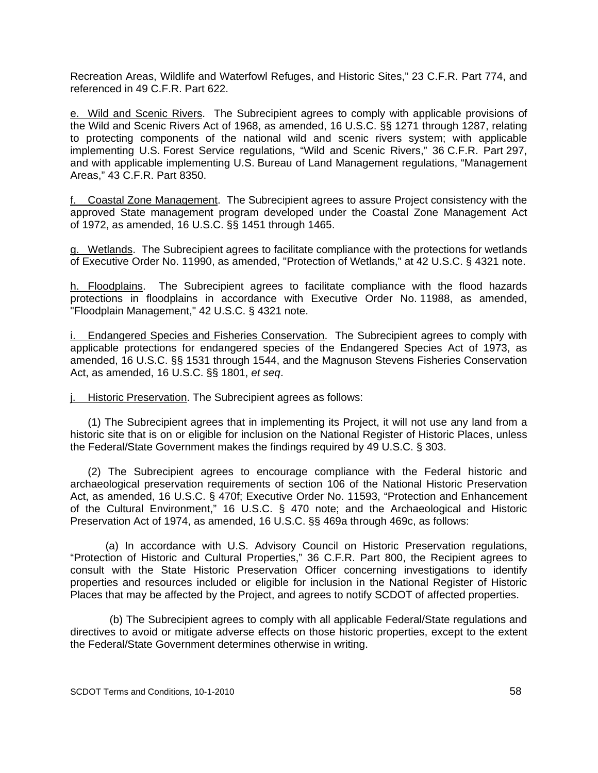Recreation Areas, Wildlife and Waterfowl Refuges, and Historic Sites," 23 C.F.R. Part 774, and referenced in 49 C.F.R. Part 622.

e. Wild and Scenic Rivers. The Subrecipient agrees to comply with applicable provisions of the Wild and Scenic Rivers Act of 1968, as amended, 16 U.S.C. §§ 1271 through 1287, relating to protecting components of the national wild and scenic rivers system; with applicable implementing U.S. Forest Service regulations, "Wild and Scenic Rivers," 36 C.F.R. Part 297, and with applicable implementing U.S. Bureau of Land Management regulations, "Management Areas," 43 C.F.R. Part 8350.

f. Coastal Zone Management. The Subrecipient agrees to assure Project consistency with the approved State management program developed under the Coastal Zone Management Act of 1972, as amended, 16 U.S.C. §§ 1451 through 1465.

g. Wetlands. The Subrecipient agrees to facilitate compliance with the protections for wetlands of Executive Order No. 11990, as amended, "Protection of Wetlands," at 42 U.S.C. § 4321 note.

h. Floodplains. The Subrecipient agrees to facilitate compliance with the flood hazards protections in floodplains in accordance with Executive Order No. 11988, as amended, "Floodplain Management," 42 U.S.C. § 4321 note.

i. Endangered Species and Fisheries Conservation. The Subrecipient agrees to comply with applicable protections for endangered species of the Endangered Species Act of 1973, as amended, 16 U.S.C. §§ 1531 through 1544, and the Magnuson Stevens Fisheries Conservation Act, as amended, 16 U.S.C. §§ 1801, *et seq*.

j. Historic Preservation. The Subrecipient agrees as follows:

(1) The Subrecipient agrees that in implementing its Project, it will not use any land from a historic site that is on or eligible for inclusion on the National Register of Historic Places, unless the Federal/State Government makes the findings required by 49 U.S.C. § 303.

(2) The Subrecipient agrees to encourage compliance with the Federal historic and archaeological preservation requirements of section 106 of the National Historic Preservation Act, as amended, 16 U.S.C. § 470f; Executive Order No. 11593, "Protection and Enhancement of the Cultural Environment," 16 U.S.C. § 470 note; and the Archaeological and Historic Preservation Act of 1974, as amended, 16 U.S.C. §§ 469a through 469c, as follows:

(a) In accordance with U.S. Advisory Council on Historic Preservation regulations, "Protection of Historic and Cultural Properties," 36 C.F.R. Part 800, the Recipient agrees to consult with the State Historic Preservation Officer concerning investigations to identify properties and resources included or eligible for inclusion in the National Register of Historic Places that may be affected by the Project, and agrees to notify SCDOT of affected properties.

 (b) The Subrecipient agrees to comply with all applicable Federal/State regulations and directives to avoid or mitigate adverse effects on those historic properties, except to the extent the Federal/State Government determines otherwise in writing.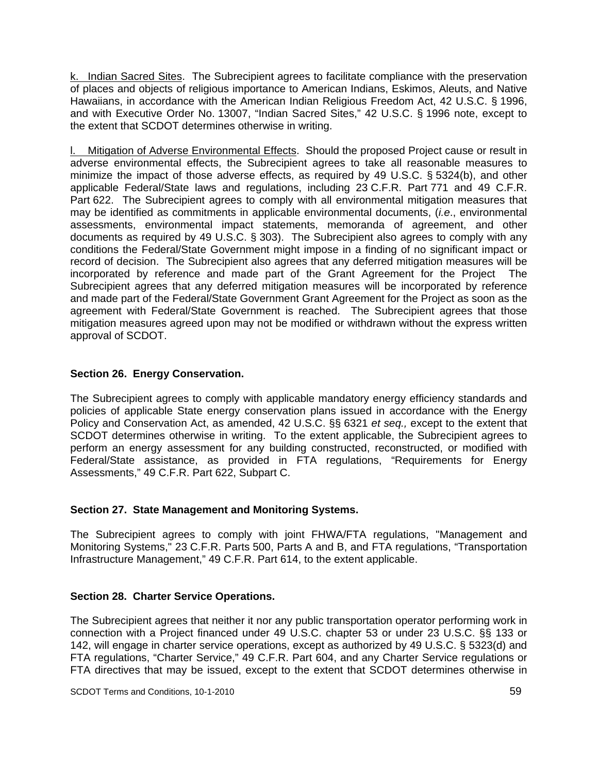k. Indian Sacred Sites. The Subrecipient agrees to facilitate compliance with the preservation of places and objects of religious importance to American Indians, Eskimos, Aleuts, and Native Hawaiians, in accordance with the American Indian Religious Freedom Act, 42 U.S.C. § 1996, and with Executive Order No. 13007, "Indian Sacred Sites," 42 U.S.C. § 1996 note, except to the extent that SCDOT determines otherwise in writing.

l. Mitigation of Adverse Environmental Effects. Should the proposed Project cause or result in adverse environmental effects, the Subrecipient agrees to take all reasonable measures to minimize the impact of those adverse effects, as required by 49 U.S.C. § 5324(b), and other applicable Federal/State laws and regulations, including 23 C.F.R. Part 771 and 49 C.F.R. Part 622. The Subrecipient agrees to comply with all environmental mitigation measures that may be identified as commitments in applicable environmental documents, (*i.e*., environmental assessments, environmental impact statements, memoranda of agreement, and other documents as required by 49 U.S.C. § 303). The Subrecipient also agrees to comply with any conditions the Federal/State Government might impose in a finding of no significant impact or record of decision. The Subrecipient also agrees that any deferred mitigation measures will be incorporated by reference and made part of the Grant Agreement for the Project The Subrecipient agrees that any deferred mitigation measures will be incorporated by reference and made part of the Federal/State Government Grant Agreement for the Project as soon as the agreement with Federal/State Government is reached. The Subrecipient agrees that those mitigation measures agreed upon may not be modified or withdrawn without the express written approval of SCDOT.

## **Section 26. Energy Conservation.**

The Subrecipient agrees to comply with applicable mandatory energy efficiency standards and policies of applicable State energy conservation plans issued in accordance with the Energy Policy and Conservation Act, as amended, 42 U.S.C. §§ 6321 *et seq.,* except to the extent that SCDOT determines otherwise in writing. To the extent applicable, the Subrecipient agrees to perform an energy assessment for any building constructed, reconstructed, or modified with Federal/State assistance, as provided in FTA regulations, "Requirements for Energy Assessments," 49 C.F.R. Part 622, Subpart C.

## **Section 27. State Management and Monitoring Systems.**

The Subrecipient agrees to comply with joint FHWA/FTA regulations, "Management and Monitoring Systems," 23 C.F.R. Parts 500, Parts A and B, and FTA regulations, "Transportation Infrastructure Management," 49 C.F.R. Part 614, to the extent applicable.

## **Section 28. Charter Service Operations.**

The Subrecipient agrees that neither it nor any public transportation operator performing work in connection with a Project financed under 49 U.S.C. chapter 53 or under 23 U.S.C. §§ 133 or 142, will engage in charter service operations, except as authorized by 49 U.S.C. § 5323(d) and FTA regulations, "Charter Service," 49 C.F.R. Part 604, and any Charter Service regulations or FTA directives that may be issued, except to the extent that SCDOT determines otherwise in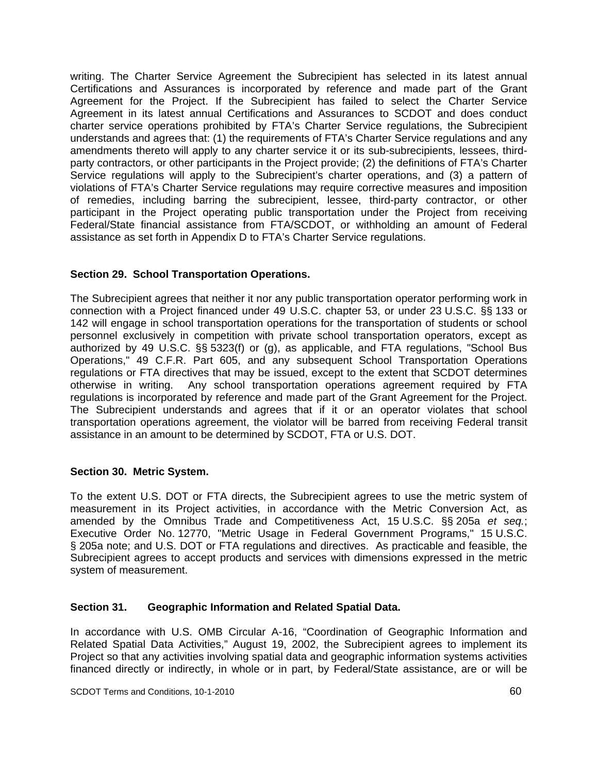writing. The Charter Service Agreement the Subrecipient has selected in its latest annual Certifications and Assurances is incorporated by reference and made part of the Grant Agreement for the Project. If the Subrecipient has failed to select the Charter Service Agreement in its latest annual Certifications and Assurances to SCDOT and does conduct charter service operations prohibited by FTA's Charter Service regulations, the Subrecipient understands and agrees that: (1) the requirements of FTA's Charter Service regulations and any amendments thereto will apply to any charter service it or its sub-subrecipients, lessees, thirdparty contractors, or other participants in the Project provide; (2) the definitions of FTA's Charter Service regulations will apply to the Subrecipient's charter operations, and (3) a pattern of violations of FTA's Charter Service regulations may require corrective measures and imposition of remedies, including barring the subrecipient, lessee, third-party contractor, or other participant in the Project operating public transportation under the Project from receiving Federal/State financial assistance from FTA/SCDOT, or withholding an amount of Federal assistance as set forth in Appendix D to FTA's Charter Service regulations.

## **Section 29. School Transportation Operations.**

The Subrecipient agrees that neither it nor any public transportation operator performing work in connection with a Project financed under 49 U.S.C. chapter 53, or under 23 U.S.C. §§ 133 or 142 will engage in school transportation operations for the transportation of students or school personnel exclusively in competition with private school transportation operators, except as authorized by 49 U.S.C. §§ 5323(f) or (g), as applicable, and FTA regulations, "School Bus Operations," 49 C.F.R. Part 605, and any subsequent School Transportation Operations regulations or FTA directives that may be issued, except to the extent that SCDOT determines otherwise in writing. Any school transportation operations agreement required by FTA regulations is incorporated by reference and made part of the Grant Agreement for the Project. The Subrecipient understands and agrees that if it or an operator violates that school transportation operations agreement, the violator will be barred from receiving Federal transit assistance in an amount to be determined by SCDOT, FTA or U.S. DOT.

#### **Section 30. Metric System.**

To the extent U.S. DOT or FTA directs, the Subrecipient agrees to use the metric system of measurement in its Project activities, in accordance with the Metric Conversion Act, as amended by the Omnibus Trade and Competitiveness Act, 15 U.S.C. §§ 205a *et seq.*; Executive Order No. 12770, "Metric Usage in Federal Government Programs," 15 U.S.C. § 205a note; and U.S. DOT or FTA regulations and directives. As practicable and feasible, the Subrecipient agrees to accept products and services with dimensions expressed in the metric system of measurement.

## **Section 31. Geographic Information and Related Spatial Data.**

In accordance with U.S. OMB Circular A-16, "Coordination of Geographic Information and Related Spatial Data Activities," August 19, 2002, the Subrecipient agrees to implement its Project so that any activities involving spatial data and geographic information systems activities financed directly or indirectly, in whole or in part, by Federal/State assistance, are or will be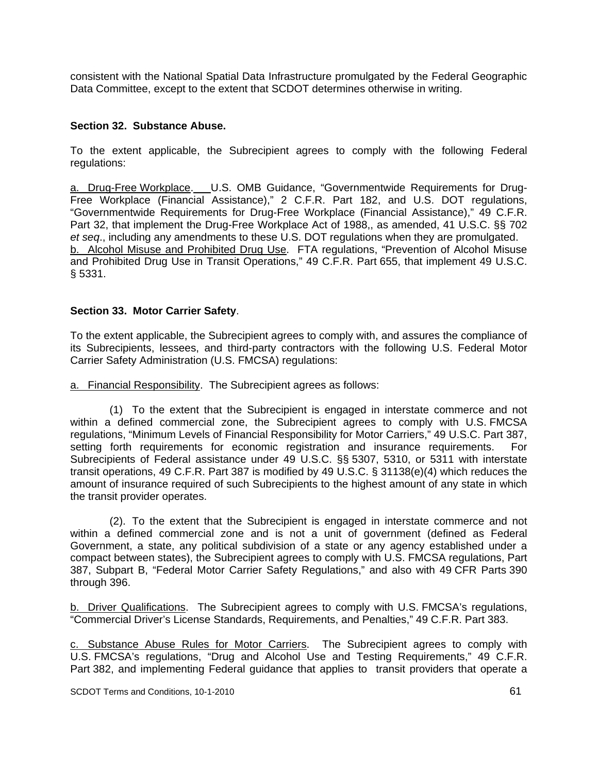consistent with the National Spatial Data Infrastructure promulgated by the Federal Geographic Data Committee, except to the extent that SCDOT determines otherwise in writing.

#### **Section 32. Substance Abuse.**

To the extent applicable, the Subrecipient agrees to comply with the following Federal regulations:

a. Drug-Free Workplace. U.S. OMB Guidance, "Governmentwide Requirements for Drug-Free Workplace (Financial Assistance)," 2 C.F.R. Part 182, and U.S. DOT regulations, "Governmentwide Requirements for Drug-Free Workplace (Financial Assistance)," 49 C.F.R. Part 32, that implement the Drug-Free Workplace Act of 1988,, as amended, 41 U.S.C. §§ 702 *et seq*., including any amendments to these U.S. DOT regulations when they are promulgated. b. Alcohol Misuse and Prohibited Drug Use. FTA regulations, "Prevention of Alcohol Misuse and Prohibited Drug Use in Transit Operations," 49 C.F.R. Part 655, that implement 49 U.S.C. § 5331.

### **Section 33. Motor Carrier Safety**.

To the extent applicable, the Subrecipient agrees to comply with, and assures the compliance of its Subrecipients, lessees, and third-party contractors with the following U.S. Federal Motor Carrier Safety Administration (U.S. FMCSA) regulations:

a. Financial Responsibility. The Subrecipient agrees as follows:

 (1) To the extent that the Subrecipient is engaged in interstate commerce and not within a defined commercial zone, the Subrecipient agrees to comply with U.S. FMCSA regulations, "Minimum Levels of Financial Responsibility for Motor Carriers," 49 U.S.C. Part 387, setting forth requirements for economic registration and insurance requirements. For Subrecipients of Federal assistance under 49 U.S.C. §§ 5307, 5310, or 5311 with interstate transit operations, 49 C.F.R. Part 387 is modified by 49 U.S.C. § 31138(e)(4) which reduces the amount of insurance required of such Subrecipients to the highest amount of any state in which the transit provider operates.

 (2). To the extent that the Subrecipient is engaged in interstate commerce and not within a defined commercial zone and is not a unit of government (defined as Federal Government, a state, any political subdivision of a state or any agency established under a compact between states), the Subrecipient agrees to comply with U.S. FMCSA regulations, Part 387, Subpart B, "Federal Motor Carrier Safety Regulations," and also with 49 CFR Parts 390 through 396.

b. Driver Qualifications. The Subrecipient agrees to comply with U.S. FMCSA's regulations, "Commercial Driver's License Standards, Requirements, and Penalties," 49 C.F.R. Part 383.

c. Substance Abuse Rules for Motor Carriers. The Subrecipient agrees to comply with U.S. FMCSA's regulations, "Drug and Alcohol Use and Testing Requirements," 49 C.F.R. Part 382, and implementing Federal guidance that applies to transit providers that operate a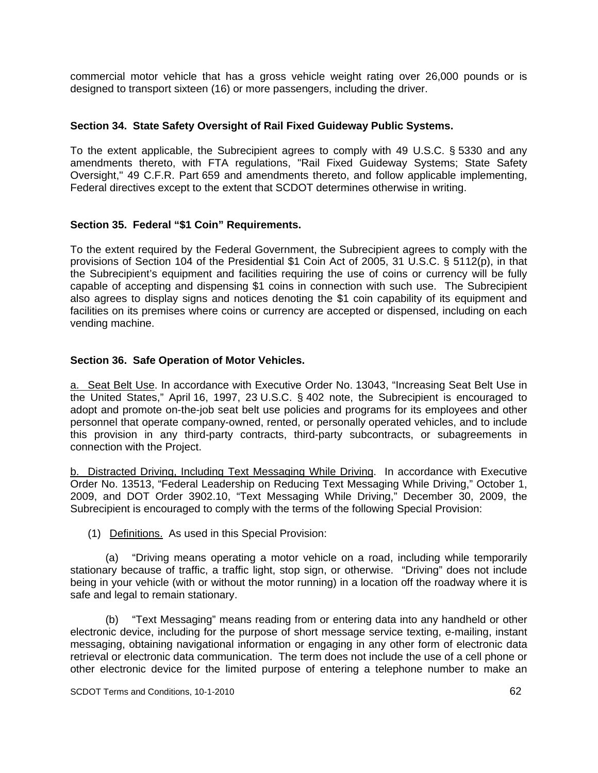commercial motor vehicle that has a gross vehicle weight rating over 26,000 pounds or is designed to transport sixteen (16) or more passengers, including the driver.

#### **Section 34. State Safety Oversight of Rail Fixed Guideway Public Systems.**

To the extent applicable, the Subrecipient agrees to comply with 49 U.S.C. § 5330 and any amendments thereto, with FTA regulations, "Rail Fixed Guideway Systems; State Safety Oversight," 49 C.F.R. Part 659 and amendments thereto, and follow applicable implementing, Federal directives except to the extent that SCDOT determines otherwise in writing.

### **Section 35. Federal "\$1 Coin" Requirements.**

To the extent required by the Federal Government, the Subrecipient agrees to comply with the provisions of Section 104 of the Presidential \$1 Coin Act of 2005, 31 U.S.C. § 5112(p), in that the Subrecipient's equipment and facilities requiring the use of coins or currency will be fully capable of accepting and dispensing \$1 coins in connection with such use. The Subrecipient also agrees to display signs and notices denoting the \$1 coin capability of its equipment and facilities on its premises where coins or currency are accepted or dispensed, including on each vending machine.

### **Section 36. Safe Operation of Motor Vehicles.**

a. Seat Belt Use. In accordance with Executive Order No. 13043, "Increasing Seat Belt Use in the United States," April 16, 1997, 23 U.S.C. § 402 note, the Subrecipient is encouraged to adopt and promote on-the-job seat belt use policies and programs for its employees and other personnel that operate company-owned, rented, or personally operated vehicles, and to include this provision in any third-party contracts, third-party subcontracts, or subagreements in connection with the Project.

b. Distracted Driving, Including Text Messaging While Driving. In accordance with Executive Order No. 13513, "Federal Leadership on Reducing Text Messaging While Driving," October 1, 2009, and DOT Order 3902.10, "Text Messaging While Driving," December 30, 2009, the Subrecipient is encouraged to comply with the terms of the following Special Provision:

(1) Definitions. As used in this Special Provision:

(a) "Driving means operating a motor vehicle on a road, including while temporarily stationary because of traffic, a traffic light, stop sign, or otherwise. "Driving" does not include being in your vehicle (with or without the motor running) in a location off the roadway where it is safe and legal to remain stationary.

(b) "Text Messaging" means reading from or entering data into any handheld or other electronic device, including for the purpose of short message service texting, e-mailing, instant messaging, obtaining navigational information or engaging in any other form of electronic data retrieval or electronic data communication. The term does not include the use of a cell phone or other electronic device for the limited purpose of entering a telephone number to make an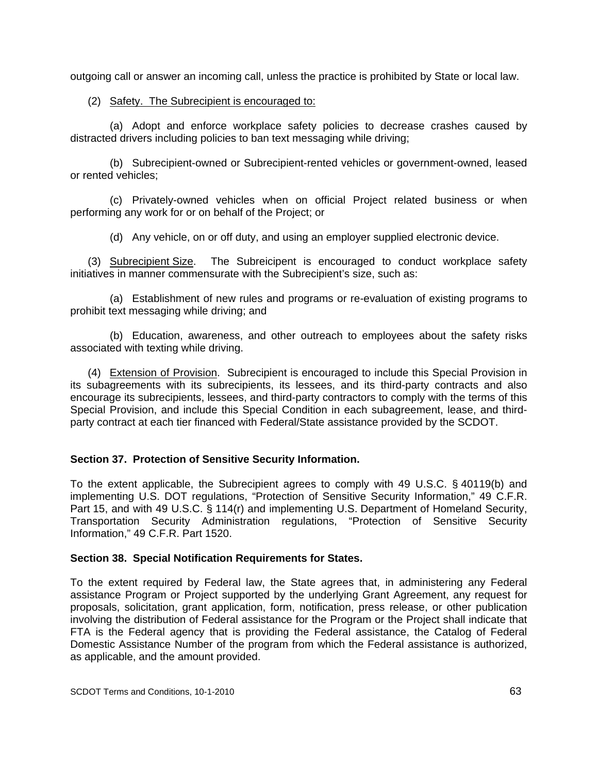outgoing call or answer an incoming call, unless the practice is prohibited by State or local law.

### (2) Safety. The Subrecipient is encouraged to:

(a) Adopt and enforce workplace safety policies to decrease crashes caused by distracted drivers including policies to ban text messaging while driving;

(b) Subrecipient-owned or Subrecipient-rented vehicles or government-owned, leased or rented vehicles;

(c) Privately-owned vehicles when on official Project related business or when performing any work for or on behalf of the Project; or

(d) Any vehicle, on or off duty, and using an employer supplied electronic device.

 (3) Subrecipient Size. The Subreicipent is encouraged to conduct workplace safety initiatives in manner commensurate with the Subrecipient's size, such as:

(a) Establishment of new rules and programs or re-evaluation of existing programs to prohibit text messaging while driving; and

(b) Education, awareness, and other outreach to employees about the safety risks associated with texting while driving.

 (4) Extension of Provision. Subrecipient is encouraged to include this Special Provision in its subagreements with its subrecipients, its lessees, and its third-party contracts and also encourage its subrecipients, lessees, and third-party contractors to comply with the terms of this Special Provision, and include this Special Condition in each subagreement, lease, and thirdparty contract at each tier financed with Federal/State assistance provided by the SCDOT.

## **Section 37. Protection of Sensitive Security Information.**

To the extent applicable, the Subrecipient agrees to comply with 49 U.S.C. § 40119(b) and implementing U.S. DOT regulations, "Protection of Sensitive Security Information," 49 C.F.R. Part 15, and with 49 U.S.C. § 114(r) and implementing U.S. Department of Homeland Security, Transportation Security Administration regulations, "Protection of Sensitive Security Information," 49 C.F.R. Part 1520.

#### **Section 38. Special Notification Requirements for States.**

To the extent required by Federal law, the State agrees that, in administering any Federal assistance Program or Project supported by the underlying Grant Agreement, any request for proposals, solicitation, grant application, form, notification, press release, or other publication involving the distribution of Federal assistance for the Program or the Project shall indicate that FTA is the Federal agency that is providing the Federal assistance, the Catalog of Federal Domestic Assistance Number of the program from which the Federal assistance is authorized, as applicable, and the amount provided.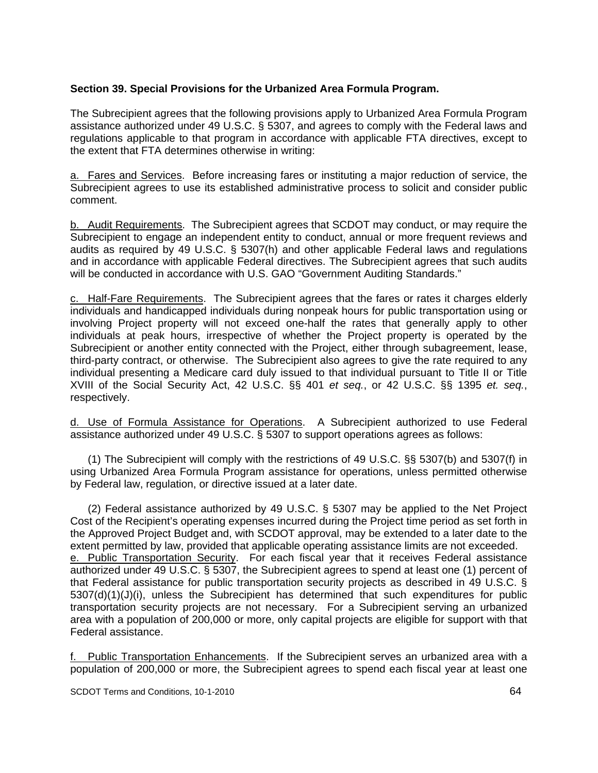## **Section 39. Special Provisions for the Urbanized Area Formula Program.**

The Subrecipient agrees that the following provisions apply to Urbanized Area Formula Program assistance authorized under 49 U.S.C. § 5307, and agrees to comply with the Federal laws and regulations applicable to that program in accordance with applicable FTA directives, except to the extent that FTA determines otherwise in writing:

a. Fares and Services. Before increasing fares or instituting a major reduction of service, the Subrecipient agrees to use its established administrative process to solicit and consider public comment.

b. Audit Requirements. The Subrecipient agrees that SCDOT may conduct, or may require the Subrecipient to engage an independent entity to conduct, annual or more frequent reviews and audits as required by 49 U.S.C. § 5307(h) and other applicable Federal laws and regulations and in accordance with applicable Federal directives. The Subrecipient agrees that such audits will be conducted in accordance with U.S. GAO "Government Auditing Standards."

c. Half-Fare Requirements. The Subrecipient agrees that the fares or rates it charges elderly individuals and handicapped individuals during nonpeak hours for public transportation using or involving Project property will not exceed one-half the rates that generally apply to other individuals at peak hours, irrespective of whether the Project property is operated by the Subrecipient or another entity connected with the Project, either through subagreement, lease, third-party contract, or otherwise. The Subrecipient also agrees to give the rate required to any individual presenting a Medicare card duly issued to that individual pursuant to Title II or Title XVIII of the Social Security Act, 42 U.S.C. §§ 401 *et seq.*, or 42 U.S.C. §§ 1395 *et. seq.*, respectively.

d. Use of Formula Assistance for Operations. A Subrecipient authorized to use Federal assistance authorized under 49 U.S.C. § 5307 to support operations agrees as follows:

(1) The Subrecipient will comply with the restrictions of 49 U.S.C. §§ 5307(b) and 5307(f) in using Urbanized Area Formula Program assistance for operations, unless permitted otherwise by Federal law, regulation, or directive issued at a later date.

(2) Federal assistance authorized by 49 U.S.C. § 5307 may be applied to the Net Project Cost of the Recipient's operating expenses incurred during the Project time period as set forth in the Approved Project Budget and, with SCDOT approval, may be extended to a later date to the extent permitted by law, provided that applicable operating assistance limits are not exceeded. e. Public Transportation Security. For each fiscal year that it receives Federal assistance authorized under 49 U.S.C. § 5307, the Subrecipient agrees to spend at least one (1) percent of that Federal assistance for public transportation security projects as described in 49 U.S.C. §  $5307(d)(1)(J)(i)$ , unless the Subrecipient has determined that such expenditures for public transportation security projects are not necessary. For a Subrecipient serving an urbanized area with a population of 200,000 or more, only capital projects are eligible for support with that Federal assistance.

f. Public Transportation Enhancements. If the Subrecipient serves an urbanized area with a population of 200,000 or more, the Subrecipient agrees to spend each fiscal year at least one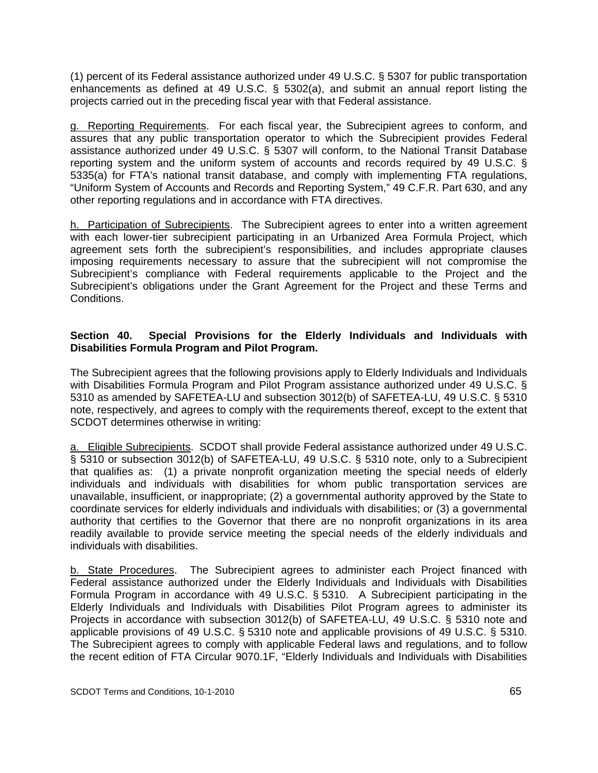(1) percent of its Federal assistance authorized under 49 U.S.C. § 5307 for public transportation enhancements as defined at 49 U.S.C. § 5302(a), and submit an annual report listing the projects carried out in the preceding fiscal year with that Federal assistance.

g. Reporting Requirements. For each fiscal year, the Subrecipient agrees to conform, and assures that any public transportation operator to which the Subrecipient provides Federal assistance authorized under 49 U.S.C. § 5307 will conform, to the National Transit Database reporting system and the uniform system of accounts and records required by 49 U.S.C. § 5335(a) for FTA's national transit database, and comply with implementing FTA regulations, "Uniform System of Accounts and Records and Reporting System," 49 C.F.R. Part 630, and any other reporting regulations and in accordance with FTA directives.

h. Participation of Subrecipients. The Subrecipient agrees to enter into a written agreement with each lower-tier subrecipient participating in an Urbanized Area Formula Project, which agreement sets forth the subrecipient's responsibilities, and includes appropriate clauses imposing requirements necessary to assure that the subrecipient will not compromise the Subrecipient's compliance with Federal requirements applicable to the Project and the Subrecipient's obligations under the Grant Agreement for the Project and these Terms and Conditions.

### **Section 40. Special Provisions for the Elderly Individuals and Individuals with Disabilities Formula Program and Pilot Program.**

The Subrecipient agrees that the following provisions apply to Elderly Individuals and Individuals with Disabilities Formula Program and Pilot Program assistance authorized under 49 U.S.C. § 5310 as amended by SAFETEA-LU and subsection 3012(b) of SAFETEA-LU, 49 U.S.C. § 5310 note, respectively, and agrees to comply with the requirements thereof, except to the extent that SCDOT determines otherwise in writing:

a. Eligible Subrecipients. SCDOT shall provide Federal assistance authorized under 49 U.S.C. § 5310 or subsection 3012(b) of SAFETEA-LU, 49 U.S.C. § 5310 note, only to a Subrecipient that qualifies as: (1) a private nonprofit organization meeting the special needs of elderly individuals and individuals with disabilities for whom public transportation services are unavailable, insufficient, or inappropriate; (2) a governmental authority approved by the State to coordinate services for elderly individuals and individuals with disabilities; or (3) a governmental authority that certifies to the Governor that there are no nonprofit organizations in its area readily available to provide service meeting the special needs of the elderly individuals and individuals with disabilities.

b. State Procedures. The Subrecipient agrees to administer each Project financed with Federal assistance authorized under the Elderly Individuals and Individuals with Disabilities Formula Program in accordance with 49 U.S.C. § 5310. A Subrecipient participating in the Elderly Individuals and Individuals with Disabilities Pilot Program agrees to administer its Projects in accordance with subsection 3012(b) of SAFETEA-LU, 49 U.S.C. § 5310 note and applicable provisions of 49 U.S.C. § 5310 note and applicable provisions of 49 U.S.C. § 5310. The Subrecipient agrees to comply with applicable Federal laws and regulations, and to follow the recent edition of FTA Circular 9070.1F, "Elderly Individuals and Individuals with Disabilities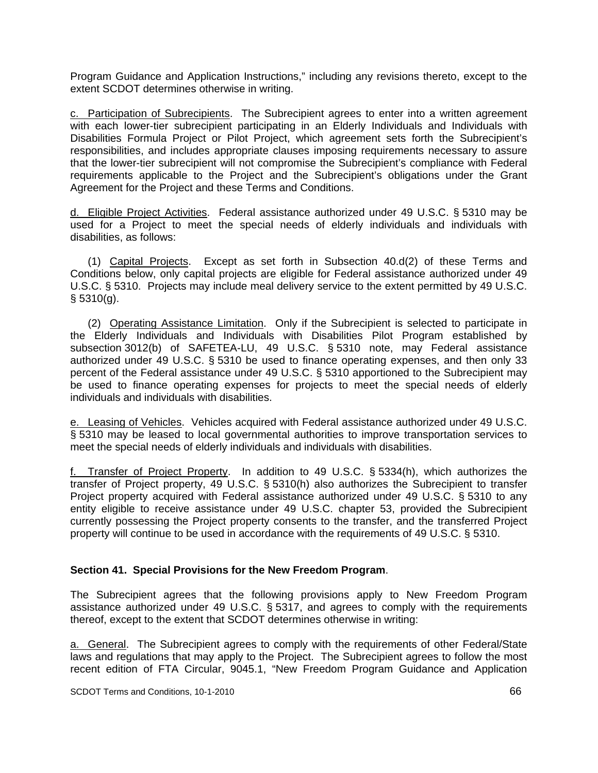Program Guidance and Application Instructions," including any revisions thereto, except to the extent SCDOT determines otherwise in writing.

c. Participation of Subrecipients. The Subrecipient agrees to enter into a written agreement with each lower-tier subrecipient participating in an Elderly Individuals and Individuals with Disabilities Formula Project or Pilot Project, which agreement sets forth the Subrecipient's responsibilities, and includes appropriate clauses imposing requirements necessary to assure that the lower-tier subrecipient will not compromise the Subrecipient's compliance with Federal requirements applicable to the Project and the Subrecipient's obligations under the Grant Agreement for the Project and these Terms and Conditions.

d. Eligible Project Activities. Federal assistance authorized under 49 U.S.C. § 5310 may be used for a Project to meet the special needs of elderly individuals and individuals with disabilities, as follows:

 (1) Capital Projects. Except as set forth in Subsection 40.d(2) of these Terms and Conditions below, only capital projects are eligible for Federal assistance authorized under 49 U.S.C. § 5310. Projects may include meal delivery service to the extent permitted by 49 U.S.C.  $§ 5310(q).$ 

 (2) Operating Assistance Limitation. Only if the Subrecipient is selected to participate in the Elderly Individuals and Individuals with Disabilities Pilot Program established by subsection 3012(b) of SAFETEA-LU, 49 U.S.C. § 5310 note, may Federal assistance authorized under 49 U.S.C. § 5310 be used to finance operating expenses, and then only 33 percent of the Federal assistance under 49 U.S.C. § 5310 apportioned to the Subrecipient may be used to finance operating expenses for projects to meet the special needs of elderly individuals and individuals with disabilities.

e. Leasing of Vehicles. Vehicles acquired with Federal assistance authorized under 49 U.S.C. § 5310 may be leased to local governmental authorities to improve transportation services to meet the special needs of elderly individuals and individuals with disabilities.

f. Transfer of Project Property. In addition to 49 U.S.C. § 5334(h), which authorizes the transfer of Project property, 49 U.S.C. § 5310(h) also authorizes the Subrecipient to transfer Project property acquired with Federal assistance authorized under 49 U.S.C. § 5310 to any entity eligible to receive assistance under 49 U.S.C. chapter 53, provided the Subrecipient currently possessing the Project property consents to the transfer, and the transferred Project property will continue to be used in accordance with the requirements of 49 U.S.C. § 5310.

#### **Section 41. Special Provisions for the New Freedom Program**.

The Subrecipient agrees that the following provisions apply to New Freedom Program assistance authorized under 49 U.S.C. § 5317, and agrees to comply with the requirements thereof, except to the extent that SCDOT determines otherwise in writing:

a. General. The Subrecipient agrees to comply with the requirements of other Federal/State laws and regulations that may apply to the Project. The Subrecipient agrees to follow the most recent edition of FTA Circular, 9045.1, "New Freedom Program Guidance and Application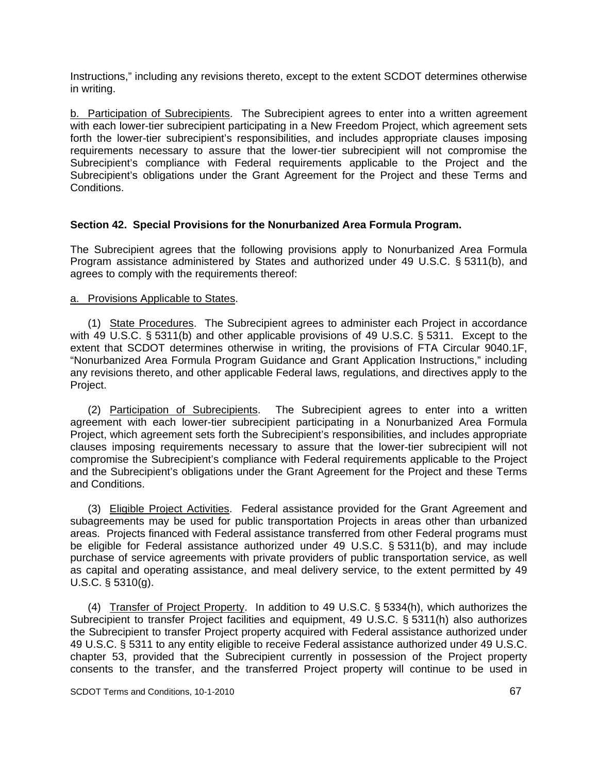Instructions," including any revisions thereto, except to the extent SCDOT determines otherwise in writing.

b. Participation of Subrecipients. The Subrecipient agrees to enter into a written agreement with each lower-tier subrecipient participating in a New Freedom Project, which agreement sets forth the lower-tier subrecipient's responsibilities, and includes appropriate clauses imposing requirements necessary to assure that the lower-tier subrecipient will not compromise the Subrecipient's compliance with Federal requirements applicable to the Project and the Subrecipient's obligations under the Grant Agreement for the Project and these Terms and Conditions.

### **Section 42. Special Provisions for the Nonurbanized Area Formula Program.**

The Subrecipient agrees that the following provisions apply to Nonurbanized Area Formula Program assistance administered by States and authorized under 49 U.S.C. § 5311(b), and agrees to comply with the requirements thereof:

#### a. Provisions Applicable to States.

 (1) State Procedures. The Subrecipient agrees to administer each Project in accordance with 49 U.S.C. § 5311(b) and other applicable provisions of 49 U.S.C. § 5311. Except to the extent that SCDOT determines otherwise in writing, the provisions of FTA Circular 9040.1F, "Nonurbanized Area Formula Program Guidance and Grant Application Instructions," including any revisions thereto, and other applicable Federal laws, regulations, and directives apply to the Project.

 (2) Participation of Subrecipients. The Subrecipient agrees to enter into a written agreement with each lower-tier subrecipient participating in a Nonurbanized Area Formula Project, which agreement sets forth the Subrecipient's responsibilities, and includes appropriate clauses imposing requirements necessary to assure that the lower-tier subrecipient will not compromise the Subrecipient's compliance with Federal requirements applicable to the Project and the Subrecipient's obligations under the Grant Agreement for the Project and these Terms and Conditions.

 (3) Eligible Project Activities. Federal assistance provided for the Grant Agreement and subagreements may be used for public transportation Projects in areas other than urbanized areas. Projects financed with Federal assistance transferred from other Federal programs must be eligible for Federal assistance authorized under 49 U.S.C. § 5311(b), and may include purchase of service agreements with private providers of public transportation service, as well as capital and operating assistance, and meal delivery service, to the extent permitted by 49 U.S.C. § 5310(g).

 (4) Transfer of Project Property. In addition to 49 U.S.C. § 5334(h), which authorizes the Subrecipient to transfer Project facilities and equipment, 49 U.S.C. § 5311(h) also authorizes the Subrecipient to transfer Project property acquired with Federal assistance authorized under 49 U.S.C. § 5311 to any entity eligible to receive Federal assistance authorized under 49 U.S.C. chapter 53, provided that the Subrecipient currently in possession of the Project property consents to the transfer, and the transferred Project property will continue to be used in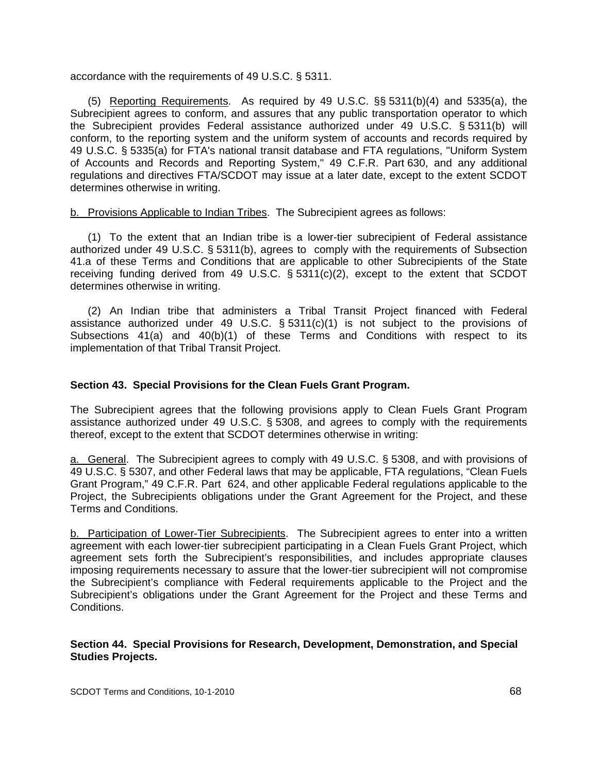accordance with the requirements of 49 U.S.C. § 5311.

 (5) Reporting Requirements. As required by 49 U.S.C. §§ 5311(b)(4) and 5335(a), the Subrecipient agrees to conform, and assures that any public transportation operator to which the Subrecipient provides Federal assistance authorized under 49 U.S.C. § 5311(b) will conform, to the reporting system and the uniform system of accounts and records required by 49 U.S.C. § 5335(a) for FTA's national transit database and FTA regulations, "Uniform System of Accounts and Records and Reporting System," 49 C.F.R. Part 630, and any additional regulations and directives FTA/SCDOT may issue at a later date, except to the extent SCDOT determines otherwise in writing.

### b. Provisions Applicable to Indian Tribes. The Subrecipient agrees as follows:

 (1) To the extent that an Indian tribe is a lower-tier subrecipient of Federal assistance authorized under 49 U.S.C. § 5311(b), agrees to comply with the requirements of Subsection 41.a of these Terms and Conditions that are applicable to other Subrecipients of the State receiving funding derived from 49 U.S.C. § 5311(c)(2), except to the extent that SCDOT determines otherwise in writing.

 (2) An Indian tribe that administers a Tribal Transit Project financed with Federal assistance authorized under 49 U.S.C. § 5311(c)(1) is not subject to the provisions of Subsections  $41(a)$  and  $40(b)(1)$  of these Terms and Conditions with respect to its implementation of that Tribal Transit Project.

### **Section 43. Special Provisions for the Clean Fuels Grant Program.**

The Subrecipient agrees that the following provisions apply to Clean Fuels Grant Program assistance authorized under 49 U.S.C. § 5308, and agrees to comply with the requirements thereof, except to the extent that SCDOT determines otherwise in writing:

a. General. The Subrecipient agrees to comply with 49 U.S.C. § 5308, and with provisions of 49 U.S.C. § 5307, and other Federal laws that may be applicable, FTA regulations, "Clean Fuels Grant Program," 49 C.F.R. Part 624, and other applicable Federal regulations applicable to the Project, the Subrecipients obligations under the Grant Agreement for the Project, and these Terms and Conditions.

b. Participation of Lower-Tier Subrecipients. The Subrecipient agrees to enter into a written agreement with each lower-tier subrecipient participating in a Clean Fuels Grant Project, which agreement sets forth the Subrecipient's responsibilities, and includes appropriate clauses imposing requirements necessary to assure that the lower-tier subrecipient will not compromise the Subrecipient's compliance with Federal requirements applicable to the Project and the Subrecipient's obligations under the Grant Agreement for the Project and these Terms and Conditions.

#### **Section 44. Special Provisions for Research, Development, Demonstration, and Special Studies Projects.**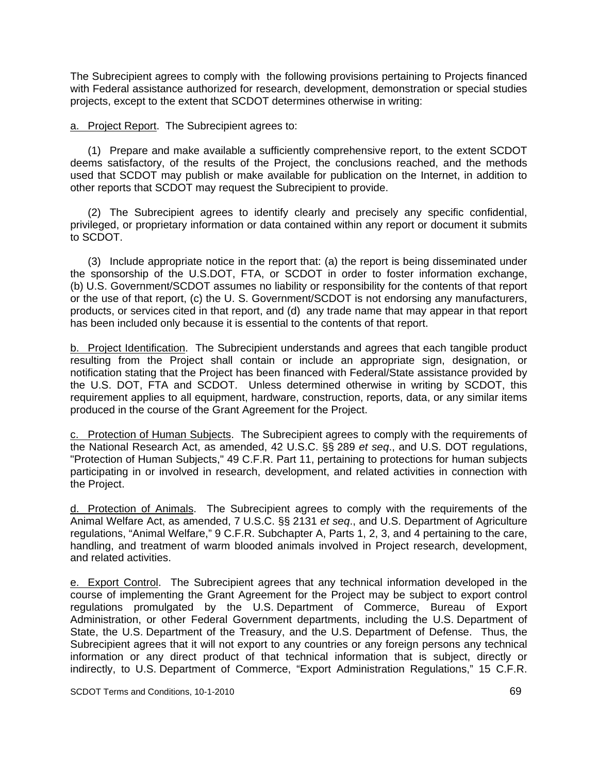The Subrecipient agrees to comply with the following provisions pertaining to Projects financed with Federal assistance authorized for research, development, demonstration or special studies projects, except to the extent that SCDOT determines otherwise in writing:

a. Project Report. The Subrecipient agrees to:

 (1) Prepare and make available a sufficiently comprehensive report, to the extent SCDOT deems satisfactory, of the results of the Project, the conclusions reached, and the methods used that SCDOT may publish or make available for publication on the Internet, in addition to other reports that SCDOT may request the Subrecipient to provide.

 (2) The Subrecipient agrees to identify clearly and precisely any specific confidential, privileged, or proprietary information or data contained within any report or document it submits to SCDOT.

 (3) Include appropriate notice in the report that: (a) the report is being disseminated under the sponsorship of the U.S.DOT, FTA, or SCDOT in order to foster information exchange, (b) U.S. Government/SCDOT assumes no liability or responsibility for the contents of that report or the use of that report, (c) the U. S. Government/SCDOT is not endorsing any manufacturers, products, or services cited in that report, and (d) any trade name that may appear in that report has been included only because it is essential to the contents of that report.

b. Project Identification. The Subrecipient understands and agrees that each tangible product resulting from the Project shall contain or include an appropriate sign, designation, or notification stating that the Project has been financed with Federal/State assistance provided by the U.S. DOT, FTA and SCDOT. Unless determined otherwise in writing by SCDOT, this requirement applies to all equipment, hardware, construction, reports, data, or any similar items produced in the course of the Grant Agreement for the Project.

c. Protection of Human Subjects. The Subrecipient agrees to comply with the requirements of the National Research Act, as amended, 42 U.S.C. §§ 289 *et seq*., and U.S. DOT regulations, "Protection of Human Subjects," 49 C.F.R. Part 11, pertaining to protections for human subjects participating in or involved in research, development, and related activities in connection with the Project.

d. Protection of Animals. The Subrecipient agrees to comply with the requirements of the Animal Welfare Act, as amended, 7 U.S.C. §§ 2131 *et seq*., and U.S. Department of Agriculture regulations, "Animal Welfare," 9 C.F.R. Subchapter A, Parts 1, 2, 3, and 4 pertaining to the care, handling, and treatment of warm blooded animals involved in Project research, development, and related activities.

e. Export Control. The Subrecipient agrees that any technical information developed in the course of implementing the Grant Agreement for the Project may be subject to export control regulations promulgated by the U.S. Department of Commerce, Bureau of Export Administration, or other Federal Government departments, including the U.S. Department of State, the U.S. Department of the Treasury, and the U.S. Department of Defense. Thus, the Subrecipient agrees that it will not export to any countries or any foreign persons any technical information or any direct product of that technical information that is subject, directly or indirectly, to U.S. Department of Commerce, "Export Administration Regulations," 15 C.F.R.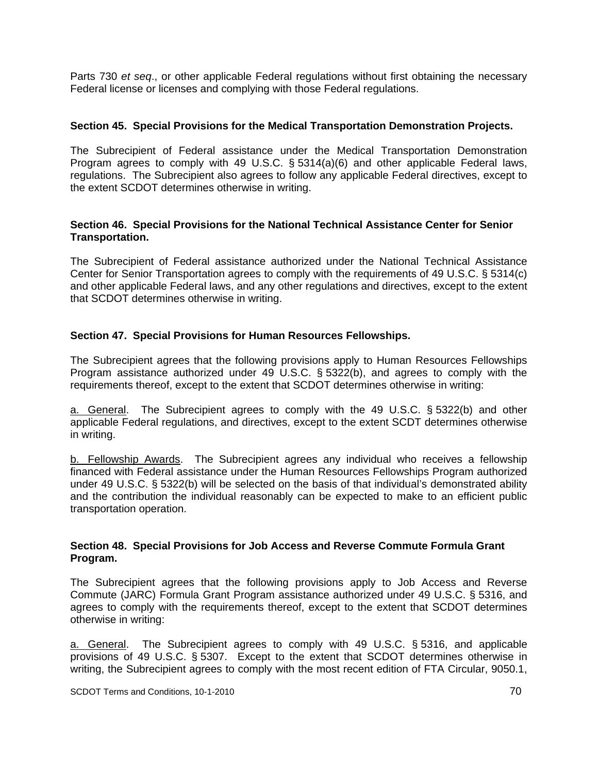Parts 730 *et seq*., or other applicable Federal regulations without first obtaining the necessary Federal license or licenses and complying with those Federal regulations.

#### **Section 45. Special Provisions for the Medical Transportation Demonstration Projects.**

The Subrecipient of Federal assistance under the Medical Transportation Demonstration Program agrees to comply with 49 U.S.C. § 5314(a)(6) and other applicable Federal laws, regulations. The Subrecipient also agrees to follow any applicable Federal directives, except to the extent SCDOT determines otherwise in writing.

### **Section 46. Special Provisions for the National Technical Assistance Center for Senior Transportation.**

The Subrecipient of Federal assistance authorized under the National Technical Assistance Center for Senior Transportation agrees to comply with the requirements of 49 U.S.C. § 5314(c) and other applicable Federal laws, and any other regulations and directives, except to the extent that SCDOT determines otherwise in writing.

### **Section 47. Special Provisions for Human Resources Fellowships.**

The Subrecipient agrees that the following provisions apply to Human Resources Fellowships Program assistance authorized under 49 U.S.C. § 5322(b), and agrees to comply with the requirements thereof, except to the extent that SCDOT determines otherwise in writing:

a. General. The Subrecipient agrees to comply with the 49 U.S.C. § 5322(b) and other applicable Federal regulations, and directives, except to the extent SCDT determines otherwise in writing.

b. Fellowship Awards. The Subrecipient agrees any individual who receives a fellowship financed with Federal assistance under the Human Resources Fellowships Program authorized under 49 U.S.C. § 5322(b) will be selected on the basis of that individual's demonstrated ability and the contribution the individual reasonably can be expected to make to an efficient public transportation operation.

#### **Section 48. Special Provisions for Job Access and Reverse Commute Formula Grant Program.**

The Subrecipient agrees that the following provisions apply to Job Access and Reverse Commute (JARC) Formula Grant Program assistance authorized under 49 U.S.C. § 5316, and agrees to comply with the requirements thereof, except to the extent that SCDOT determines otherwise in writing:

a. General. The Subrecipient agrees to comply with 49 U.S.C. § 5316, and applicable provisions of 49 U.S.C. § 5307. Except to the extent that SCDOT determines otherwise in writing, the Subrecipient agrees to comply with the most recent edition of FTA Circular, 9050.1,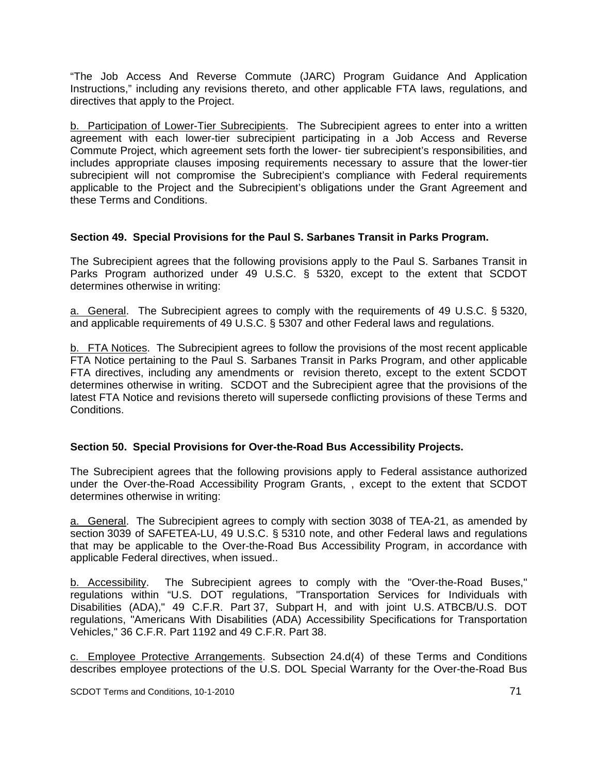"The Job Access And Reverse Commute (JARC) Program Guidance And Application Instructions," including any revisions thereto, and other applicable FTA laws, regulations, and directives that apply to the Project.

b. Participation of Lower-Tier Subrecipients. The Subrecipient agrees to enter into a written agreement with each lower-tier subrecipient participating in a Job Access and Reverse Commute Project, which agreement sets forth the lower- tier subrecipient's responsibilities, and includes appropriate clauses imposing requirements necessary to assure that the lower-tier subrecipient will not compromise the Subrecipient's compliance with Federal requirements applicable to the Project and the Subrecipient's obligations under the Grant Agreement and these Terms and Conditions.

## **Section 49. Special Provisions for the Paul S. Sarbanes Transit in Parks Program.**

The Subrecipient agrees that the following provisions apply to the Paul S. Sarbanes Transit in Parks Program authorized under 49 U.S.C. § 5320, except to the extent that SCDOT determines otherwise in writing:

a. General. The Subrecipient agrees to comply with the requirements of 49 U.S.C. § 5320, and applicable requirements of 49 U.S.C. § 5307 and other Federal laws and regulations.

b. FTA Notices. The Subrecipient agrees to follow the provisions of the most recent applicable FTA Notice pertaining to the Paul S. Sarbanes Transit in Parks Program, and other applicable FTA directives, including any amendments or revision thereto, except to the extent SCDOT determines otherwise in writing. SCDOT and the Subrecipient agree that the provisions of the latest FTA Notice and revisions thereto will supersede conflicting provisions of these Terms and Conditions.

## **Section 50. Special Provisions for Over-the-Road Bus Accessibility Projects.**

The Subrecipient agrees that the following provisions apply to Federal assistance authorized under the Over-the-Road Accessibility Program Grants, , except to the extent that SCDOT determines otherwise in writing:

a. General. The Subrecipient agrees to comply with section 3038 of TEA-21, as amended by section 3039 of SAFETEA-LU, 49 U.S.C. § 5310 note, and other Federal laws and regulations that may be applicable to the Over-the-Road Bus Accessibility Program, in accordance with applicable Federal directives, when issued..

b. Accessibility. The Subrecipient agrees to comply with the "Over-the-Road Buses," regulations within "U.S. DOT regulations, "Transportation Services for Individuals with Disabilities (ADA)," 49 C.F.R. Part 37, Subpart H, and with joint U.S. ATBCB/U.S. DOT regulations, "Americans With Disabilities (ADA) Accessibility Specifications for Transportation Vehicles," 36 C.F.R. Part 1192 and 49 C.F.R. Part 38.

c. Employee Protective Arrangements. Subsection 24.d(4) of these Terms and Conditions describes employee protections of the U.S. DOL Special Warranty for the Over-the-Road Bus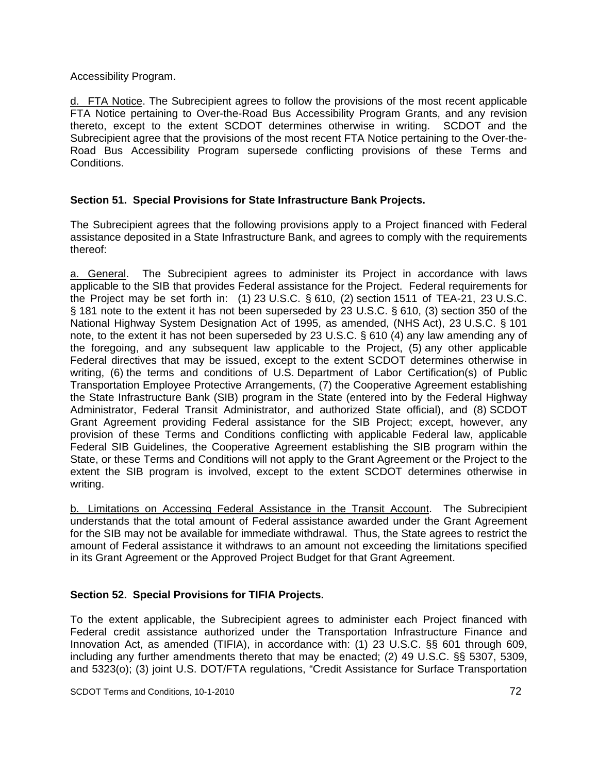Accessibility Program.

d. FTA Notice. The Subrecipient agrees to follow the provisions of the most recent applicable FTA Notice pertaining to Over-the-Road Bus Accessibility Program Grants, and any revision thereto, except to the extent SCDOT determines otherwise in writing. SCDOT and the Subrecipient agree that the provisions of the most recent FTA Notice pertaining to the Over-the-Road Bus Accessibility Program supersede conflicting provisions of these Terms and Conditions.

## **Section 51. Special Provisions for State Infrastructure Bank Projects.**

The Subrecipient agrees that the following provisions apply to a Project financed with Federal assistance deposited in a State Infrastructure Bank, and agrees to comply with the requirements thereof:

a. General. The Subrecipient agrees to administer its Project in accordance with laws applicable to the SIB that provides Federal assistance for the Project. Federal requirements for the Project may be set forth in: (1) 23 U.S.C. § 610, (2) section 1511 of TEA-21, 23 U.S.C. § 181 note to the extent it has not been superseded by 23 U.S.C. § 610, (3) section 350 of the National Highway System Designation Act of 1995, as amended, (NHS Act), 23 U.S.C. § 101 note, to the extent it has not been superseded by 23 U.S.C. § 610 (4) any law amending any of the foregoing, and any subsequent law applicable to the Project, (5) any other applicable Federal directives that may be issued, except to the extent SCDOT determines otherwise in writing, (6) the terms and conditions of U.S. Department of Labor Certification(s) of Public Transportation Employee Protective Arrangements, (7) the Cooperative Agreement establishing the State Infrastructure Bank (SIB) program in the State (entered into by the Federal Highway Administrator, Federal Transit Administrator, and authorized State official), and (8) SCDOT Grant Agreement providing Federal assistance for the SIB Project; except, however, any provision of these Terms and Conditions conflicting with applicable Federal law, applicable Federal SIB Guidelines, the Cooperative Agreement establishing the SIB program within the State, or these Terms and Conditions will not apply to the Grant Agreement or the Project to the extent the SIB program is involved, except to the extent SCDOT determines otherwise in writing.

b. Limitations on Accessing Federal Assistance in the Transit Account. The Subrecipient understands that the total amount of Federal assistance awarded under the Grant Agreement for the SIB may not be available for immediate withdrawal. Thus, the State agrees to restrict the amount of Federal assistance it withdraws to an amount not exceeding the limitations specified in its Grant Agreement or the Approved Project Budget for that Grant Agreement.

## **Section 52. Special Provisions for TIFIA Projects.**

To the extent applicable, the Subrecipient agrees to administer each Project financed with Federal credit assistance authorized under the Transportation Infrastructure Finance and Innovation Act, as amended (TIFIA), in accordance with: (1) 23 U.S.C. §§ 601 through 609, including any further amendments thereto that may be enacted; (2) 49 U.S.C. §§ 5307, 5309, and 5323(o); (3) joint U.S. DOT/FTA regulations, "Credit Assistance for Surface Transportation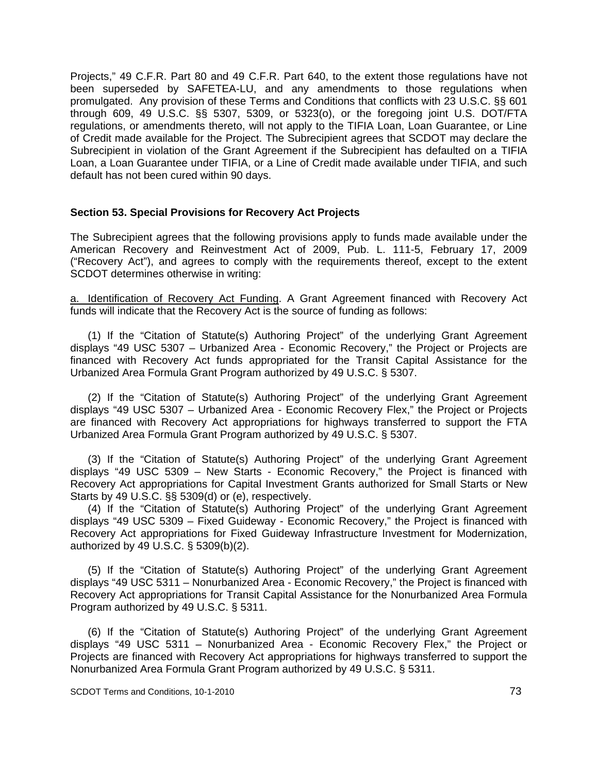Projects," 49 C.F.R. Part 80 and 49 C.F.R. Part 640, to the extent those regulations have not been superseded by SAFETEA-LU, and any amendments to those regulations when promulgated. Any provision of these Terms and Conditions that conflicts with 23 U.S.C. §§ 601 through 609, 49 U.S.C. §§ 5307, 5309, or 5323(o), or the foregoing joint U.S. DOT/FTA regulations, or amendments thereto, will not apply to the TIFIA Loan, Loan Guarantee, or Line of Credit made available for the Project. The Subrecipient agrees that SCDOT may declare the Subrecipient in violation of the Grant Agreement if the Subrecipient has defaulted on a TIFIA Loan, a Loan Guarantee under TIFIA, or a Line of Credit made available under TIFIA, and such default has not been cured within 90 days.

#### **Section 53. Special Provisions for Recovery Act Projects**

The Subrecipient agrees that the following provisions apply to funds made available under the American Recovery and Reinvestment Act of 2009, Pub. L. 111-5, February 17, 2009 ("Recovery Act"), and agrees to comply with the requirements thereof, except to the extent SCDOT determines otherwise in writing:

a. Identification of Recovery Act Funding. A Grant Agreement financed with Recovery Act funds will indicate that the Recovery Act is the source of funding as follows:

 (1) If the "Citation of Statute(s) Authoring Project" of the underlying Grant Agreement displays "49 USC 5307 – Urbanized Area - Economic Recovery," the Project or Projects are financed with Recovery Act funds appropriated for the Transit Capital Assistance for the Urbanized Area Formula Grant Program authorized by 49 U.S.C. § 5307.

 (2) If the "Citation of Statute(s) Authoring Project" of the underlying Grant Agreement displays "49 USC 5307 – Urbanized Area - Economic Recovery Flex," the Project or Projects are financed with Recovery Act appropriations for highways transferred to support the FTA Urbanized Area Formula Grant Program authorized by 49 U.S.C. § 5307.

 (3) If the "Citation of Statute(s) Authoring Project" of the underlying Grant Agreement displays "49 USC 5309 – New Starts - Economic Recovery," the Project is financed with Recovery Act appropriations for Capital Investment Grants authorized for Small Starts or New Starts by 49 U.S.C. §§ 5309(d) or (e), respectively.

 (4) If the "Citation of Statute(s) Authoring Project" of the underlying Grant Agreement displays "49 USC 5309 – Fixed Guideway - Economic Recovery," the Project is financed with Recovery Act appropriations for Fixed Guideway Infrastructure Investment for Modernization, authorized by 49 U.S.C. § 5309(b)(2).

 (5) If the "Citation of Statute(s) Authoring Project" of the underlying Grant Agreement displays "49 USC 5311 – Nonurbanized Area - Economic Recovery," the Project is financed with Recovery Act appropriations for Transit Capital Assistance for the Nonurbanized Area Formula Program authorized by 49 U.S.C. § 5311.

 (6) If the "Citation of Statute(s) Authoring Project" of the underlying Grant Agreement displays "49 USC 5311 – Nonurbanized Area - Economic Recovery Flex," the Project or Projects are financed with Recovery Act appropriations for highways transferred to support the Nonurbanized Area Formula Grant Program authorized by 49 U.S.C. § 5311.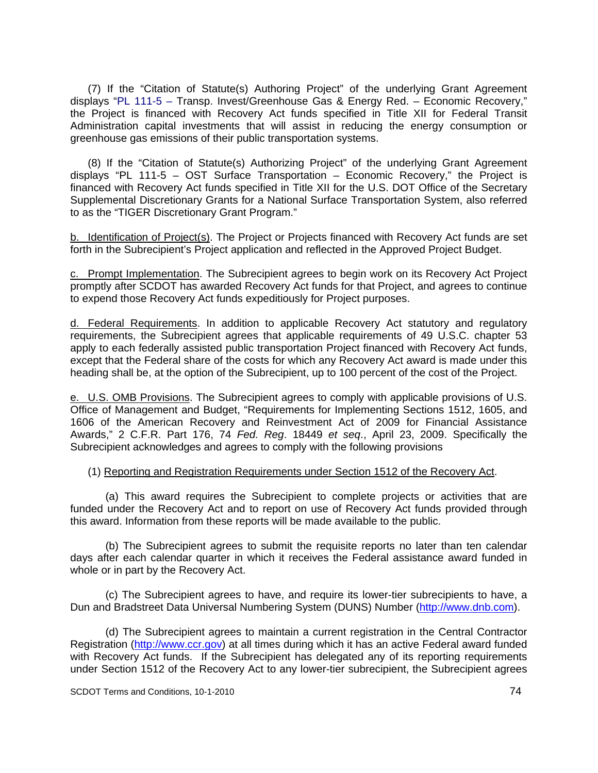(7) If the "Citation of Statute(s) Authoring Project" of the underlying Grant Agreement displays "PL 111-5 – Transp. Invest/Greenhouse Gas & Energy Red. – Economic Recovery," the Project is financed with Recovery Act funds specified in Title XII for Federal Transit Administration capital investments that will assist in reducing the energy consumption or greenhouse gas emissions of their public transportation systems.

 (8) If the "Citation of Statute(s) Authorizing Project" of the underlying Grant Agreement displays "PL 111-5 – OST Surface Transportation – Economic Recovery," the Project is financed with Recovery Act funds specified in Title XII for the U.S. DOT Office of the Secretary Supplemental Discretionary Grants for a National Surface Transportation System, also referred to as the "TIGER Discretionary Grant Program."

b. Identification of Project(s). The Project or Projects financed with Recovery Act funds are set forth in the Subrecipient's Project application and reflected in the Approved Project Budget.

c. Prompt Implementation. The Subrecipient agrees to begin work on its Recovery Act Project promptly after SCDOT has awarded Recovery Act funds for that Project, and agrees to continue to expend those Recovery Act funds expeditiously for Project purposes.

d. Federal Requirements. In addition to applicable Recovery Act statutory and regulatory requirements, the Subrecipient agrees that applicable requirements of 49 U.S.C. chapter 53 apply to each federally assisted public transportation Project financed with Recovery Act funds, except that the Federal share of the costs for which any Recovery Act award is made under this heading shall be, at the option of the Subrecipient, up to 100 percent of the cost of the Project.

e. U.S. OMB Provisions. The Subrecipient agrees to comply with applicable provisions of U.S. Office of Management and Budget, "Requirements for Implementing Sections 1512, 1605, and 1606 of the American Recovery and Reinvestment Act of 2009 for Financial Assistance Awards," 2 C.F.R. Part 176, 74 *Fed. Reg*. 18449 *et seq*., April 23, 2009. Specifically the Subrecipient acknowledges and agrees to comply with the following provisions

#### (1) Reporting and Registration Requirements under Section 1512 of the Recovery Act.

 (a) This award requires the Subrecipient to complete projects or activities that are funded under the Recovery Act and to report on use of Recovery Act funds provided through this award. Information from these reports will be made available to the public.

 (b) The Subrecipient agrees to submit the requisite reports no later than ten calendar days after each calendar quarter in which it receives the Federal assistance award funded in whole or in part by the Recovery Act.

 (c) The Subrecipient agrees to have, and require its lower-tier subrecipients to have, a Dun and Bradstreet Data Universal Numbering System (DUNS) Number (http://www.dnb.com).

 (d) The Subrecipient agrees to maintain a current registration in the Central Contractor Registration (http://www.ccr.gov) at all times during which it has an active Federal award funded with Recovery Act funds. If the Subrecipient has delegated any of its reporting requirements under Section 1512 of the Recovery Act to any lower-tier subrecipient, the Subrecipient agrees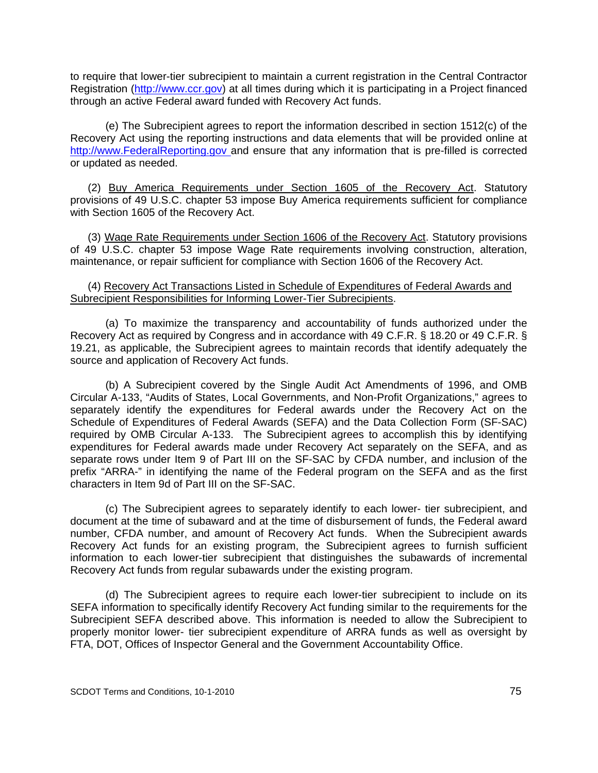to require that lower-tier subrecipient to maintain a current registration in the Central Contractor Registration (http://www.ccr.gov) at all times during which it is participating in a Project financed through an active Federal award funded with Recovery Act funds.

 (e) The Subrecipient agrees to report the information described in section 1512(c) of the Recovery Act using the reporting instructions and data elements that will be provided online at http://www.FederalReporting.gov and ensure that any information that is pre-filled is corrected or updated as needed.

 (2) Buy America Requirements under Section 1605 of the Recovery Act. Statutory provisions of 49 U.S.C. chapter 53 impose Buy America requirements sufficient for compliance with Section 1605 of the Recovery Act.

 (3) Wage Rate Requirements under Section 1606 of the Recovery Act. Statutory provisions of 49 U.S.C. chapter 53 impose Wage Rate requirements involving construction, alteration, maintenance, or repair sufficient for compliance with Section 1606 of the Recovery Act.

#### (4) Recovery Act Transactions Listed in Schedule of Expenditures of Federal Awards and Subrecipient Responsibilities for Informing Lower-Tier Subrecipients.

 (a) To maximize the transparency and accountability of funds authorized under the Recovery Act as required by Congress and in accordance with 49 C.F.R. § 18.20 or 49 C.F.R. § 19.21, as applicable, the Subrecipient agrees to maintain records that identify adequately the source and application of Recovery Act funds.

 (b) A Subrecipient covered by the Single Audit Act Amendments of 1996, and OMB Circular A-133, "Audits of States, Local Governments, and Non-Profit Organizations," agrees to separately identify the expenditures for Federal awards under the Recovery Act on the Schedule of Expenditures of Federal Awards (SEFA) and the Data Collection Form (SF-SAC) required by OMB Circular A-133. The Subrecipient agrees to accomplish this by identifying expenditures for Federal awards made under Recovery Act separately on the SEFA, and as separate rows under Item 9 of Part III on the SF-SAC by CFDA number, and inclusion of the prefix "ARRA-" in identifying the name of the Federal program on the SEFA and as the first characters in Item 9d of Part III on the SF-SAC.

 (c) The Subrecipient agrees to separately identify to each lower- tier subrecipient, and document at the time of subaward and at the time of disbursement of funds, the Federal award number, CFDA number, and amount of Recovery Act funds. When the Subrecipient awards Recovery Act funds for an existing program, the Subrecipient agrees to furnish sufficient information to each lower-tier subrecipient that distinguishes the subawards of incremental Recovery Act funds from regular subawards under the existing program.

 (d) The Subrecipient agrees to require each lower-tier subrecipient to include on its SEFA information to specifically identify Recovery Act funding similar to the requirements for the Subrecipient SEFA described above. This information is needed to allow the Subrecipient to properly monitor lower- tier subrecipient expenditure of ARRA funds as well as oversight by FTA, DOT, Offices of Inspector General and the Government Accountability Office.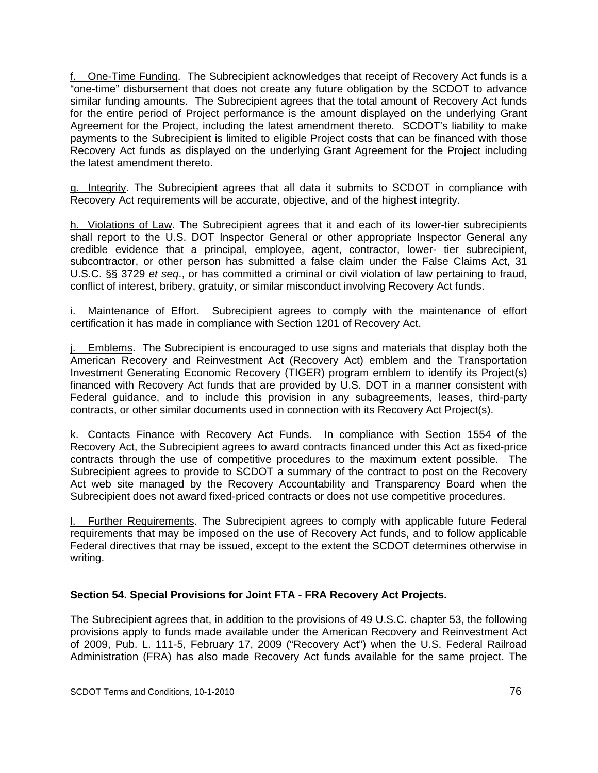f. One-Time Funding. The Subrecipient acknowledges that receipt of Recovery Act funds is a "one-time" disbursement that does not create any future obligation by the SCDOT to advance similar funding amounts. The Subrecipient agrees that the total amount of Recovery Act funds for the entire period of Project performance is the amount displayed on the underlying Grant Agreement for the Project, including the latest amendment thereto. SCDOT's liability to make payments to the Subrecipient is limited to eligible Project costs that can be financed with those Recovery Act funds as displayed on the underlying Grant Agreement for the Project including the latest amendment thereto.

g. Integrity. The Subrecipient agrees that all data it submits to SCDOT in compliance with Recovery Act requirements will be accurate, objective, and of the highest integrity.

h. Violations of Law. The Subrecipient agrees that it and each of its lower-tier subrecipients shall report to the U.S. DOT Inspector General or other appropriate Inspector General any credible evidence that a principal, employee, agent, contractor, lower- tier subrecipient, subcontractor, or other person has submitted a false claim under the False Claims Act, 31 U.S.C. §§ 3729 *et seq*., or has committed a criminal or civil violation of law pertaining to fraud, conflict of interest, bribery, gratuity, or similar misconduct involving Recovery Act funds.

Maintenance of Effort. Subrecipient agrees to comply with the maintenance of effort certification it has made in compliance with Section 1201 of Recovery Act.

j. Emblems. The Subrecipient is encouraged to use signs and materials that display both the American Recovery and Reinvestment Act (Recovery Act) emblem and the Transportation Investment Generating Economic Recovery (TIGER) program emblem to identify its Project(s) financed with Recovery Act funds that are provided by U.S. DOT in a manner consistent with Federal guidance, and to include this provision in any subagreements, leases, third-party contracts, or other similar documents used in connection with its Recovery Act Project(s).

k. Contacts Finance with Recovery Act Funds. In compliance with Section 1554 of the Recovery Act, the Subrecipient agrees to award contracts financed under this Act as fixed-price contracts through the use of competitive procedures to the maximum extent possible. The Subrecipient agrees to provide to SCDOT a summary of the contract to post on the Recovery Act web site managed by the Recovery Accountability and Transparency Board when the Subrecipient does not award fixed-priced contracts or does not use competitive procedures.

l. Further Requirements. The Subrecipient agrees to comply with applicable future Federal requirements that may be imposed on the use of Recovery Act funds, and to follow applicable Federal directives that may be issued, except to the extent the SCDOT determines otherwise in writing.

## **Section 54. Special Provisions for Joint FTA - FRA Recovery Act Projects.**

The Subrecipient agrees that, in addition to the provisions of 49 U.S.C. chapter 53, the following provisions apply to funds made available under the American Recovery and Reinvestment Act of 2009, Pub. L. 111-5, February 17, 2009 ("Recovery Act") when the U.S. Federal Railroad Administration (FRA) has also made Recovery Act funds available for the same project. The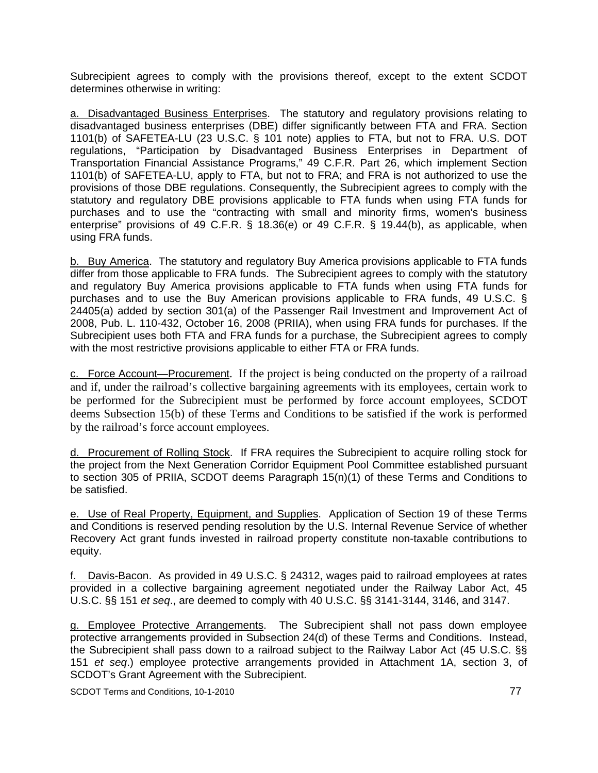Subrecipient agrees to comply with the provisions thereof, except to the extent SCDOT determines otherwise in writing:

a. Disadvantaged Business Enterprises. The statutory and regulatory provisions relating to disadvantaged business enterprises (DBE) differ significantly between FTA and FRA. Section 1101(b) of SAFETEA-LU (23 U.S.C. § 101 note) applies to FTA, but not to FRA. U.S. DOT regulations, "Participation by Disadvantaged Business Enterprises in Department of Transportation Financial Assistance Programs," 49 C.F.R. Part 26, which implement Section 1101(b) of SAFETEA-LU, apply to FTA, but not to FRA; and FRA is not authorized to use the provisions of those DBE regulations. Consequently, the Subrecipient agrees to comply with the statutory and regulatory DBE provisions applicable to FTA funds when using FTA funds for purchases and to use the "contracting with small and minority firms, women's business enterprise" provisions of 49 C.F.R. § 18.36(e) or 49 C.F.R. § 19.44(b), as applicable, when using FRA funds.

b. Buy America. The statutory and regulatory Buy America provisions applicable to FTA funds differ from those applicable to FRA funds. The Subrecipient agrees to comply with the statutory and regulatory Buy America provisions applicable to FTA funds when using FTA funds for purchases and to use the Buy American provisions applicable to FRA funds, 49 U.S.C. § 24405(a) added by section 301(a) of the Passenger Rail Investment and Improvement Act of 2008, Pub. L. 110-432, October 16, 2008 (PRIIA), when using FRA funds for purchases. If the Subrecipient uses both FTA and FRA funds for a purchase, the Subrecipient agrees to comply with the most restrictive provisions applicable to either FTA or FRA funds.

c. Force Account—Procurement. If the project is being conducted on the property of a railroad and if, under the railroad's collective bargaining agreements with its employees, certain work to be performed for the Subrecipient must be performed by force account employees, SCDOT deems Subsection 15(b) of these Terms and Conditions to be satisfied if the work is performed by the railroad's force account employees.

d. Procurement of Rolling Stock. If FRA requires the Subrecipient to acquire rolling stock for the project from the Next Generation Corridor Equipment Pool Committee established pursuant to section 305 of PRIIA, SCDOT deems Paragraph 15(n)(1) of these Terms and Conditions to be satisfied.

e. Use of Real Property, Equipment, and Supplies. Application of Section 19 of these Terms and Conditions is reserved pending resolution by the U.S. Internal Revenue Service of whether Recovery Act grant funds invested in railroad property constitute non-taxable contributions to equity.

f. Davis-Bacon. As provided in 49 U.S.C. § 24312, wages paid to railroad employees at rates provided in a collective bargaining agreement negotiated under the Railway Labor Act, 45 U.S.C. §§ 151 *et seq*., are deemed to comply with 40 U.S.C. §§ 3141-3144, 3146, and 3147.

g. Employee Protective Arrangements. The Subrecipient shall not pass down employee protective arrangements provided in Subsection 24(d) of these Terms and Conditions. Instead, the Subrecipient shall pass down to a railroad subject to the Railway Labor Act (45 U.S.C. §§ 151 *et seq*.) employee protective arrangements provided in Attachment 1A, section 3, of SCDOT's Grant Agreement with the Subrecipient.

SCDOT Terms and Conditions, 10-1-2010 **77** and Conditions, 10-1-2010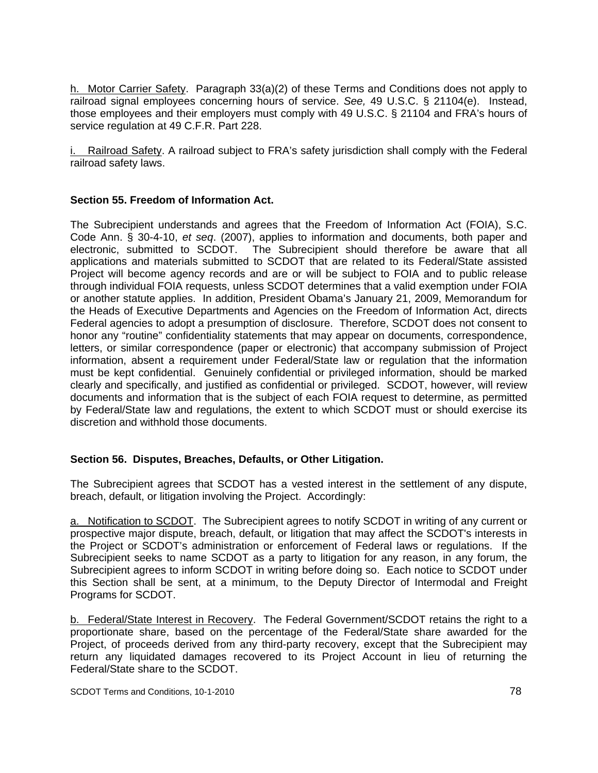h. Motor Carrier Safety. Paragraph 33(a)(2) of these Terms and Conditions does not apply to railroad signal employees concerning hours of service. *See,* 49 U.S.C. § 21104(e). Instead, those employees and their employers must comply with 49 U.S.C. § 21104 and FRA's hours of service regulation at 49 C.F.R. Part 228.

i. Railroad Safety. A railroad subject to FRA's safety jurisdiction shall comply with the Federal railroad safety laws.

# **Section 55. Freedom of Information Act.**

The Subrecipient understands and agrees that the Freedom of Information Act (FOIA), S.C. Code Ann. § 30-4-10, *et seq*. (2007), applies to information and documents, both paper and electronic, submitted to SCDOT. The Subrecipient should therefore be aware that all applications and materials submitted to SCDOT that are related to its Federal/State assisted Project will become agency records and are or will be subject to FOIA and to public release through individual FOIA requests, unless SCDOT determines that a valid exemption under FOIA or another statute applies. In addition, President Obama's January 21, 2009, Memorandum for the Heads of Executive Departments and Agencies on the Freedom of Information Act, directs Federal agencies to adopt a presumption of disclosure. Therefore, SCDOT does not consent to honor any "routine" confidentiality statements that may appear on documents, correspondence, letters, or similar correspondence (paper or electronic) that accompany submission of Project information, absent a requirement under Federal/State law or regulation that the information must be kept confidential. Genuinely confidential or privileged information, should be marked clearly and specifically, and justified as confidential or privileged. SCDOT, however, will review documents and information that is the subject of each FOIA request to determine, as permitted by Federal/State law and regulations, the extent to which SCDOT must or should exercise its discretion and withhold those documents.

## **Section 56. Disputes, Breaches, Defaults, or Other Litigation.**

The Subrecipient agrees that SCDOT has a vested interest in the settlement of any dispute, breach, default, or litigation involving the Project. Accordingly:

a. Notification to SCDOT. The Subrecipient agrees to notify SCDOT in writing of any current or prospective major dispute, breach, default, or litigation that may affect the SCDOT's interests in the Project or SCDOT's administration or enforcement of Federal laws or regulations. If the Subrecipient seeks to name SCDOT as a party to litigation for any reason, in any forum, the Subrecipient agrees to inform SCDOT in writing before doing so. Each notice to SCDOT under this Section shall be sent, at a minimum, to the Deputy Director of Intermodal and Freight Programs for SCDOT.

b. Federal/State Interest in Recovery. The Federal Government/SCDOT retains the right to a proportionate share, based on the percentage of the Federal/State share awarded for the Project, of proceeds derived from any third-party recovery, except that the Subrecipient may return any liquidated damages recovered to its Project Account in lieu of returning the Federal/State share to the SCDOT.